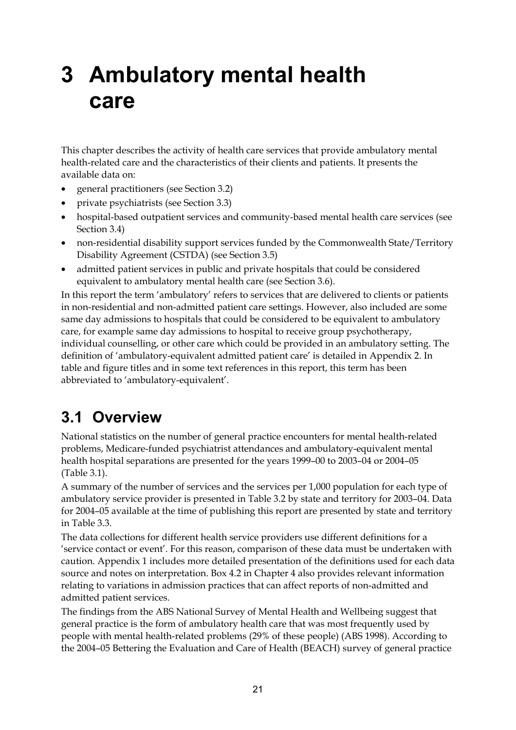# **3 Ambulatory mental health care**

This chapter describes the activity of health care services that provide ambulatory mental health-related care and the characteristics of their clients and patients. It presents the available data on:

- general practitioners (see Section 3.2)
- private psychiatrists (see Section 3.3)
- hospital-based outpatient services and community-based mental health care services (see Section 3.4)
- non-residential disability support services funded by the Commonwealth State/Territory Disability Agreement (CSTDA) (see Section 3.5)
- admitted patient services in public and private hospitals that could be considered equivalent to ambulatory mental health care (see Section 3.6).

In this report the term 'ambulatory' refers to services that are delivered to clients or patients in non-residential and non-admitted patient care settings. However, also included are some same day admissions to hospitals that could be considered to be equivalent to ambulatory care, for example same day admissions to hospital to receive group psychotherapy, individual counselling, or other care which could be provided in an ambulatory setting. The definition of 'ambulatory-equivalent admitted patient care' is detailed in Appendix 2. In table and figure titles and in some text references in this report, this term has been abbreviated to 'ambulatory-equivalent'.

## **3.1 Overview**

National statistics on the number of general practice encounters for mental health-related problems, Medicare-funded psychiatrist attendances and ambulatory-equivalent mental health hospital separations are presented for the years 1999–00 to 2003–04 or 2004–05 (Table 3.1).

A summary of the number of services and the services per 1,000 population for each type of ambulatory service provider is presented in Table 3.2 by state and territory for 2003–04. Data for 2004–05 available at the time of publishing this report are presented by state and territory in Table 3.3.

The data collections for different health service providers use different definitions for a 'service contact or event'. For this reason, comparison of these data must be undertaken with caution. Appendix 1 includes more detailed presentation of the definitions used for each data source and notes on interpretation. Box 4.2 in Chapter 4 also provides relevant information relating to variations in admission practices that can affect reports of non-admitted and admitted patient services.

The findings from the ABS National Survey of Mental Health and Wellbeing suggest that general practice is the form of ambulatory health care that was most frequently used by people with mental health-related problems (29% of these people) (ABS 1998). According to the 2004–05 Bettering the Evaluation and Care of Health (BEACH) survey of general practice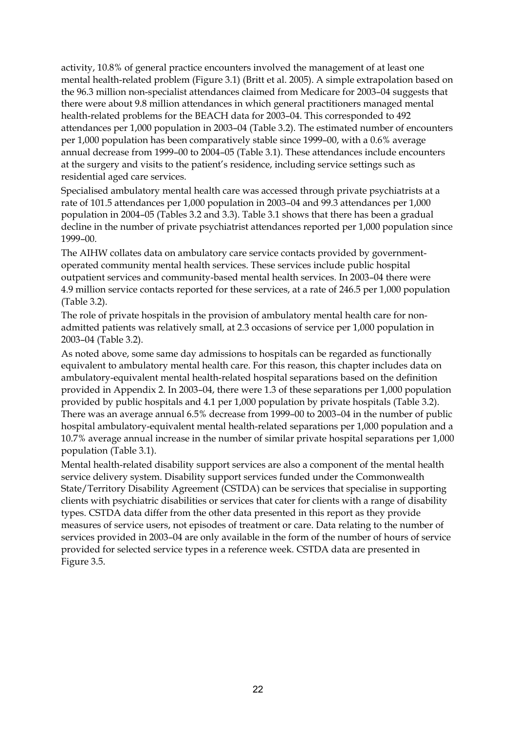activity, 10.8% of general practice encounters involved the management of at least one mental health-related problem (Figure 3.1) (Britt et al. 2005). A simple extrapolation based on the 96.3 million non-specialist attendances claimed from Medicare for 2003–04 suggests that there were about 9.8 million attendances in which general practitioners managed mental health-related problems for the BEACH data for 2003–04. This corresponded to 492 attendances per 1,000 population in 2003–04 (Table 3.2). The estimated number of encounters per 1,000 population has been comparatively stable since 1999–00, with a 0.6% average annual decrease from 1999–00 to 2004–05 (Table 3.1). These attendances include encounters at the surgery and visits to the patient's residence, including service settings such as residential aged care services.

Specialised ambulatory mental health care was accessed through private psychiatrists at a rate of 101.5 attendances per 1,000 population in 2003–04 and 99.3 attendances per 1,000 population in 2004–05 (Tables 3.2 and 3.3). Table 3.1 shows that there has been a gradual decline in the number of private psychiatrist attendances reported per 1,000 population since 1999–00.

The AIHW collates data on ambulatory care service contacts provided by governmentoperated community mental health services. These services include public hospital outpatient services and community-based mental health services. In 2003–04 there were 4.9 million service contacts reported for these services, at a rate of 246.5 per 1,000 population (Table 3.2).

The role of private hospitals in the provision of ambulatory mental health care for nonadmitted patients was relatively small, at 2.3 occasions of service per 1,000 population in 2003–04 (Table 3.2).

As noted above, some same day admissions to hospitals can be regarded as functionally equivalent to ambulatory mental health care. For this reason, this chapter includes data on ambulatory-equivalent mental health-related hospital separations based on the definition provided in Appendix 2. In 2003–04, there were 1.3 of these separations per 1,000 population provided by public hospitals and 4.1 per 1,000 population by private hospitals (Table 3.2). There was an average annual 6.5% decrease from 1999–00 to 2003–04 in the number of public hospital ambulatory-equivalent mental health-related separations per 1,000 population and a 10.7% average annual increase in the number of similar private hospital separations per 1,000 population (Table 3.1).

Mental health-related disability support services are also a component of the mental health service delivery system. Disability support services funded under the Commonwealth State/Territory Disability Agreement (CSTDA) can be services that specialise in supporting clients with psychiatric disabilities or services that cater for clients with a range of disability types. CSTDA data differ from the other data presented in this report as they provide measures of service users, not episodes of treatment or care. Data relating to the number of services provided in 2003–04 are only available in the form of the number of hours of service provided for selected service types in a reference week. CSTDA data are presented in Figure 3.5.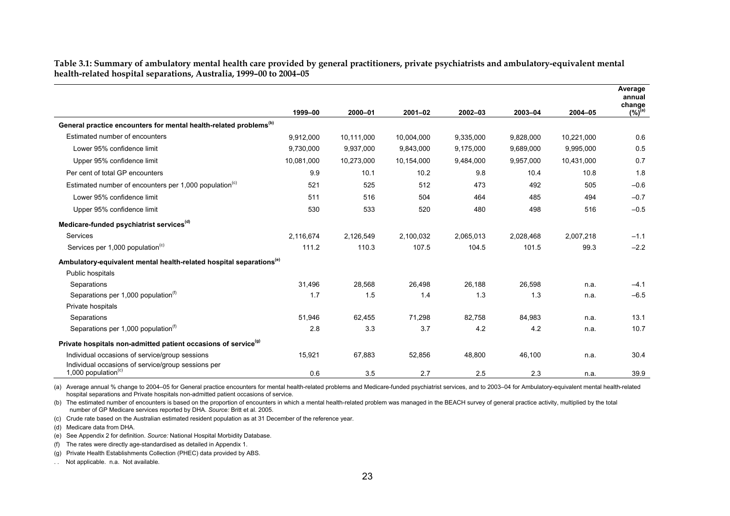**Table 3.1: Summary of ambulatory mental health care provided by general practitioners, private psychiatrists and ambulatory-equivalent mental health-related hospital separations, Australia, 1999–00 to 2004–05** 

|                                                                                       |            |            |             |           |           |            | Average<br>annual<br>change |
|---------------------------------------------------------------------------------------|------------|------------|-------------|-----------|-----------|------------|-----------------------------|
|                                                                                       | 1999-00    | 2000-01    | $2001 - 02$ | 2002-03   | 2003-04   | 2004-05    | $(\%)^{(a)}$                |
| General practice encounters for mental health-related problems <sup>(b)</sup>         |            |            |             |           |           |            |                             |
| Estimated number of encounters                                                        | 9,912,000  | 10,111,000 | 10,004,000  | 9,335,000 | 9,828,000 | 10,221,000 | 0.6                         |
| Lower 95% confidence limit                                                            | 9,730,000  | 9,937,000  | 9,843,000   | 9,175,000 | 9,689,000 | 9,995,000  | 0.5                         |
| Upper 95% confidence limit                                                            | 10,081,000 | 10,273,000 | 10,154,000  | 9,484,000 | 9,957,000 | 10,431,000 | 0.7                         |
| Per cent of total GP encounters                                                       | 9.9        | 10.1       | 10.2        | 9.8       | 10.4      | 10.8       | 1.8                         |
| Estimated number of encounters per 1,000 population <sup>(c)</sup>                    | 521        | 525        | 512         | 473       | 492       | 505        | $-0.6$                      |
| Lower 95% confidence limit                                                            | 511        | 516        | 504         | 464       | 485       | 494        | $-0.7$                      |
| Upper 95% confidence limit                                                            | 530        | 533        | 520         | 480       | 498       | 516        | $-0.5$                      |
| Medicare-funded psychiatrist services <sup>(d)</sup>                                  |            |            |             |           |           |            |                             |
| Services                                                                              | 2,116,674  | 2.126.549  | 2,100,032   | 2.065.013 | 2.028.468 | 2.007.218  | $-1.1$                      |
| Services per 1,000 population <sup>(c)</sup>                                          | 111.2      | 110.3      | 107.5       | 104.5     | 101.5     | 99.3       | $-2.2$                      |
| Ambulatory-equivalent mental health-related hospital separations <sup>(e)</sup>       |            |            |             |           |           |            |                             |
| Public hospitals                                                                      |            |            |             |           |           |            |                             |
| Separations                                                                           | 31,496     | 28,568     | 26,498      | 26,188    | 26,598    | n.a.       | $-4.1$                      |
| Separations per 1,000 population <sup>(f)</sup>                                       | 1.7        | 1.5        | 1.4         | 1.3       | 1.3       | n.a.       | $-6.5$                      |
| Private hospitals                                                                     |            |            |             |           |           |            |                             |
| Separations                                                                           | 51,946     | 62,455     | 71,298      | 82,758    | 84,983    | n.a.       | 13.1                        |
| Separations per 1,000 population <sup>(f)</sup>                                       | 2.8        | 3.3        | 3.7         | 4.2       | 4.2       | n.a.       | 10.7                        |
| Private hospitals non-admitted patient occasions of service <sup>(9)</sup>            |            |            |             |           |           |            |                             |
| Individual occasions of service/group sessions                                        | 15,921     | 67,883     | 52,856      | 48,800    | 46,100    | n.a.       | 30.4                        |
| Individual occasions of service/group sessions per<br>1,000 population <sup>(c)</sup> | 0.6        | 3.5        | 2.7         | 2.5       | 2.3       | n.a.       | 39.9                        |

(a) Average annual % change to 2004–05 for General practice encounters for mental health-related problems and Medicare-funded psychiatrist services, and to 2003–04 for Ambulatory-equivalent mental health-related hospital separations and Private hospitals non-admitted patient occasions of service.

(b) The estimated number of encounters is based on the proportion of encounters in which a mental health-related problem was managed in the BEACH survey of general practice activity, multiplied by the total number of GP Medicare services reported by DHA. *Source:* Britt et al. 2005.

(c) Crude rate based on the Australian estimated resident population as at 31 December of the reference year.

(d) Medicare data from DHA.

(e) See Appendix 2 for definition. *Source:* National Hospital Morbidity Database.

(f) The rates were directly age-standardised as detailed in Appendix 1.

(g) Private Health Establishments Collection (PHEC) data provided by ABS.

. . Not applicable. n.a. Not available.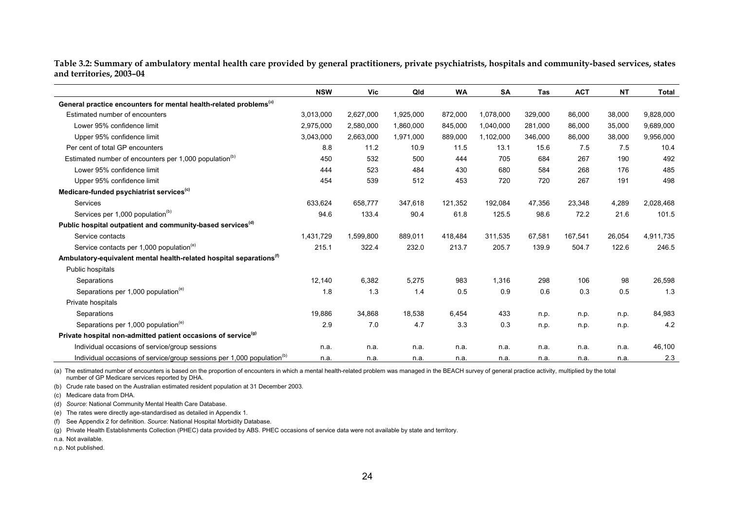**Table 3.2: Summary of ambulatory mental health care provided by general practitioners, private psychiatrists, hospitals and community-based services, states and territories, 2003–04** 

|                                                                                    | <b>NSW</b> | Vic       | Qld       | <b>WA</b> | SA        | <b>Tas</b> | <b>ACT</b> | <b>NT</b> | <b>Total</b> |
|------------------------------------------------------------------------------------|------------|-----------|-----------|-----------|-----------|------------|------------|-----------|--------------|
| General practice encounters for mental health-related problems <sup>(a)</sup>      |            |           |           |           |           |            |            |           |              |
| Estimated number of encounters                                                     | 3,013,000  | 2,627,000 | 1,925,000 | 872,000   | 1,078,000 | 329,000    | 86,000     | 38,000    | 9,828,000    |
| Lower 95% confidence limit                                                         | 2,975,000  | 2,580,000 | 1,860,000 | 845,000   | 1,040,000 | 281,000    | 86,000     | 35,000    | 9,689,000    |
| Upper 95% confidence limit                                                         | 3,043,000  | 2,663,000 | 1,971,000 | 889,000   | 1,102,000 | 346,000    | 86,000     | 38,000    | 9,956,000    |
| Per cent of total GP encounters                                                    | 8.8        | 11.2      | 10.9      | 11.5      | 13.1      | 15.6       | 7.5        | 7.5       | 10.4         |
| Estimated number of encounters per 1,000 population <sup>(b)</sup>                 | 450        | 532       | 500       | 444       | 705       | 684        | 267        | 190       | 492          |
| Lower 95% confidence limit                                                         | 444        | 523       | 484       | 430       | 680       | 584        | 268        | 176       | 485          |
| Upper 95% confidence limit                                                         | 454        | 539       | 512       | 453       | 720       | 720        | 267        | 191       | 498          |
| Medicare-funded psychiatrist services <sup>(c)</sup>                               |            |           |           |           |           |            |            |           |              |
| Services                                                                           | 633,624    | 658,777   | 347,618   | 121,352   | 192,084   | 47,356     | 23,348     | 4,289     | 2,028,468    |
| Services per 1,000 population <sup>(b)</sup>                                       | 94.6       | 133.4     | 90.4      | 61.8      | 125.5     | 98.6       | 72.2       | 21.6      | 101.5        |
| Public hospital outpatient and community-based services <sup>(d)</sup>             |            |           |           |           |           |            |            |           |              |
| Service contacts                                                                   | 1,431,729  | 1,599,800 | 889,011   | 418.484   | 311,535   | 67,581     | 167,541    | 26,054    | 4,911,735    |
| Service contacts per 1,000 population <sup>(e)</sup>                               | 215.1      | 322.4     | 232.0     | 213.7     | 205.7     | 139.9      | 504.7      | 122.6     | 246.5        |
| Ambulatory-equivalent mental health-related hospital separations <sup>(f)</sup>    |            |           |           |           |           |            |            |           |              |
| Public hospitals                                                                   |            |           |           |           |           |            |            |           |              |
| Separations                                                                        | 12.140     | 6.382     | 5,275     | 983       | 1,316     | 298        | 106        | 98        | 26,598       |
| Separations per 1,000 population <sup>(e)</sup>                                    | 1.8        | 1.3       | 1.4       | 0.5       | 0.9       | 0.6        | 0.3        | 0.5       | 1.3          |
| Private hospitals                                                                  |            |           |           |           |           |            |            |           |              |
| Separations                                                                        | 19,886     | 34,868    | 18,538    | 6.454     | 433       | n.p.       | n.p.       | n.p.      | 84,983       |
| Separations per 1,000 population <sup>(e)</sup>                                    | 2.9        | 7.0       | 4.7       | 3.3       | 0.3       | n.p.       | n.p.       | n.p.      | 4.2          |
| Private hospital non-admitted patient occasions of service <sup>(9)</sup>          |            |           |           |           |           |            |            |           |              |
| Individual occasions of service/group sessions                                     | n.a.       | n.a.      | n.a.      | n.a.      | n.a.      | n.a.       | n.a.       | n.a.      | 46,100       |
| Individual occasions of service/group sessions per 1,000 population <sup>(b)</sup> | n.a.       | n.a.      | n.a.      | n.a.      | n.a.      | n.a.       | n.a.       | n.a.      | 2.3          |

(a) The estimated number of encounters is based on the proportion of encounters in which a mental health-related problem was managed in the BEACH survey of general practice activity, multiplied by the total number of GP Medicare services reported by DHA.

(b) Crude rate based on the Australian estimated resident population at 31 December 2003.

(c) Medicare data from DHA.

(d) *Source*: National Community Mental Health Care Database.

(e) The rates were directly age-standardised as detailed in Appendix 1.

(f) See Appendix 2 for definition. *Source*: National Hospital Morbidity Database.

(g) Private Health Establishments Collection (PHEC) data provided by ABS. PHEC occasions of service data were not available by state and territory.

n.a. Not available.

n.p. Not published.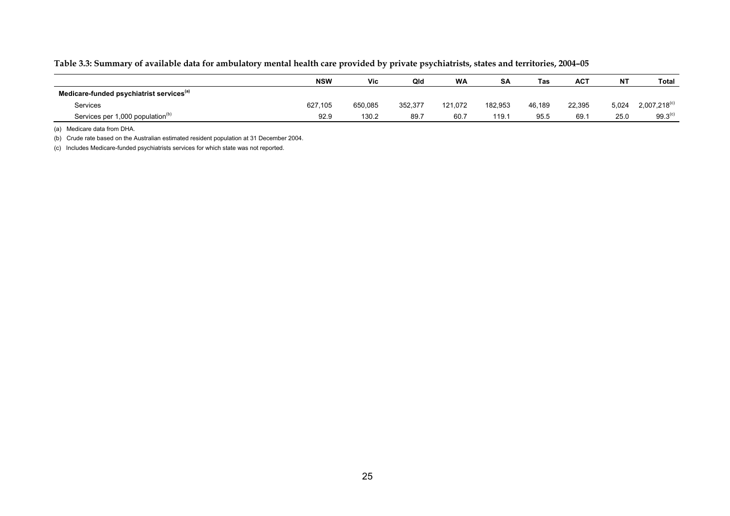#### **Table 3.3: Summary of available data for ambulatory mental health care provided by private psychiatrists, states and territories, 2004–05**

|                                                      | <b>NSW</b> | Vic     | Qld     | <b>WA</b> | SΑ      | <b>Tas</b> | <b>ACT</b> | NΤ    | <b>Total</b>               |
|------------------------------------------------------|------------|---------|---------|-----------|---------|------------|------------|-------|----------------------------|
| Medicare-funded psychiatrist services <sup>(a)</sup> |            |         |         |           |         |            |            |       |                            |
| Services                                             | 627.105    | 650.085 | 352,377 | 121.072   | 182.953 | 46.189     | 22.395     | 5,024 | $2,007,218$ <sup>(c)</sup> |
| Services per 1,000 population <sup>(b)</sup>         | 92.9       | 130.2   | 89.7    | 60.7      | 119.1   | 95.5       | 69.7       | 25.0  | 99.3 <sup>(c)</sup>        |

(a) Medicare data from DHA.

(b) Crude rate based on the Australian estimated resident population at 31 December 2004.

(c) Includes Medicare-funded psychiatrists services for which state was not reported.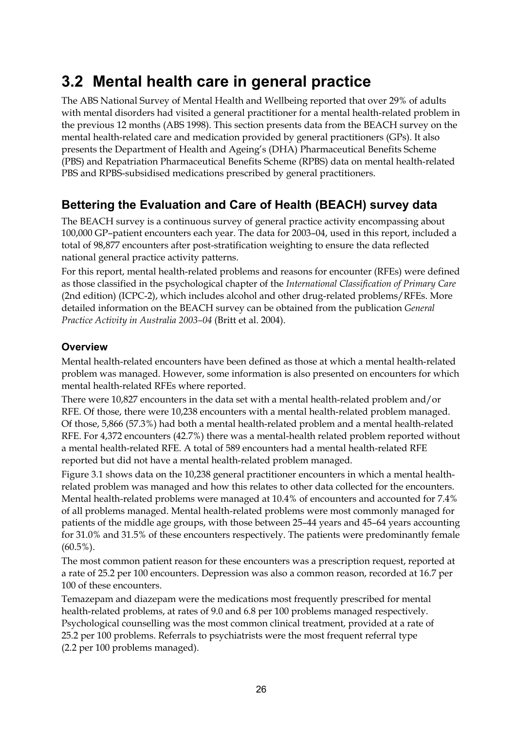## **3.2 Mental health care in general practice**

The ABS National Survey of Mental Health and Wellbeing reported that over 29% of adults with mental disorders had visited a general practitioner for a mental health-related problem in the previous 12 months (ABS 1998). This section presents data from the BEACH survey on the mental health-related care and medication provided by general practitioners (GPs). It also presents the Department of Health and Ageing's (DHA) Pharmaceutical Benefits Scheme (PBS) and Repatriation Pharmaceutical Benefits Scheme (RPBS) data on mental health-related PBS and RPBS-subsidised medications prescribed by general practitioners.

### **Bettering the Evaluation and Care of Health (BEACH) survey data**

The BEACH survey is a continuous survey of general practice activity encompassing about 100,000 GP–patient encounters each year. The data for 2003–04, used in this report, included a total of 98,877 encounters after post-stratification weighting to ensure the data reflected national general practice activity patterns.

For this report, mental health-related problems and reasons for encounter (RFEs) were defined as those classified in the psychological chapter of the *International Classification of Primary Care* (2nd edition) (ICPC-2), which includes alcohol and other drug-related problems/RFEs. More detailed information on the BEACH survey can be obtained from the publication *General Practice Activity in Australia 2003–04* (Britt et al. 2004).

#### **Overview**

Mental health-related encounters have been defined as those at which a mental health-related problem was managed. However, some information is also presented on encounters for which mental health-related RFEs where reported.

There were 10,827 encounters in the data set with a mental health-related problem and/or RFE. Of those, there were 10,238 encounters with a mental health-related problem managed. Of those, 5,866 (57.3%) had both a mental health-related problem and a mental health-related RFE. For 4,372 encounters (42.7%) there was a mental-health related problem reported without a mental health-related RFE. A total of 589 encounters had a mental health-related RFE reported but did not have a mental health-related problem managed.

Figure 3.1 shows data on the 10,238 general practitioner encounters in which a mental healthrelated problem was managed and how this relates to other data collected for the encounters. Mental health-related problems were managed at 10.4% of encounters and accounted for 7.4% of all problems managed. Mental health-related problems were most commonly managed for patients of the middle age groups, with those between 25–44 years and 45–64 years accounting for 31.0% and 31.5% of these encounters respectively. The patients were predominantly female  $(60.5\%)$ .

The most common patient reason for these encounters was a prescription request, reported at a rate of 25.2 per 100 encounters. Depression was also a common reason, recorded at 16.7 per 100 of these encounters.

Temazepam and diazepam were the medications most frequently prescribed for mental health-related problems, at rates of 9.0 and 6.8 per 100 problems managed respectively. Psychological counselling was the most common clinical treatment, provided at a rate of 25.2 per 100 problems. Referrals to psychiatrists were the most frequent referral type (2.2 per 100 problems managed).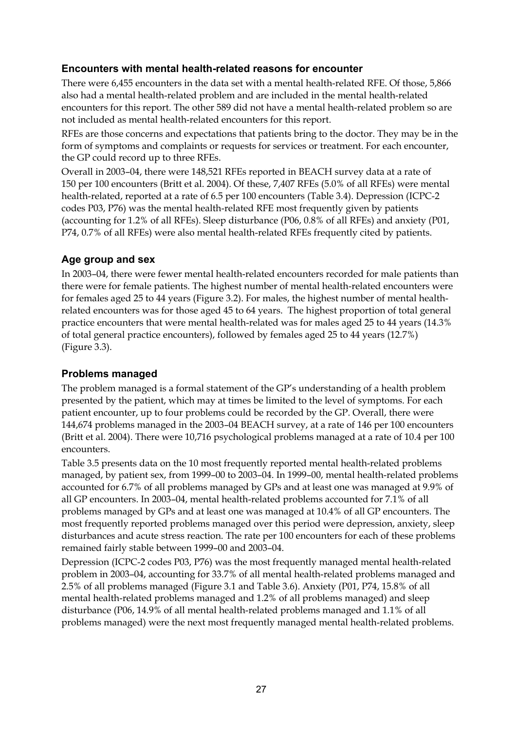### **Encounters with mental health-related reasons for encounter**

There were 6,455 encounters in the data set with a mental health-related RFE. Of those, 5,866 also had a mental health-related problem and are included in the mental health-related encounters for this report. The other 589 did not have a mental health-related problem so are not included as mental health-related encounters for this report.

RFEs are those concerns and expectations that patients bring to the doctor. They may be in the form of symptoms and complaints or requests for services or treatment. For each encounter, the GP could record up to three RFEs.

Overall in 2003–04, there were 148,521 RFEs reported in BEACH survey data at a rate of 150 per 100 encounters (Britt et al. 2004). Of these, 7,407 RFEs (5.0% of all RFEs) were mental health-related, reported at a rate of 6.5 per 100 encounters (Table 3.4). Depression (ICPC-2 codes P03, P76) was the mental health-related RFE most frequently given by patients (accounting for 1.2% of all RFEs). Sleep disturbance (P06, 0.8% of all RFEs) and anxiety (P01, P74, 0.7% of all RFEs) were also mental health-related RFEs frequently cited by patients.

### **Age group and sex**

In 2003–04, there were fewer mental health-related encounters recorded for male patients than there were for female patients. The highest number of mental health-related encounters were for females aged 25 to 44 years (Figure 3.2). For males, the highest number of mental healthrelated encounters was for those aged 45 to 64 years. The highest proportion of total general practice encounters that were mental health-related was for males aged 25 to 44 years (14.3% of total general practice encounters), followed by females aged 25 to 44 years (12.7%) (Figure 3.3).

#### **Problems managed**

The problem managed is a formal statement of the GP's understanding of a health problem presented by the patient, which may at times be limited to the level of symptoms. For each patient encounter, up to four problems could be recorded by the GP. Overall, there were 144,674 problems managed in the 2003–04 BEACH survey, at a rate of 146 per 100 encounters (Britt et al. 2004). There were 10,716 psychological problems managed at a rate of 10.4 per 100 encounters.

Table 3.5 presents data on the 10 most frequently reported mental health-related problems managed, by patient sex, from 1999–00 to 2003–04. In 1999–00, mental health-related problems accounted for 6.7% of all problems managed by GPs and at least one was managed at 9.9% of all GP encounters. In 2003–04, mental health-related problems accounted for 7.1% of all problems managed by GPs and at least one was managed at 10.4% of all GP encounters. The most frequently reported problems managed over this period were depression, anxiety, sleep disturbances and acute stress reaction. The rate per 100 encounters for each of these problems remained fairly stable between 1999–00 and 2003–04.

Depression (ICPC-2 codes P03, P76) was the most frequently managed mental health-related problem in 2003–04, accounting for 33.7% of all mental health-related problems managed and 2.5% of all problems managed (Figure 3.1 and Table 3.6). Anxiety (P01, P74, 15.8% of all mental health-related problems managed and 1.2% of all problems managed) and sleep disturbance (P06, 14.9% of all mental health-related problems managed and 1.1% of all problems managed) were the next most frequently managed mental health-related problems.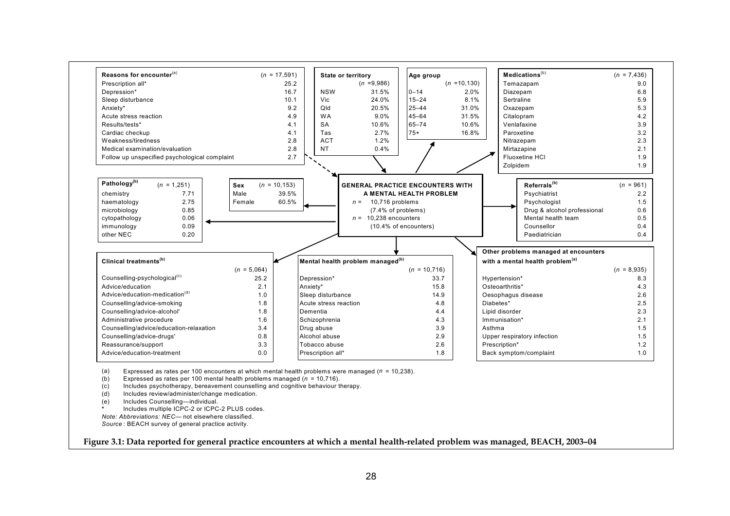

- (d) Includes review/administer/change medication.
- (e) Includes Counselling—individual.
- **\***Includes multiple ICPC-2 or ICPC-2 PLUS codes.
- *Note: Abbreviations: NEC—* not elsewhere classified.

*Source* : BEACH survey of general practice activity.

**Figure 3.1: Data reported for general practice encounters at which a mental health-related problem was managed, BEACH, 2003–04**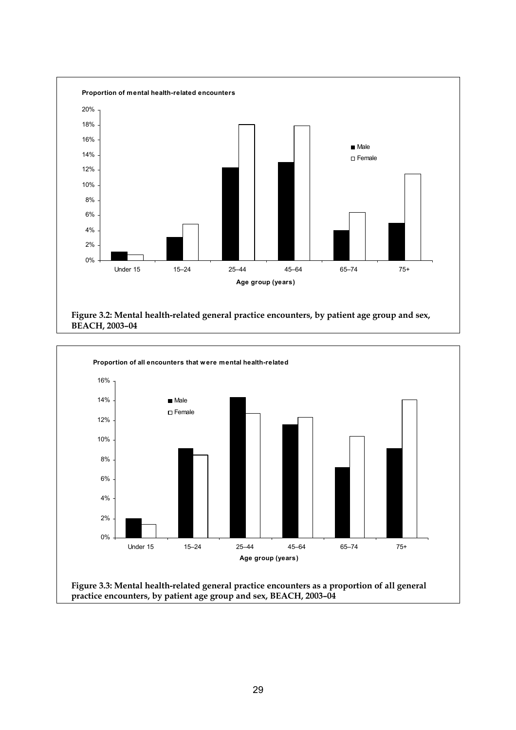

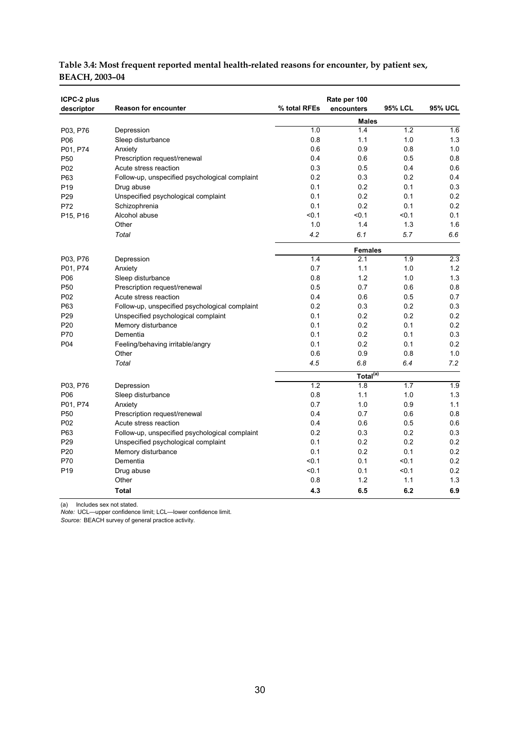| ICPC-2 plus     |                                                |              | Rate per 100         |                |                  |
|-----------------|------------------------------------------------|--------------|----------------------|----------------|------------------|
| descriptor      | <b>Reason for encounter</b>                    | % total RFEs | encounters           | <b>95% LCL</b> | <b>95% UCL</b>   |
|                 |                                                |              | <b>Males</b>         |                |                  |
| P03, P76        | Depression                                     | 1.0          | 1.4                  | 1.2            | 1.6              |
| P06             | Sleep disturbance                              | 0.8          | 1.1                  | 1.0            | 1.3              |
| P01, P74        | Anxiety                                        | 0.6          | 0.9                  | 0.8            | 1.0              |
| P50             | Prescription request/renewal                   | 0.4          | 0.6                  | 0.5            | 0.8              |
| P02             | Acute stress reaction                          | 0.3          | 0.5                  | 0.4            | 0.6              |
| P63             | Follow-up, unspecified psychological complaint | 0.2          | 0.3                  | 0.2            | 0.4              |
| P <sub>19</sub> | Drug abuse                                     | 0.1          | 0.2                  | 0.1            | 0.3              |
| P <sub>29</sub> | Unspecified psychological complaint            | 0.1          | 0.2                  | 0.1            | 0.2              |
| P72             | Schizophrenia                                  | 0.1          | 0.2                  | 0.1            | 0.2              |
| P15, P16        | Alcohol abuse                                  | < 0.1        | < 0.1                | < 0.1          | 0.1              |
|                 | Other                                          | 1.0          | 1.4                  | 1.3            | 1.6              |
|                 | Total                                          | 4.2          | 6.1                  | 5.7            | 6.6              |
|                 |                                                |              | <b>Females</b>       |                |                  |
| P03, P76        | Depression                                     | 1.4          | 2.1                  | 1.9            | $\overline{2.3}$ |
| P01, P74        | Anxiety                                        | 0.7          | 1.1                  | 1.0            | 1.2              |
| P06             | Sleep disturbance                              | 0.8          | 1.2                  | 1.0            | 1.3              |
| P <sub>50</sub> | Prescription request/renewal                   | 0.5          | 0.7                  | 0.6            | 0.8              |
| P02             | Acute stress reaction                          | 0.4          | 0.6                  | 0.5            | 0.7              |
| P63             | Follow-up, unspecified psychological complaint | 0.2          | 0.3                  | 0.2            | 0.3              |
| P <sub>29</sub> | Unspecified psychological complaint            | 0.1          | 0.2                  | 0.2            | 0.2              |
| P <sub>20</sub> | Memory disturbance                             | 0.1          | 0.2                  | 0.1            | 0.2              |
| P70             | Dementia                                       | 0.1          | 0.2                  | 0.1            | 0.3              |
| P04             | Feeling/behaving irritable/angry               | 0.1          | 0.2                  | 0.1            | 0.2              |
|                 | Other                                          | 0.6          | 0.9                  | 0.8            | 1.0              |
|                 | Total                                          | 4.5          | 6.8                  | 6.4            | 7.2              |
|                 |                                                |              | Total <sup>(a)</sup> |                |                  |
| P03, P76        | Depression                                     | 1.2          | 1.8                  | 1.7            | 1.9              |
| P06             | Sleep disturbance                              | 0.8          | 1.1                  | 1.0            | 1.3              |
| P01, P74        | Anxiety                                        | 0.7          | 1.0                  | 0.9            | 1.1              |
| P <sub>50</sub> | Prescription request/renewal                   | 0.4          | 0.7                  | 0.6            | 0.8              |
| P02             | Acute stress reaction                          | 0.4          | 0.6                  | 0.5            | 0.6              |
| P63             | Follow-up, unspecified psychological complaint | 0.2          | 0.3                  | 0.2            | 0.3              |
| P <sub>29</sub> | Unspecified psychological complaint            | 0.1          | 0.2                  | 0.2            | 0.2              |
| P <sub>20</sub> | Memory disturbance                             | 0.1          | 0.2                  | 0.1            | 0.2              |
| P70             | Dementia                                       | < 0.1        | 0.1                  | < 0.1          | 0.2              |
| P <sub>19</sub> | Drug abuse                                     | < 0.1        | 0.1                  | < 0.1          | 0.2              |
|                 | Other                                          | 0.8          | 1.2                  | 1.1            | 1.3              |
|                 | <b>Total</b>                                   | 4.3          | 6.5                  | 6.2            | 6.9              |

#### **Table 3.4: Most frequent reported mental health-related reasons for encounter, by patient sex, BEACH, 2003–04**

(a) Includes sex not stated.

*Note:* UCL—upper confidence limit; LCL—lower confidence limit.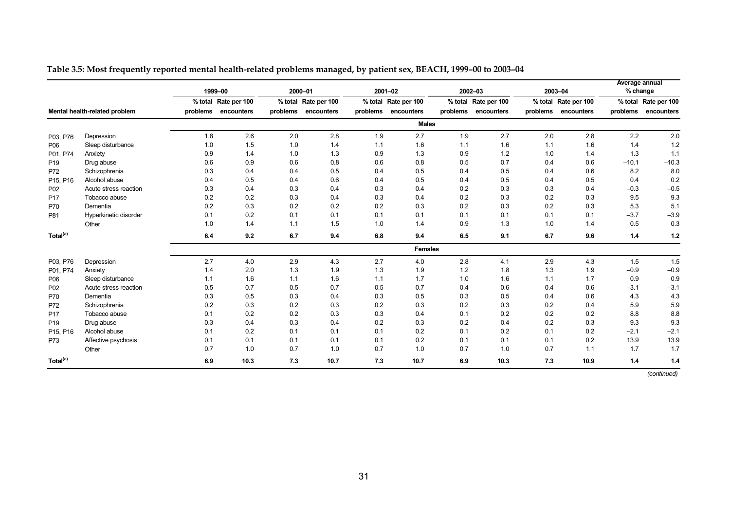|                      |                               |          | 1999-00              |          | 2000-01              |          | 2001-02              |          | 2002-03              |          | 2003-04              | Average annual<br>% change |                      |
|----------------------|-------------------------------|----------|----------------------|----------|----------------------|----------|----------------------|----------|----------------------|----------|----------------------|----------------------------|----------------------|
|                      |                               |          | % total Rate per 100 |          | % total Rate per 100 |          | % total Rate per 100 |          | % total Rate per 100 |          | % total Rate per 100 |                            | % total Rate per 100 |
|                      | Mental health-related problem | problems | encounters           | problems | encounters           | problems | encounters           | problems | encounters           | problems | encounters           | problems                   | encounters           |
|                      |                               |          |                      |          |                      |          | <b>Males</b>         |          |                      |          |                      |                            |                      |
| P03, P76             | Depression                    | 1.8      | 2.6                  | 2.0      | 2.8                  | 1.9      | 2.7                  | 1.9      | 2.7                  | 2.0      | 2.8                  | 2.2                        | 2.0                  |
| P06                  | Sleep disturbance             | 1.0      | 1.5                  | 1.0      | 1.4                  | 1.1      | 1.6                  | 1.1      | 1.6                  | 1.1      | 1.6                  | 1.4                        | 1.2                  |
| P01, P74             | Anxiety                       | 0.9      | 1.4                  | 1.0      | 1.3                  | 0.9      | 1.3                  | 0.9      | 1.2                  | 1.0      | 1.4                  | 1.3                        | 1.1                  |
| P <sub>19</sub>      | Drug abuse                    | 0.6      | 0.9                  | 0.6      | 0.8                  | 0.6      | 0.8                  | 0.5      | 0.7                  | 0.4      | 0.6                  | $-10.1$                    | $-10.3$              |
| P72                  | Schizophrenia                 | 0.3      | 0.4                  | 0.4      | 0.5                  | 0.4      | 0.5                  | 0.4      | 0.5                  | 0.4      | 0.6                  | 8.2                        | 8.0                  |
| P15, P16             | Alcohol abuse                 | 0.4      | 0.5                  | 0.4      | 0.6                  | 0.4      | 0.5                  | 0.4      | 0.5                  | 0.4      | 0.5                  | 0.4                        | 0.2                  |
| P <sub>02</sub>      | Acute stress reaction         | 0.3      | 0.4                  | 0.3      | 0.4                  | 0.3      | 0.4                  | 0.2      | 0.3                  | 0.3      | 0.4                  | $-0.3$                     | $-0.5$               |
| P <sub>17</sub>      | Tobacco abuse                 | 0.2      | 0.2                  | 0.3      | 0.4                  | 0.3      | 0.4                  | 0.2      | 0.3                  | 0.2      | 0.3                  | 9.5                        | 9.3                  |
| P70                  | Dementia                      | 0.2      | 0.3                  | 0.2      | 0.2                  | 0.2      | 0.3                  | 0.2      | 0.3                  | 0.2      | 0.3                  | 5.3                        | 5.1                  |
| P81                  | Hyperkinetic disorder         | 0.1      | 0.2                  | 0.1      | 0.1                  | 0.1      | 0.1                  | 0.1      | 0.1                  | 0.1      | 0.1                  | $-3.7$                     | $-3.9$               |
|                      | Other                         | 1.0      | 1.4                  | 1.1      | 1.5                  | 1.0      | 1.4                  | 0.9      | 1.3                  | 1.0      | 1.4                  | 0.5                        | 0.3                  |
| Total <sup>(a)</sup> |                               | 6.4      | 9.2                  | 6.7      | 9.4                  | 6.8      | 9.4                  | 6.5      | 9.1                  | 6.7      | 9.6                  | 1.4                        | 1.2                  |
|                      |                               |          |                      |          |                      |          | <b>Females</b>       |          |                      |          |                      |                            |                      |
| P03, P76             | Depression                    | 2.7      | 4.0                  | 2.9      | 4.3                  | 2.7      | 4.0                  | 2.8      | 4.1                  | 2.9      | 4.3                  | 1.5                        | 1.5                  |
| P01, P74             | Anxiety                       | 1.4      | 2.0                  | 1.3      | 1.9                  | 1.3      | 1.9                  | 1.2      | 1.8                  | 1.3      | 1.9                  | $-0.9$                     | $-0.9$               |
| P06                  | Sleep disturbance             | 1.1      | 1.6                  | 1.1      | 1.6                  | 1.1      | 1.7                  | 1.0      | 1.6                  | 1.1      | 1.7                  | 0.9                        | 0.9                  |
| P <sub>02</sub>      | Acute stress reaction         | 0.5      | 0.7                  | 0.5      | 0.7                  | 0.5      | 0.7                  | 0.4      | 0.6                  | 0.4      | 0.6                  | $-3.1$                     | $-3.1$               |
| P70                  | Dementia                      | 0.3      | 0.5                  | 0.3      | 0.4                  | 0.3      | 0.5                  | 0.3      | 0.5                  | 0.4      | 0.6                  | 4.3                        | 4.3                  |
| P72                  | Schizophrenia                 | 0.2      | 0.3                  | 0.2      | 0.3                  | 0.2      | 0.3                  | 0.2      | 0.3                  | 0.2      | 0.4                  | 5.9                        | 5.9                  |
| P <sub>17</sub>      | Tobacco abuse                 | 0.1      | 0.2                  | 0.2      | 0.3                  | 0.3      | 0.4                  | 0.1      | 0.2                  | 0.2      | 0.2                  | 8.8                        | 8.8                  |
| P <sub>19</sub>      | Drug abuse                    | 0.3      | 0.4                  | 0.3      | 0.4                  | 0.2      | 0.3                  | 0.2      | 0.4                  | 0.2      | 0.3                  | $-9.3$                     | $-9.3$               |
| P15, P16             | Alcohol abuse                 | 0.1      | 0.2                  | 0.1      | 0.1                  | 0.1      | 0.2                  | 0.1      | 0.2                  | 0.1      | 0.2                  | $-2.1$                     | $-2.1$               |
| P73                  | Affective psychosis           | 0.1      | 0.1                  | 0.1      | 0.1                  | 0.1      | 0.2                  | 0.1      | 0.1                  | 0.1      | 0.2                  | 13.9                       | 13.9                 |
|                      | Other                         | 0.7      | 1.0                  | 0.7      | 1.0                  | 0.7      | 1.0                  | 0.7      | 1.0                  | 0.7      | 1.1                  | 1.7                        | 1.7                  |
| Total <sup>(a)</sup> |                               | 6.9      | 10.3                 | 7.3      | 10.7                 | 7.3      | 10.7                 | 6.9      | 10.3                 | 7.3      | 10.9                 | 1.4                        | 1.4                  |

#### **Table 3.5: Most frequently reported mental health-related problems managed, by patient sex, BEACH, 1999–00 to 2003–04**

*(continued)*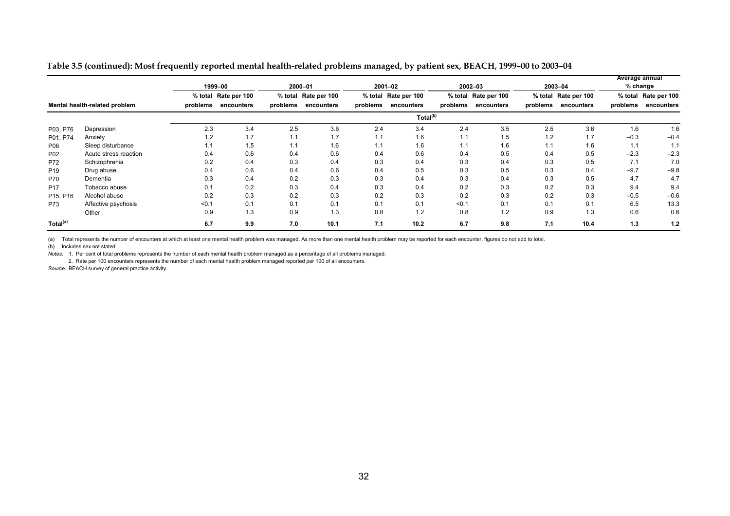|  | Table 3.5 (continued): Most frequently reported mental health-related problems managed, by patient sex, BEACH, 1999-00 to 2003-04 |
|--|-----------------------------------------------------------------------------------------------------------------------------------|
|  |                                                                                                                                   |

|                               |                       |          | 1999-00              |          | 2000-01              |          | 2001-02              |          | $2002 - 03$          |            | 2003-04              | <b>Average annual</b> | $%$ change           |
|-------------------------------|-----------------------|----------|----------------------|----------|----------------------|----------|----------------------|----------|----------------------|------------|----------------------|-----------------------|----------------------|
|                               |                       |          | % total Rate per 100 |          | % total Rate per 100 |          | % total Rate per 100 |          | % total Rate per 100 |            | % total Rate per 100 |                       | % total Rate per 100 |
| Mental health-related problem |                       | problems | encounters           | problems | encounters           | problems | encounters           | problems | encounters           | problems   | encounters           | problems              | encounters           |
|                               |                       |          |                      |          |                      |          | Total <sup>(b)</sup> |          |                      |            |                      |                       |                      |
| P03, P76                      | Depression            | 2.3      | 3.4                  | 2.5      | 3.6                  | 2.4      | 3.4                  | 2.4      | 3.5                  | 2.5        | 3.6                  | 1.6                   | 1.6                  |
| P01, P74                      | Anxiety               | 1.2      | 1.7                  | 1.1      | 1.7                  | 1.1      | 1.6                  | 1.1      | 1.5                  | 1.2        | 1.7                  | $-0.3$                | $-0.4$               |
| P06                           | Sleep disturbance     | 1.1      | 1.5                  | 1.1      | 1.6                  | 1.1      | 1.6                  | 1.1      | 1.6                  | 11<br>1. I | 1.6                  | 1.1                   | 1.1                  |
| P <sub>02</sub>               | Acute stress reaction | 0.4      | 0.6                  | 0.4      | 0.6                  | 0.4      | 0.6                  | 0.4      | 0.5                  | 0.4        | 0.5                  | $-2.3$                | $-2.3$               |
| P72                           | Schizophrenia         | 0.2      | 0.4                  | 0.3      | 0.4                  | 0.3      | 0.4                  | 0.3      | 0.4                  | 0.3        | 0.5                  | 7.1                   | 7.0                  |
| P <sub>19</sub>               | Drug abuse            | 0.4      | 0.6                  | 0.4      | 0.6                  | 0.4      | 0.5                  | 0.3      | 0.5                  | 0.3        | 0.4                  | $-9.7$                | $-9.8$               |
| <b>P70</b>                    | Dementia              | 0.3      | 0.4                  | 0.2      | 0.3                  | 0.3      | 0.4                  | 0.3      | 0.4                  | 0.3        | 0.5                  | 4.7                   | 4.7                  |
| P <sub>17</sub>               | Tobacco abuse         | 0.1      | 0.2                  | 0.3      | 0.4                  | 0.3      | 0.4                  | 0.2      | 0.3                  | 0.2        | 0.3                  | 9.4                   | 9.4                  |
| P15, P16                      | Alcohol abuse         | 0.2      | 0.3                  | 0.2      | 0.3                  | 0.2      | 0.3                  | 0.2      | 0.3                  | 0.2        | 0.3                  | $-0.5$                | $-0.6$               |
| P73                           | Affective psychosis   | < 0.1    | 0.1                  | 0.1      | 0.1                  | 0.1      | 0.1                  | < 0.1    | 0.1                  | 0.1        | 0.1                  | 6.5                   | 13.3                 |
|                               | Other                 | 0.9      | 1.3                  | 0.9      | 1.3                  | 0.8      | 1.2                  | 0.8      | 1.2                  | 0.9        | 1.3                  | 0.6                   | 0.6                  |
| Total <sup>(a)</sup>          |                       | 6.7      | 9.9                  | 7.0      | 10.1                 | 7.1      | 10.2                 | 6.7      | 9.8                  | 7.1        | 10.4                 | 1.3                   | 1.2                  |

(a) Total represents the number of encounters at which at least one mental health problem was managed. As more than one mental health problem may be reported for each encounter, figures do not add to total.

(b) Includes sex not stated.

*Notes:* 1. Per cent of total problems represents the number of each mental health problem managed as a percentage of all problems managed.

2. Rate per 100 encounters represents the number of each mental health problem managed reported per 100 of all encounters.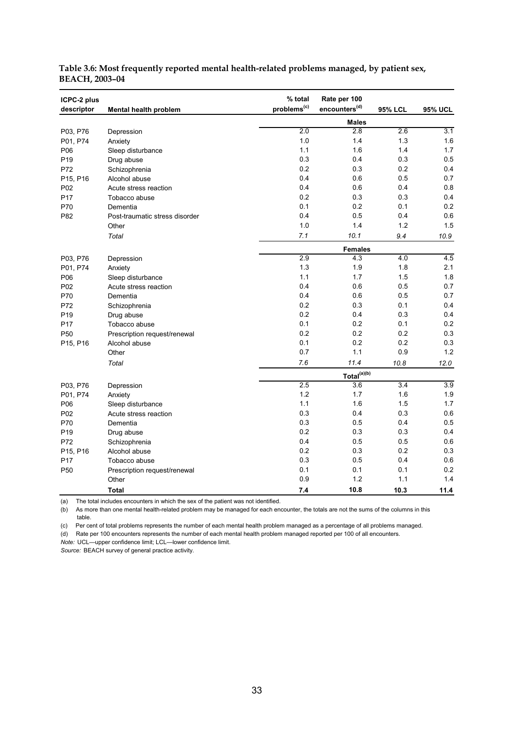| ICPC-2 plus<br>descriptor | Mental health problem          | % total<br>problems <sup>(c)</sup> | Rate per 100<br>encounters <sup>(d)</sup> | <b>95% LCL</b> | <b>95% UCL</b>   |
|---------------------------|--------------------------------|------------------------------------|-------------------------------------------|----------------|------------------|
|                           |                                |                                    | <b>Males</b>                              |                |                  |
| P03, P76                  | Depression                     | 2.0                                | 2.8                                       | 2.6            | 3.1              |
| P01, P74                  | Anxiety                        | 1.0                                | 1.4                                       | 1.3            | 1.6              |
| P06                       | Sleep disturbance              | 1.1                                | 1.6                                       | 1.4            | 1.7              |
| P <sub>19</sub>           | Drug abuse                     | 0.3                                | 0.4                                       | 0.3            | 0.5              |
| P72                       | Schizophrenia                  | 0.2                                | 0.3                                       | 0.2            | 0.4              |
| P15, P16                  | Alcohol abuse                  | 0.4                                | 0.6                                       | 0.5            | 0.7              |
| P <sub>02</sub>           | Acute stress reaction          | 0.4                                | 0.6                                       | 0.4            | 0.8              |
| P <sub>17</sub>           | Tobacco abuse                  | 0.2                                | 0.3                                       | 0.3            | 0.4              |
| P70                       | Dementia                       | 0.1                                | 0.2                                       | 0.1            | 0.2              |
| P82                       | Post-traumatic stress disorder | 0.4                                | 0.5                                       | 0.4            | 0.6              |
|                           | Other                          | 1.0                                | 1.4                                       | 1.2            | 1.5              |
|                           | Total                          | 7.1                                | 10.1                                      | 9.4            | 10.9             |
|                           |                                |                                    | <b>Females</b>                            |                |                  |
| P03, P76                  | Depression                     | 2.9                                | 4.3                                       | 4.0            | 4.5              |
| P01, P74                  | Anxiety                        | 1.3                                | 1.9                                       | 1.8            | 2.1              |
| P06                       | Sleep disturbance              | 1.1                                | 1.7                                       | 1.5            | 1.8              |
| P02                       | Acute stress reaction          | 0.4                                | 0.6                                       | 0.5            | 0.7              |
| P70                       | Dementia                       | 0.4                                | 0.6                                       | 0.5            | 0.7              |
| P72                       | Schizophrenia                  | 0.2                                | 0.3                                       | 0.1            | 0.4              |
| P <sub>19</sub>           | Drug abuse                     | 0.2                                | 0.4                                       | 0.3            | 0.4              |
| P <sub>17</sub>           | Tobacco abuse                  | 0.1                                | 0.2                                       | 0.1            | 0.2              |
| P <sub>50</sub>           | Prescription request/renewal   | 0.2                                | 0.2                                       | 0.2            | 0.3              |
| P15, P16                  | Alcohol abuse                  | 0.1                                | 0.2                                       | 0.2            | 0.3              |
|                           | Other                          | 0.7                                | 1.1                                       | 0.9            | 1.2              |
|                           | Total                          | 7.6                                | 11.4                                      | 10.8           | 12.0             |
|                           |                                |                                    | Total <sup>(a)(b)</sup>                   |                |                  |
| P03, P76                  | Depression                     | 2.5                                | 3.6                                       | 3.4            | $\overline{3.9}$ |
| P01, P74                  | Anxiety                        | 1.2                                | 1.7                                       | 1.6            | 1.9              |
| P06                       | Sleep disturbance              | 1.1                                | 1.6                                       | 1.5            | 1.7              |
| P <sub>02</sub>           | Acute stress reaction          | 0.3                                | 0.4                                       | 0.3            | 0.6              |
| P70                       | Dementia                       | 0.3                                | 0.5                                       | 0.4            | 0.5              |
| P <sub>19</sub>           | Drug abuse                     | 0.2                                | 0.3                                       | 0.3            | 0.4              |
| P72                       | Schizophrenia                  | 0.4                                | 0.5                                       | 0.5            | 0.6              |
| P15, P16                  | Alcohol abuse                  | 0.2                                | 0.3                                       | 0.2            | 0.3              |
| P17                       | Tobacco abuse                  | 0.3                                | 0.5                                       | 0.4            | 0.6              |
| P <sub>50</sub>           | Prescription request/renewal   | 0.1                                | 0.1                                       | 0.1            | 0.2              |
|                           | Other                          | 0.9                                | 1.2                                       | 1.1            | 1.4              |
|                           | <b>Total</b>                   | 7.4                                | 10.8                                      | 10.3           | 11.4             |

#### **Table 3.6: Most frequently reported mental health-related problems managed, by patient sex, BEACH, 2003–04**

(a) The total includes encounters in which the sex of the patient was not identified.

(b) As more than one mental health-related problem may be managed for each encounter, the totals are not the sums of the columns in this table.

(c) Per cent of total problems represents the number of each mental health problem managed as a percentage of all problems managed.

(d) Rate per 100 encounters represents the number of each mental health problem managed reported per 100 of all encounters.

*Note:* UCL—upper confidence limit; LCL—lower confidence limit.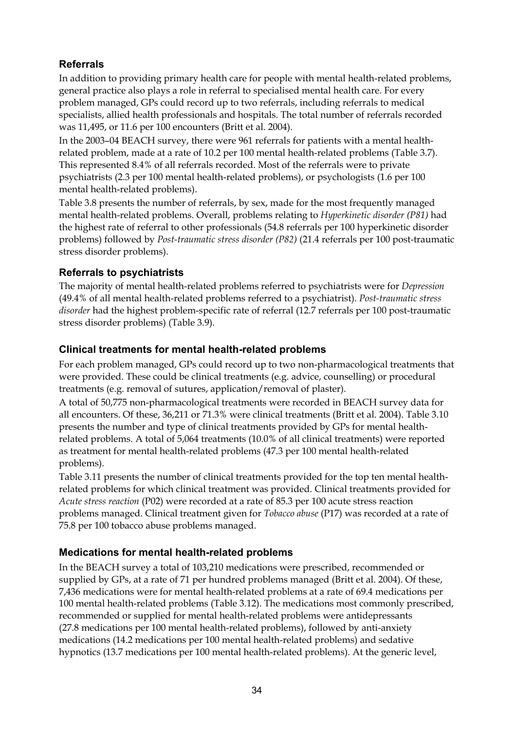### **Referrals**

In addition to providing primary health care for people with mental health-related problems, general practice also plays a role in referral to specialised mental health care. For every problem managed, GPs could record up to two referrals, including referrals to medical specialists, allied health professionals and hospitals. The total number of referrals recorded was 11,495, or 11.6 per 100 encounters (Britt et al. 2004).

In the 2003–04 BEACH survey, there were 961 referrals for patients with a mental healthrelated problem, made at a rate of 10.2 per 100 mental health-related problems (Table 3.7). This represented 8.4% of all referrals recorded. Most of the referrals were to private psychiatrists (2.3 per 100 mental health-related problems), or psychologists (1.6 per 100 mental health-related problems).

Table 3.8 presents the number of referrals, by sex, made for the most frequently managed mental health-related problems. Overall, problems relating to *Hyperkinetic disorder (P81)* had the highest rate of referral to other professionals (54.8 referrals per 100 hyperkinetic disorder problems) followed by *Post-traumatic stress disorder (P82)* (21.4 referrals per 100 post-traumatic stress disorder problems).

### **Referrals to psychiatrists**

The majority of mental health-related problems referred to psychiatrists were for *Depression* (49.4% of all mental health-related problems referred to a psychiatrist). *Post-traumatic stress disorder* had the highest problem-specific rate of referral (12.7 referrals per 100 post-traumatic stress disorder problems) (Table 3.9).

### **Clinical treatments for mental health-related problems**

For each problem managed, GPs could record up to two non-pharmacological treatments that were provided. These could be clinical treatments (e.g. advice, counselling) or procedural treatments (e.g. removal of sutures, application/removal of plaster).

A total of 50,775 non-pharmacological treatments were recorded in BEACH survey data for all encounters. Of these, 36,211 or 71.3% were clinical treatments (Britt et al. 2004). Table 3.10 presents the number and type of clinical treatments provided by GPs for mental healthrelated problems. A total of 5,064 treatments (10.0% of all clinical treatments) were reported as treatment for mental health-related problems (47.3 per 100 mental health-related problems).

Table 3.11 presents the number of clinical treatments provided for the top ten mental healthrelated problems for which clinical treatment was provided. Clinical treatments provided for *Acute stress reaction* (P02) were recorded at a rate of 85.3 per 100 acute stress reaction problems managed. Clinical treatment given for *Tobacco abuse* (P17) was recorded at a rate of 75.8 per 100 tobacco abuse problems managed.

### **Medications for mental health-related problems**

In the BEACH survey a total of 103,210 medications were prescribed, recommended or supplied by GPs, at a rate of 71 per hundred problems managed (Britt et al. 2004). Of these, 7,436 medications were for mental health-related problems at a rate of 69.4 medications per 100 mental health-related problems (Table 3.12). The medications most commonly prescribed, recommended or supplied for mental health-related problems were antidepressants (27.8 medications per 100 mental health-related problems), followed by anti-anxiety medications (14.2 medications per 100 mental health-related problems) and sedative hypnotics (13.7 medications per 100 mental health-related problems). At the generic level,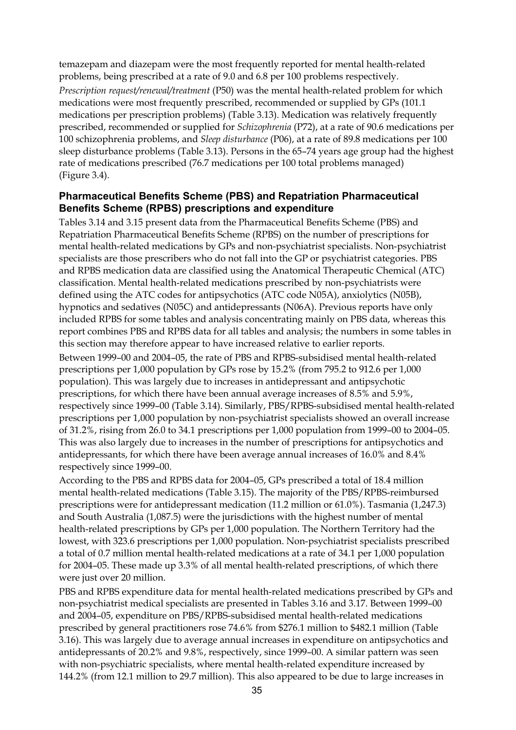temazepam and diazepam were the most frequently reported for mental health-related problems, being prescribed at a rate of 9.0 and 6.8 per 100 problems respectively. *Prescription request/renewal/treatment* (P50) was the mental health-related problem for which medications were most frequently prescribed, recommended or supplied by GPs (101.1 medications per prescription problems) (Table 3.13). Medication was relatively frequently prescribed, recommended or supplied for *Schizophrenia* (P72), at a rate of 90.6 medications per 100 schizophrenia problems, and *Sleep disturbance* (P06), at a rate of 89.8 medications per 100 sleep disturbance problems (Table 3.13). Persons in the 65–74 years age group had the highest rate of medications prescribed (76.7 medications per 100 total problems managed) (Figure 3.4).

#### **Pharmaceutical Benefits Scheme (PBS) and Repatriation Pharmaceutical Benefits Scheme (RPBS) prescriptions and expenditure**

Tables 3.14 and 3.15 present data from the Pharmaceutical Benefits Scheme (PBS) and Repatriation Pharmaceutical Benefits Scheme (RPBS) on the number of prescriptions for mental health-related medications by GPs and non-psychiatrist specialists. Non-psychiatrist specialists are those prescribers who do not fall into the GP or psychiatrist categories. PBS and RPBS medication data are classified using the Anatomical Therapeutic Chemical (ATC) classification. Mental health-related medications prescribed by non-psychiatrists were defined using the ATC codes for antipsychotics (ATC code N05A), anxiolytics (N05B), hypnotics and sedatives (N05C) and antidepressants (N06A). Previous reports have only included RPBS for some tables and analysis concentrating mainly on PBS data, whereas this report combines PBS and RPBS data for all tables and analysis; the numbers in some tables in this section may therefore appear to have increased relative to earlier reports.

Between 1999–00 and 2004–05, the rate of PBS and RPBS-subsidised mental health-related prescriptions per 1,000 population by GPs rose by 15.2% (from 795.2 to 912.6 per 1,000 population). This was largely due to increases in antidepressant and antipsychotic prescriptions, for which there have been annual average increases of 8.5% and 5.9%, respectively since 1999–00 (Table 3.14). Similarly, PBS/RPBS-subsidised mental health-related prescriptions per 1,000 population by non-psychiatrist specialists showed an overall increase of 31.2%, rising from 26.0 to 34.1 prescriptions per 1,000 population from 1999–00 to 2004–05. This was also largely due to increases in the number of prescriptions for antipsychotics and antidepressants, for which there have been average annual increases of 16.0% and 8.4% respectively since 1999–00.

According to the PBS and RPBS data for 2004–05, GPs prescribed a total of 18.4 million mental health-related medications (Table 3.15). The majority of the PBS/RPBS-reimbursed prescriptions were for antidepressant medication (11.2 million or 61.0%). Tasmania (1,247.3) and South Australia (1,087.5) were the jurisdictions with the highest number of mental health-related prescriptions by GPs per 1,000 population. The Northern Territory had the lowest, with 323.6 prescriptions per 1,000 population. Non-psychiatrist specialists prescribed a total of 0.7 million mental health-related medications at a rate of 34.1 per 1,000 population for 2004–05. These made up 3.3% of all mental health-related prescriptions, of which there were just over 20 million.

PBS and RPBS expenditure data for mental health-related medications prescribed by GPs and non-psychiatrist medical specialists are presented in Tables 3.16 and 3.17. Between 1999–00 and 2004–05, expenditure on PBS/RPBS-subsidised mental health-related medications prescribed by general practitioners rose 74.6% from \$276.1 million to \$482.1 million (Table 3.16). This was largely due to average annual increases in expenditure on antipsychotics and antidepressants of 20.2% and 9.8%, respectively, since 1999–00. A similar pattern was seen with non-psychiatric specialists, where mental health-related expenditure increased by 144.2% (from 12.1 million to 29.7 million). This also appeared to be due to large increases in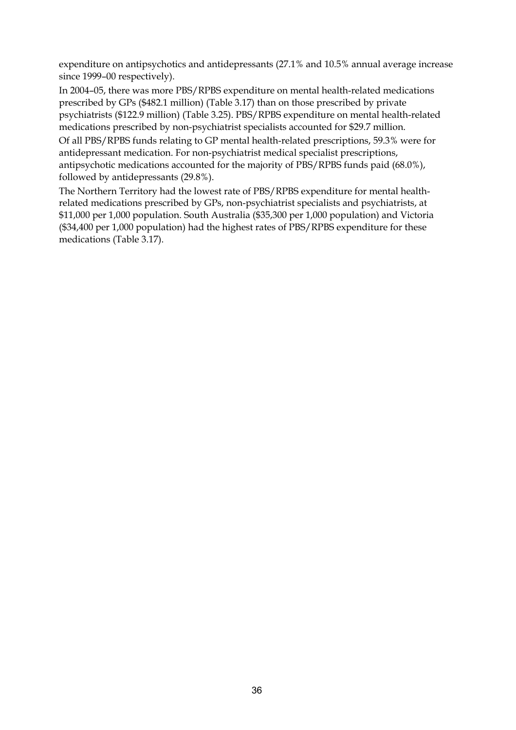expenditure on antipsychotics and antidepressants (27.1% and 10.5% annual average increase since 1999–00 respectively).

In 2004–05, there was more PBS/RPBS expenditure on mental health-related medications prescribed by GPs (\$482.1 million) (Table 3.17) than on those prescribed by private psychiatrists (\$122.9 million) (Table 3.25). PBS/RPBS expenditure on mental health-related medications prescribed by non-psychiatrist specialists accounted for \$29.7 million. Of all PBS/RPBS funds relating to GP mental health-related prescriptions, 59.3% were for antidepressant medication. For non-psychiatrist medical specialist prescriptions, antipsychotic medications accounted for the majority of PBS/RPBS funds paid (68.0%),

followed by antidepressants (29.8%).

The Northern Territory had the lowest rate of PBS/RPBS expenditure for mental healthrelated medications prescribed by GPs, non-psychiatrist specialists and psychiatrists, at \$11,000 per 1,000 population. South Australia (\$35,300 per 1,000 population) and Victoria (\$34,400 per 1,000 population) had the highest rates of PBS/RPBS expenditure for these medications (Table 3.17).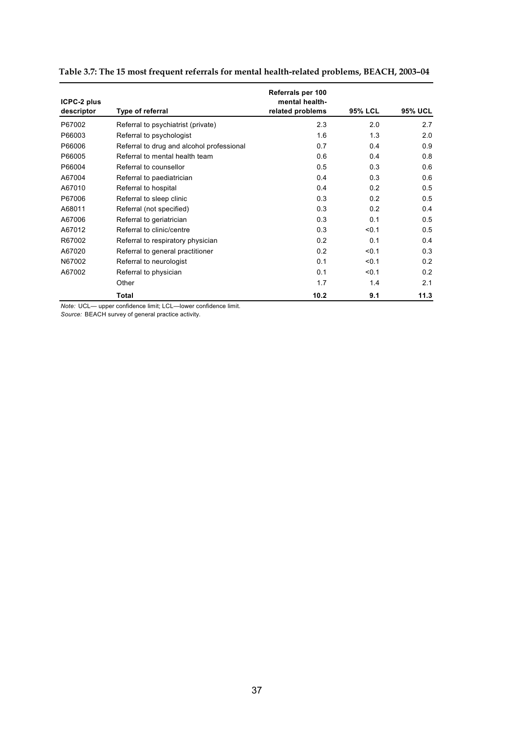| ICPC-2 plus<br>descriptor | Type of referral                          | Referrals per 100<br>mental health-<br>related problems | <b>95% LCL</b> | <b>95% UCL</b> |
|---------------------------|-------------------------------------------|---------------------------------------------------------|----------------|----------------|
| P67002                    | Referral to psychiatrist (private)        | 2.3                                                     | 2.0            | 2.7            |
| P66003                    | Referral to psychologist                  | 1.6                                                     | 1.3            | 2.0            |
| P66006                    | Referral to drug and alcohol professional | 0.7                                                     | 0.4            | 0.9            |
| P66005                    | Referral to mental health team            | 0.6                                                     | 0.4            | 0.8            |
| P66004                    | Referral to counsellor                    | 0.5                                                     | 0.3            | 0.6            |
| A67004                    | Referral to paediatrician                 | 0.4                                                     | 0.3            | 0.6            |
| A67010                    | Referral to hospital                      | 0.4                                                     | 0.2            | 0.5            |
| P67006                    | Referral to sleep clinic                  | 0.3                                                     | 0 <sub>2</sub> | 0.5            |
| A68011                    | Referral (not specified)                  | 0.3                                                     | 0.2            | 0.4            |
| A67006                    | Referral to geriatrician                  | 0.3                                                     | 0.1            | 0.5            |
| A67012                    | Referral to clinic/centre                 | 0.3                                                     | < 0.1          | 0.5            |
| R67002                    | Referral to respiratory physician         | 0.2                                                     | 0.1            | 0.4            |
| A67020                    | Referral to general practitioner          | 0.2                                                     | < 0.1          | 0.3            |
| N67002                    | Referral to neurologist                   | 0.1                                                     | < 0.1          | 0.2            |
| A67002                    | Referral to physician                     | 0.1                                                     | < 0.1          | 0.2            |
|                           | Other                                     | 1.7                                                     | 1.4            | 2.1            |
|                           | Total                                     | 10.2                                                    | 9.1            | 11.3           |

|  | Table 3.7: The 15 most frequent referrals for mental health-related problems, BEACH, 2003-04 |  |  |
|--|----------------------------------------------------------------------------------------------|--|--|
|--|----------------------------------------------------------------------------------------------|--|--|

*Note:* UCL— upper confidence limit; LCL—lower confidence limit.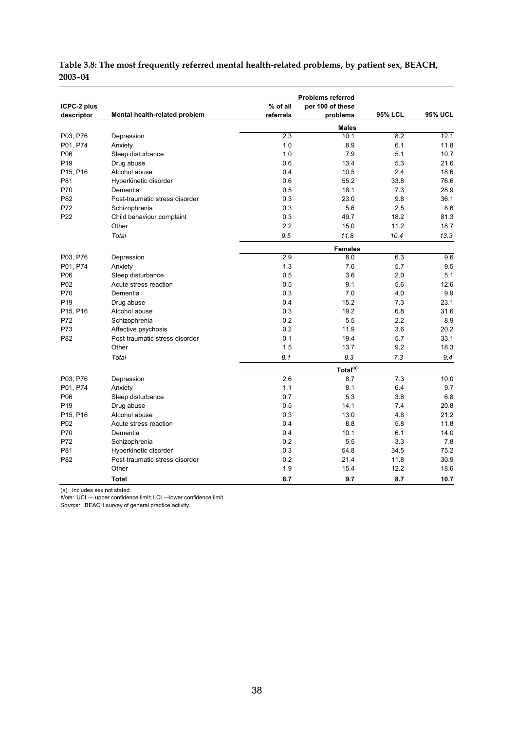|                                   |                                | $%$ of all | <b>Problems referred</b>     |                |                |
|-----------------------------------|--------------------------------|------------|------------------------------|----------------|----------------|
| ICPC-2 plus<br>descriptor         | Mental health-related problem  | referrals  | per 100 of these<br>problems | <b>95% LCL</b> | <b>95% UCL</b> |
|                                   |                                |            | <b>Males</b>                 |                |                |
| P03, P76                          | Depression                     | 2.3        | 10.1                         | 8.2            | 12.1           |
| P01, P74                          | Anxiety                        | 1.0        | 8.9                          | 6.1            | 11.8           |
| P06                               | Sleep disturbance              | 1.0        | 7.9                          | 5.1            | 10.7           |
| P <sub>19</sub>                   | Drug abuse                     | 0.6        | 13.4                         | 5.3            | 21.6           |
| P15, P16                          | Alcohol abuse                  | 0.4        | 10.5                         | 2.4            | 18.6           |
| P81                               | Hyperkinetic disorder          | 0.6        | 55.2                         | 33.8           | 76.6           |
| P70                               | Dementia                       | 0.5        | 18.1                         | 7.3            | 28.9           |
| P82                               | Post-traumatic stress disorder | 0.3        | 23.0                         | 9.8            | 36.1           |
| P72                               | Schizophrenia                  | 0.3        | 5.6                          | 2.5            | 8.6            |
| P22                               | Child behaviour complaint      | 0.3        | 49.7                         | 18.2           | 81.3           |
|                                   | Other                          | 2.2        | 15.0                         | 11.2           | 18.7           |
|                                   | Total                          | 9.5        | 11.8                         | 10.4           | 13.3           |
|                                   |                                |            | <b>Females</b>               |                |                |
| P03, P76                          | Depression                     | 2.9        | 8.0                          | 6.3            | 9.6            |
| P01, P74                          | Anxiety                        | 1.3        | 7.6                          | 5.7            | 9.5            |
| P06                               | Sleep disturbance              | 0.5        | 3.6                          | 2.0            | 5.1            |
| P <sub>02</sub>                   | Acute stress reaction          | 0.5        | 9.1                          | 5.6            | 12.6           |
| P70                               | Dementia                       | 0.3        | 7.0                          | 4.0            | 9.9            |
| P <sub>19</sub>                   | Drug abuse                     | 0.4        | 15.2                         | 7.3            | 23.1           |
| P <sub>15</sub> , P <sub>16</sub> | Alcohol abuse                  | 0.3        | 19.2                         | 6.8            | 31.6           |
| P72                               | Schizophrenia                  | 0.2        | 5.5                          | 2.2            | 8.9            |
| P73                               | Affective psychosis            | 0.2        | 11.9                         | 3.6            | 20.2           |
| P82                               | Post-traumatic stress disorder | 0.1        | 19.4                         | 5.7            | 33.1           |
|                                   | Other                          | 1.5        | 13.7                         | 9.2            | 18.3           |
|                                   | Total                          | 8.1        | 8.3                          | 7.3            | 9.4            |
|                                   |                                |            | Total <sup>(a)</sup>         |                |                |
| P03, P76                          | Depression                     | 2.6        | 8.7                          | 7.3            | 10.0           |
| P01, P74                          | Anxiety                        | 1.1        | 8.1                          | 6.4            | 9.7            |
| P06                               | Sleep disturbance              | 0.7        | 5.3                          | 3.8            | 6.8            |
| P <sub>19</sub>                   | Drug abuse                     | 0.5        | 14.1                         | 7.4            | 20.8           |
| P <sub>15</sub> , P <sub>16</sub> | Alcohol abuse                  | 0.3        | 13.0                         | 4.8            | 21.2           |
| P02                               | Acute stress reaction          | 0.4        | 8.8                          | 5.8            | 11.8           |
| P70                               | Dementia                       | 0.4        | 10.1                         | 6.1            | 14.0           |
| P72                               | Schizophrenia                  | 0.2        | 5.5                          | 3.3            | 7.8            |
| P81                               | Hyperkinetic disorder          | 0.3        | 54.8                         | 34.5           | 75.2           |
| P82                               | Post-traumatic stress disorder | 0.2        | 21.4                         | 11.8           | 30.9           |
|                                   | Other                          | 1.9        | 15.4                         | 12.2           | 18.6           |
|                                   | <b>Total</b>                   | 8.7        | 9.7                          | 8.7            | 10.7           |

#### **Table 3.8: The most frequently referred mental health-related problems, by patient sex, BEACH, 2003–04**

(a) Includes sex not stated.

*Note:* UCL— upper confidence limit; LCL—lower confidence limit.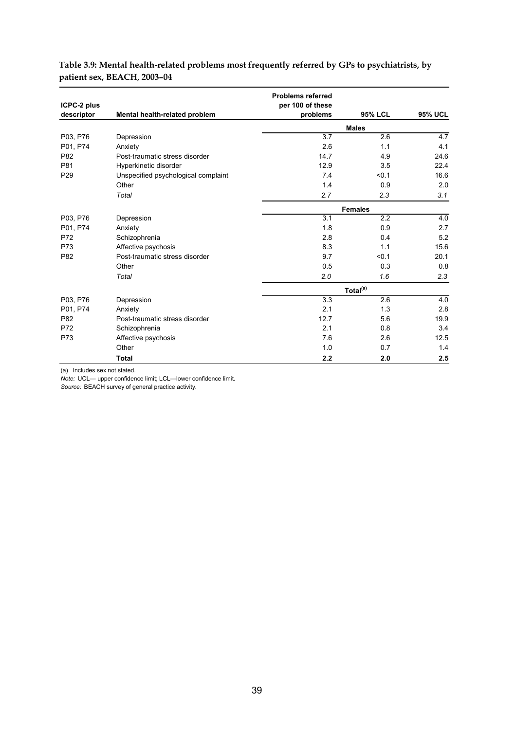|                                  |                                     | <b>Problems referred</b>     |                      |                  |
|----------------------------------|-------------------------------------|------------------------------|----------------------|------------------|
| <b>ICPC-2 plus</b><br>descriptor | Mental health-related problem       | per 100 of these<br>problems | <b>95% LCL</b>       | <b>95% UCL</b>   |
|                                  |                                     |                              | <b>Males</b>         |                  |
| P03, P76                         | Depression                          | 3.7                          | 2.6                  | 4.7              |
| P01, P74                         | Anxiety                             | 2.6                          | 1.1                  | 4.1              |
| P82                              | Post-traumatic stress disorder      | 14.7                         | 4.9                  | 24.6             |
| P81                              | Hyperkinetic disorder               | 12.9                         | 3.5                  | 22.4             |
| P <sub>29</sub>                  | Unspecified psychological complaint | 7.4                          | < 0.1                | 16.6             |
|                                  | Other                               | 1.4                          | 0.9                  | 2.0              |
|                                  | Total                               | 2.7                          | 2.3                  | 3.1              |
|                                  |                                     |                              | <b>Females</b>       |                  |
| P03, P76                         | Depression                          | 3.1                          | 2.2                  | 4.0              |
| P01, P74                         | Anxiety                             | 1.8                          | 0.9                  | 2.7              |
| P72                              | Schizophrenia                       | 2.8                          | 0.4                  | 5.2              |
| P73                              | Affective psychosis                 | 8.3                          | 1.1                  | 15.6             |
| P82                              | Post-traumatic stress disorder      | 9.7                          | < 0.1                | 20.1             |
|                                  | Other                               | 0.5                          | 0.3                  | 0.8              |
|                                  | Total                               | 2.0                          | 1.6                  | 2.3              |
|                                  |                                     |                              | Total <sup>(a)</sup> |                  |
| P03, P76                         | Depression                          | 3.3                          | 2.6                  | $\overline{4.0}$ |
| P01, P74                         | Anxiety                             | 2.1                          | 1.3                  | 2.8              |
| P82                              | Post-traumatic stress disorder      | 12.7                         | 5.6                  | 19.9             |
| P72                              | Schizophrenia                       | 2.1                          | 0.8                  | 3.4              |
| P73                              | Affective psychosis                 | 7.6                          | 2.6                  | 12.5             |
|                                  | Other                               | 1.0                          | 0.7                  | 1.4              |
|                                  | <b>Total</b>                        | 2.2                          | 2.0                  | 2.5              |

#### **Table 3.9: Mental health-related problems most frequently referred by GPs to psychiatrists, by patient sex, BEACH, 2003–04**

(a) Includes sex not stated.

*Note:* UCL— upper confidence limit; LCL—lower confidence limit.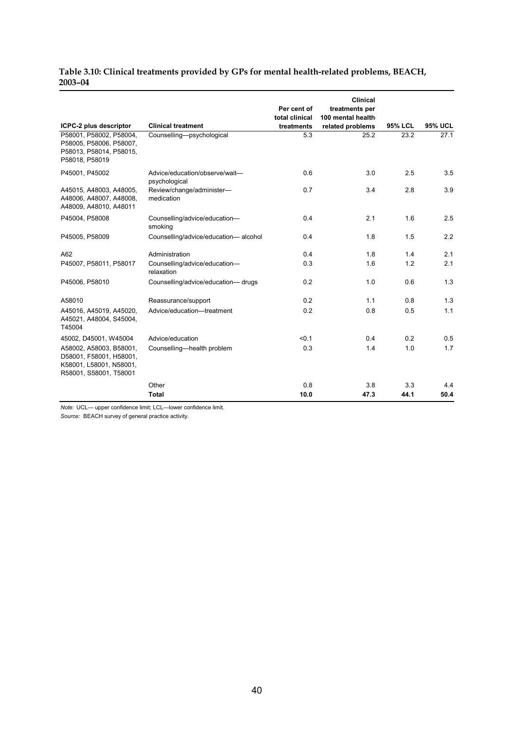#### **Table 3.10: Clinical treatments provided by GPs for mental health-related problems, BEACH, 2003–04**

| ICPC-2 plus descriptor                                                                                  | <b>Clinical treatment</b>                       | Per cent of<br>total clinical<br>treatments | Clinical<br>treatments per<br>100 mental health<br>related problems | <b>95% LCL</b> | <b>95% UCL</b> |
|---------------------------------------------------------------------------------------------------------|-------------------------------------------------|---------------------------------------------|---------------------------------------------------------------------|----------------|----------------|
| P58001, P58002, P58004.<br>P58005, P58006, P58007,<br>P58013, P58014, P58015,<br>P58018, P58019         | Counselling-psychological                       | 5.3                                         | 25.2                                                                | 23.2           | 27.1           |
| P45001, P45002                                                                                          | Advice/education/observe/wait-<br>psychological | 0.6                                         | 3.0                                                                 | 2.5            | 3.5            |
| A45015, A48003, A48005,<br>A48006, A48007, A48008,<br>A48009, A48010, A48011                            | Review/change/administer-<br>medication         | 0.7                                         | 3.4                                                                 | 2.8            | 3.9            |
| P45004, P58008                                                                                          | Counselling/advice/education-<br>smoking        | 0.4                                         | 2.1                                                                 | 1.6            | 2.5            |
| P45005, P58009                                                                                          | Counselling/advice/education-alcohol            | 0.4                                         | 1.8                                                                 | 1.5            | 2.2            |
| A62                                                                                                     | Administration                                  | 0.4                                         | 1.8                                                                 | 1.4            | 2.1            |
| P45007, P58011, P58017                                                                                  | Counselling/advice/education-<br>relaxation     | 0.3                                         | 1.6                                                                 | 1.2            | 2.1            |
| P45006, P58010                                                                                          | Counselling/advice/education-drugs              | 0.2                                         | 1.0                                                                 | 0.6            | 1.3            |
| A58010                                                                                                  | Reassurance/support                             | 0.2                                         | 1.1                                                                 | 0.8            | 1.3            |
| A45016, A45019, A45020,<br>A45021, A48004, S45004,<br>T45004                                            | Advice/education-treatment                      | 0.2                                         | 0.8                                                                 | 0.5            | 1.1            |
| 45002, D45001, W45004                                                                                   | Advice/education                                | < 0.1                                       | 0.4                                                                 | 0.2            | 0.5            |
| A58002, A58003, B58001,<br>D58001, F58001, H58001,<br>K58001, L58001, N58001,<br>R58001, S58001, T58001 | Counselling-health problem                      | 0.3                                         | 1.4                                                                 | 1.0            | 1.7            |
|                                                                                                         | Other                                           | 0.8                                         | 3.8                                                                 | 3.3            | 4.4            |
|                                                                                                         | <b>Total</b>                                    | 10.0                                        | 47.3                                                                | 44.1           | 50.4           |

*Note:* UCL— upper confidence limit; LCL—lower confidence limit.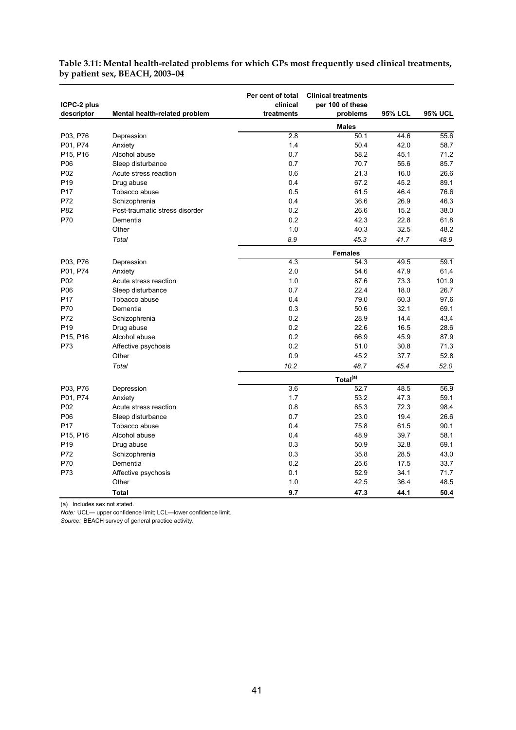| ICPC-2 plus<br>descriptor | Mental health-related problem  | Per cent of total<br>clinical<br>treatments | <b>Clinical treatments</b><br>per 100 of these<br>problems | <b>95% LCL</b> | <b>95% UCL</b> |
|---------------------------|--------------------------------|---------------------------------------------|------------------------------------------------------------|----------------|----------------|
|                           |                                |                                             | <b>Males</b>                                               |                |                |
| P03, P76                  | Depression                     | 2.8                                         | 50.1                                                       | 44.6           | 55.6           |
| P01, P74                  | Anxiety                        | 1.4                                         | 50.4                                                       | 42.0           | 58.7           |
| P15, P16                  | Alcohol abuse                  | 0.7                                         | 58.2                                                       | 45.1           | 71.2           |
| P06                       | Sleep disturbance              | 0.7                                         | 70.7                                                       | 55.6           | 85.7           |
| P <sub>02</sub>           | Acute stress reaction          | 0.6                                         | 21.3                                                       | 16.0           | 26.6           |
| P <sub>19</sub>           | Drug abuse                     | 0.4                                         | 67.2                                                       | 45.2           | 89.1           |
| P <sub>17</sub>           | Tobacco abuse                  | 0.5                                         | 61.5                                                       | 46.4           | 76.6           |
| P72                       | Schizophrenia                  | 0.4                                         | 36.6                                                       | 26.9           | 46.3           |
| P82                       | Post-traumatic stress disorder | 0.2                                         | 26.6                                                       | 15.2           | 38.0           |
| P70                       | Dementia                       | 0.2                                         | 42.3                                                       | 22.8           | 61.8           |
|                           | Other                          | 1.0                                         | 40.3                                                       | 32.5           | 48.2           |
|                           | Total                          | 8.9                                         | 45.3                                                       | 41.7           | 48.9           |
|                           |                                |                                             | <b>Females</b>                                             |                |                |
| P03, P76                  | Depression                     | 4.3                                         | 54.3                                                       | 49.5           | 59.1           |
| P01, P74                  | Anxiety                        | 2.0                                         | 54.6                                                       | 47.9           | 61.4           |
| P <sub>02</sub>           | Acute stress reaction          | 1.0                                         | 87.6                                                       | 73.3           | 101.9          |
| P06                       | Sleep disturbance              | 0.7                                         | 22.4                                                       | 18.0           | 26.7           |
| P <sub>17</sub>           | Tobacco abuse                  | 0.4                                         | 79.0                                                       | 60.3           | 97.6           |
| P70                       | Dementia                       | 0.3                                         | 50.6                                                       | 32.1           | 69.1           |
| P72                       | Schizophrenia                  | 0.2                                         | 28.9                                                       | 14.4           | 43.4           |
| P <sub>19</sub>           | Drug abuse                     | 0.2                                         | 22.6                                                       | 16.5           | 28.6           |
| P15, P16                  | Alcohol abuse                  | 0.2                                         | 66.9                                                       | 45.9           | 87.9           |
| P73                       | Affective psychosis            | 0.2                                         | 51.0                                                       | 30.8           | 71.3           |
|                           | Other                          | 0.9                                         | 45.2                                                       | 37.7           | 52.8           |
|                           | Total                          | 10.2                                        | 48.7                                                       | 45.4           | 52.0           |
|                           |                                |                                             | Total <sup>(a)</sup>                                       |                |                |
| P03, P76                  | Depression                     | $\overline{3.6}$                            | 52.7                                                       | 48.5           | 56.9           |
| P01, P74                  | Anxiety                        | 1.7                                         | 53.2                                                       | 47.3           | 59.1           |
| P <sub>02</sub>           | Acute stress reaction          | 0.8                                         | 85.3                                                       | 72.3           | 98.4           |
| P06                       | Sleep disturbance              | 0.7                                         | 23.0                                                       | 19.4           | 26.6           |
| P <sub>17</sub>           | Tobacco abuse                  | 0.4                                         | 75.8                                                       | 61.5           | 90.1           |
| P15, P16                  | Alcohol abuse                  | 0.4                                         | 48.9                                                       | 39.7           | 58.1           |
| P <sub>19</sub>           | Drug abuse                     | 0.3                                         | 50.9                                                       | 32.8           | 69.1           |
| P72                       | Schizophrenia                  | 0.3                                         | 35.8                                                       | 28.5           | 43.0           |
| P70                       | Dementia                       | 0.2                                         | 25.6                                                       | 17.5           | 33.7           |
| P73                       | Affective psychosis            | 0.1                                         | 52.9                                                       | 34.1           | 71.7           |
|                           | Other                          | 1.0                                         | 42.5                                                       | 36.4           | 48.5           |
|                           | <b>Total</b>                   | 9.7                                         | 47.3                                                       | 44.1           | 50.4           |

#### **Table 3.11: Mental health-related problems for which GPs most frequently used clinical treatments, by patient sex, BEACH, 2003–04**

(a) Includes sex not stated.

*Note:* UCL— upper confidence limit; LCL—lower confidence limit.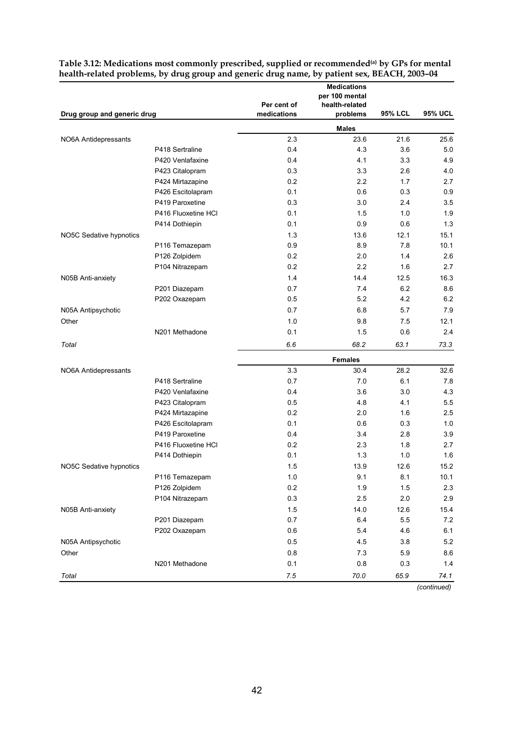|                             |                     | Per cent of | <b>Medications</b><br>per 100 mental<br>health-related |                |                |
|-----------------------------|---------------------|-------------|--------------------------------------------------------|----------------|----------------|
| Drug group and generic drug |                     | medications | problems                                               | <b>95% LCL</b> | <b>95% UCL</b> |
|                             |                     |             | <b>Males</b>                                           |                |                |
| NO6A Antidepressants        |                     | 2.3         | 23.6                                                   | 21.6           | 25.6           |
|                             | P418 Sertraline     | 0.4         | 4.3                                                    | 3.6            | 5.0            |
|                             | P420 Venlafaxine    | 0.4         | 4.1                                                    | 3.3            | 4.9            |
|                             | P423 Citalopram     | 0.3         | 3.3                                                    | 2.6            | 4.0            |
|                             | P424 Mirtazapine    | 0.2         | 2.2                                                    | 1.7            | 2.7            |
|                             | P426 Escitolapram   | 0.1         | 0.6                                                    | 0.3            | 0.9            |
|                             | P419 Paroxetine     | 0.3         | 3.0                                                    | 2.4            | 3.5            |
|                             | P416 Fluoxetine HCI | 0.1         | 1.5                                                    | 1.0            | 1.9            |
|                             | P414 Dothiepin      | 0.1         | 0.9                                                    | 0.6            | 1.3            |
| NO5C Sedative hypnotics     |                     | 1.3         | 13.6                                                   | 12.1           | 15.1           |
|                             | P116 Temazepam      | 0.9         | 8.9                                                    | 7.8            | 10.1           |
|                             | P126 Zolpidem       | 0.2         | 2.0                                                    | 1.4            | 2.6            |
|                             | P104 Nitrazepam     | 0.2         | 2.2                                                    | 1.6            | 2.7            |
| N05B Anti-anxiety           |                     | 1.4         | 14.4                                                   | 12.5           | 16.3           |
|                             | P201 Diazepam       | 0.7         | 7.4                                                    | 6.2            | 8.6            |
|                             | P202 Oxazepam       | 0.5         | 5.2                                                    | 4.2            | 6.2            |
| N05A Antipsychotic          |                     | 0.7         | 6.8                                                    | 5.7            | 7.9            |
| Other                       |                     | 1.0         | 9.8                                                    | 7.5            | 12.1           |
|                             | N201 Methadone      | 0.1         | 1.5                                                    | 0.6            | 2.4            |
| Total                       |                     | 6.6         | 68.2                                                   | 63.1           | 73.3           |
|                             |                     |             | <b>Females</b>                                         |                |                |
| NO6A Antidepressants        |                     | 3.3         | 30.4                                                   | 28.2           | 32.6           |
|                             | P418 Sertraline     | 0.7         | 7.0                                                    | 6.1            | 7.8            |
|                             | P420 Venlafaxine    | 0.4         | 3.6                                                    | 3.0            | 4.3            |
|                             | P423 Citalopram     | 0.5         | 4.8                                                    | 4.1            | 5.5            |
|                             | P424 Mirtazapine    | 0.2         | 2.0                                                    | 1.6            | 2.5            |
|                             | P426 Escitolapram   | 0.1         | 0.6                                                    | 0.3            | 1.0            |
|                             | P419 Paroxetine     | 0.4         | 3.4                                                    | 2.8            | 3.9            |
|                             | P416 Fluoxetine HCI | 0.2         | 2.3                                                    | 1.8            | 2.7            |
|                             | P414 Dothiepin      | 0.1         | 1.3                                                    | 1.0            | 1.6            |
| NO5C Sedative hypnotics     |                     | 1.5         | 13.9                                                   | 12.6           | 15.2           |
|                             | P116 Temazepam      | 1.0         | 9.1                                                    | 8.1            | 10.1           |
|                             | P126 Zolpidem       | 0.2         | 1.9                                                    | 1.5            | 2.3            |
|                             | P104 Nitrazepam     | 0.3         | 2.5                                                    | 2.0            | 2.9            |
| N05B Anti-anxiety           |                     | 1.5         | 14.0                                                   | 12.6           | 15.4           |
|                             | P201 Diazepam       | 0.7         | 6.4                                                    | 5.5            | 7.2            |
|                             | P202 Oxazepam       | 0.6         | 5.4                                                    | 4.6            | 6.1            |
| N05A Antipsychotic          |                     | 0.5         | 4.5                                                    | 3.8            | 5.2            |
| Other                       |                     | 0.8         | 7.3                                                    | 5.9            | 8.6            |
|                             | N201 Methadone      | 0.1         | $0.8\,$                                                | 0.3            | 1.4            |
| Total                       |                     | 7.5         | 70.0                                                   | 65.9           | 74.1           |

| Table 3.12: Medications most commonly prescribed, supplied or recommended <sup>(a)</sup> by GPs for mental |
|------------------------------------------------------------------------------------------------------------|
| health-related problems, by drug group and generic drug name, by patient sex, BEACH, 2003-04               |

*(continued)*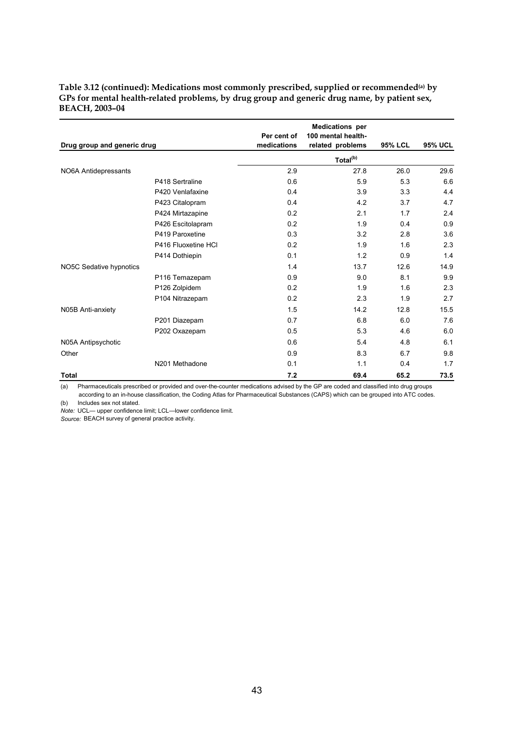| Drug group and generic drug |                     | Per cent of<br>medications | <b>Medications</b> per<br>100 mental health-<br>related problems | <b>95% LCL</b> | <b>95% UCL</b> |
|-----------------------------|---------------------|----------------------------|------------------------------------------------------------------|----------------|----------------|
|                             |                     |                            | Total <sup>(b)</sup>                                             |                |                |
| NO6A Antidepressants        |                     | 2.9                        | 27.8                                                             | 26.0           | 29.6           |
|                             | P418 Sertraline     | 0.6                        | 5.9                                                              | 5.3            | 6.6            |
|                             | P420 Venlafaxine    | 0.4                        | 3.9                                                              | 3.3            | 4.4            |
|                             | P423 Citalopram     | 0.4                        | 4.2                                                              | 3.7            | 4.7            |
|                             | P424 Mirtazapine    | 0.2                        | 2.1                                                              | 1.7            | 2.4            |
|                             | P426 Escitolapram   | 0.2                        | 1.9                                                              | 0.4            | 0.9            |
|                             | P419 Paroxetine     | 0.3                        | 3.2                                                              | 2.8            | 3.6            |
|                             | P416 Fluoxetine HCI | 0.2                        | 1.9                                                              | 1.6            | 2.3            |
|                             | P414 Dothiepin      | 0.1                        | 1.2                                                              | 0.9            | 1.4            |
| NO5C Sedative hypnotics     |                     | 1.4                        | 13.7                                                             | 12.6           | 14.9           |
|                             | P116 Temazepam      | 0.9                        | 9.0                                                              | 8.1            | 9.9            |
|                             | P126 Zolpidem       | 0.2                        | 1.9                                                              | 1.6            | 2.3            |
|                             | P104 Nitrazepam     | 0.2                        | 2.3                                                              | 1.9            | 2.7            |
| N05B Anti-anxiety           |                     | 1.5                        | 14.2                                                             | 12.8           | 15.5           |
|                             | P201 Diazepam       | 0.7                        | 6.8                                                              | 6.0            | 7.6            |
|                             | P202 Oxazepam       | 0.5                        | 5.3                                                              | 4.6            | 6.0            |
| N05A Antipsychotic          |                     | 0.6                        | 5.4                                                              | 4.8            | 6.1            |
| Other                       |                     | 0.9                        | 8.3                                                              | 6.7            | 9.8            |
|                             | N201 Methadone      | 0.1                        | 1.1                                                              | 0.4            | 1.7            |
| <b>Total</b>                |                     | 7.2                        | 69.4                                                             | 65.2           | 73.5           |

**Table 3.12 (continued): Medications most commonly prescribed, supplied or recommended(a) by GPs for mental health-related problems, by drug group and generic drug name, by patient sex, BEACH, 2003–04** 

(a) Pharmaceuticals prescribed or provided and over-the-counter medications advised by the GP are coded and classified into drug groups according to an in-house classification, the Coding Atlas for Pharmaceutical Substances (CAPS) which can be grouped into ATC codes.

(b) Includes sex not stated.

*Note:* UCL— upper confidence limit; LCL—lower confidence limit.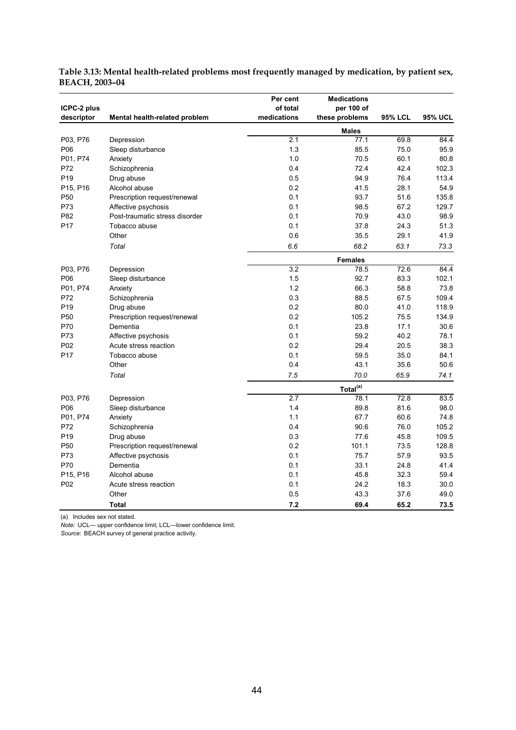| ICPC-2 plus<br>descriptor | Mental health-related problem  | Per cent<br>of total<br>medications | <b>Medications</b><br>per 100 of<br>these problems | <b>95% LCL</b> | <b>95% UCL</b> |
|---------------------------|--------------------------------|-------------------------------------|----------------------------------------------------|----------------|----------------|
|                           |                                |                                     | <b>Males</b>                                       |                |                |
| P03, P76                  | Depression                     | 2.1                                 | 77.1                                               | 69.8           | 84.4           |
| P06                       | Sleep disturbance              | 1.3                                 | 85.5                                               | 75.0           | 95.9           |
| P01, P74                  | Anxiety                        | 1.0                                 | 70.5                                               | 60.1           | 80.8           |
| P72                       | Schizophrenia                  | 0.4                                 | 72.4                                               | 42.4           | 102.3          |
| P <sub>19</sub>           | Drug abuse                     | 0.5                                 | 94.9                                               | 76.4           | 113.4          |
| P15, P16                  | Alcohol abuse                  | 0.2                                 | 41.5                                               | 28.1           | 54.9           |
| P <sub>50</sub>           | Prescription request/renewal   | 0.1                                 | 93.7                                               | 51.6           | 135.8          |
| P73                       | Affective psychosis            | 0.1                                 | 98.5                                               | 67.2           | 129.7          |
| P82                       | Post-traumatic stress disorder | 0.1                                 | 70.9                                               | 43.0           | 98.9           |
| P <sub>17</sub>           | Tobacco abuse                  | 0.1                                 | 37.8                                               | 24.3           | 51.3           |
|                           | Other                          | 0.6                                 | 35.5                                               | 29.1           | 41.9           |
|                           | Total                          | 6.6                                 | 68.2                                               | 63.1           | 73.3           |
|                           |                                |                                     | <b>Females</b>                                     |                |                |
| P03, P76                  | Depression                     | $\overline{3.2}$                    | 78.5                                               | 72.6           | 84.4           |
| P06                       | Sleep disturbance              | 1.5                                 | 92.7                                               | 83.3           | 102.1          |
| P01, P74                  | Anxiety                        | 1.2                                 | 66.3                                               | 58.8           | 73.8           |
| P72                       | Schizophrenia                  | 0.3                                 | 88.5                                               | 67.5           | 109.4          |
| P <sub>19</sub>           | Drug abuse                     | 0.2                                 | 80.0                                               | 41.0           | 118.9          |
| P <sub>50</sub>           | Prescription request/renewal   | 0.2                                 | 105.2                                              | 75.5           | 134.9          |
| P70                       | Dementia                       | 0.1                                 | 23.8                                               | 17.1           | 30.6           |
| P73                       | Affective psychosis            | 0.1                                 | 59.2                                               | 40.2           | 78.1           |
| P02                       | Acute stress reaction          | 0.2                                 | 29.4                                               | 20.5           | 38.3           |
| P <sub>17</sub>           | Tobacco abuse                  | 0.1                                 | 59.5                                               | 35.0           | 84.1           |
|                           | Other                          | 0.4                                 | 43.1                                               | 35.6           | 50.6           |
|                           | Total                          | 7.5                                 | 70.0                                               | 65.9           | 74.1           |
|                           |                                |                                     | Total <sup>(a)</sup>                               |                |                |
| P03, P76                  | Depression                     | 2.7                                 | 78.1                                               | 72.8           | 83.5           |
| P06                       | Sleep disturbance              | 1.4                                 | 89.8                                               | 81.6           | 98.0           |
| P01, P74                  | Anxiety                        | 1.1                                 | 67.7                                               | 60.6           | 74.8           |
| P72                       | Schizophrenia                  | 0.4                                 | 90.6                                               | 76.0           | 105.2          |
| P <sub>19</sub>           | Drug abuse                     | 0.3                                 | 77.6                                               | 45.8           | 109.5          |
| P <sub>50</sub>           | Prescription request/renewal   | 0.2                                 | 101.1                                              | 73.5           | 128.8          |
| P73                       | Affective psychosis            | 0.1                                 | 75.7                                               | 57.9           | 93.5           |
| P70                       | Dementia                       | 0.1                                 | 33.1                                               | 24.8           | 41.4           |
| P15, P16                  | Alcohol abuse                  | 0.1                                 | 45.8                                               | 32.3           | 59.4           |
| P <sub>02</sub>           | Acute stress reaction          | 0.1                                 | 24.2                                               | 18.3           | 30.0           |
|                           | Other                          | 0.5                                 | 43.3                                               | 37.6           | 49.0           |
|                           | Total                          | 7.2                                 | 69.4                                               | 65.2           | 73.5           |

#### **Table 3.13: Mental health-related problems most frequently managed by medication, by patient sex, BEACH, 2003–04**

(a) Includes sex not stated.

*Note:* UCL— upper confidence limit; LCL—lower confidence limit.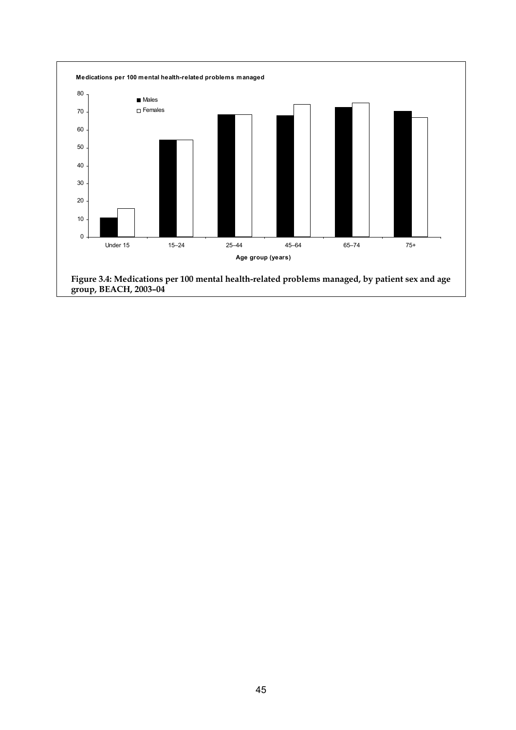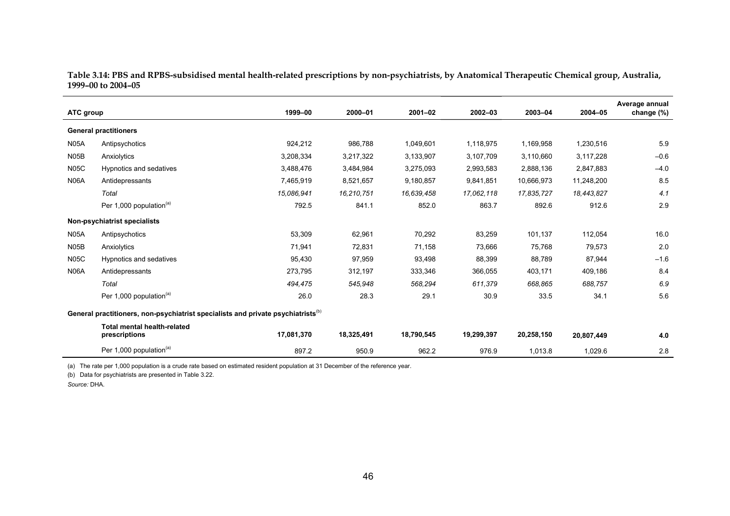**Table 3.14: PBS and RPBS-subsidised mental health-related prescriptions by non-psychiatrists, by Anatomical Therapeutic Chemical group, Australia, 1999–00 to 2004–05** 

| ATC group         |                                                                                              | 1999-00    | 2000-01    | $2001 - 02$ | $2002 - 03$ | 2003-04    | 2004-05    | Average annual<br>change (%) |
|-------------------|----------------------------------------------------------------------------------------------|------------|------------|-------------|-------------|------------|------------|------------------------------|
|                   | <b>General practitioners</b>                                                                 |            |            |             |             |            |            |                              |
| <b>N05A</b>       | Antipsychotics                                                                               | 924,212    | 986,788    | 1,049,601   | 1,118,975   | 1,169,958  | 1,230,516  | 5.9                          |
| N <sub>05</sub> B | Anxiolytics                                                                                  | 3,208,334  | 3,217,322  | 3,133,907   | 3,107,709   | 3,110,660  | 3,117,228  | $-0.6$                       |
| <b>N05C</b>       | Hypnotics and sedatives                                                                      | 3,488,476  | 3,484,984  | 3,275,093   | 2,993,583   | 2,888,136  | 2,847,883  | $-4.0$                       |
| <b>N06A</b>       | Antidepressants                                                                              | 7,465,919  | 8,521,657  | 9,180,857   | 9,841,851   | 10,666,973 | 11,248,200 | 8.5                          |
|                   | Total                                                                                        | 15,086,941 | 16,210,751 | 16,639,458  | 17,062,118  | 17,835,727 | 18,443,827 | 4.1                          |
|                   | Per 1,000 population <sup>(a)</sup>                                                          | 792.5      | 841.1      | 852.0       | 863.7       | 892.6      | 912.6      | 2.9                          |
|                   | Non-psychiatrist specialists                                                                 |            |            |             |             |            |            |                              |
| N05A              | Antipsychotics                                                                               | 53,309     | 62,961     | 70,292      | 83,259      | 101,137    | 112,054    | 16.0                         |
| N <sub>05</sub> B | Anxiolytics                                                                                  | 71,941     | 72,831     | 71,158      | 73,666      | 75,768     | 79,573     | 2.0                          |
| <b>N05C</b>       | Hypnotics and sedatives                                                                      | 95,430     | 97,959     | 93,498      | 88,399      | 88,789     | 87,944     | $-1.6$                       |
| <b>N06A</b>       | Antidepressants                                                                              | 273,795    | 312,197    | 333,346     | 366,055     | 403,171    | 409,186    | 8.4                          |
|                   | Total                                                                                        | 494,475    | 545,948    | 568,294     | 611,379     | 668,865    | 688,757    | 6.9                          |
|                   | Per 1,000 population <sup>(a)</sup>                                                          | 26.0       | 28.3       | 29.1        | 30.9        | 33.5       | 34.1       | 5.6                          |
|                   | General practitioners, non-psychiatrist specialists and private psychiatrists <sup>(b)</sup> |            |            |             |             |            |            |                              |
|                   | <b>Total mental health-related</b><br>prescriptions                                          | 17,081,370 | 18,325,491 | 18,790,545  | 19,299,397  | 20,258,150 | 20,807,449 | 4.0                          |
|                   | Per 1,000 population <sup>(a)</sup>                                                          | 897.2      | 950.9      | 962.2       | 976.9       | 1,013.8    | 1,029.6    | 2.8                          |

(a) The rate per 1,000 population is a crude rate based on estimated resident population at 31 December of the reference year.

(b) Data for psychiatrists are presented in Table 3.22.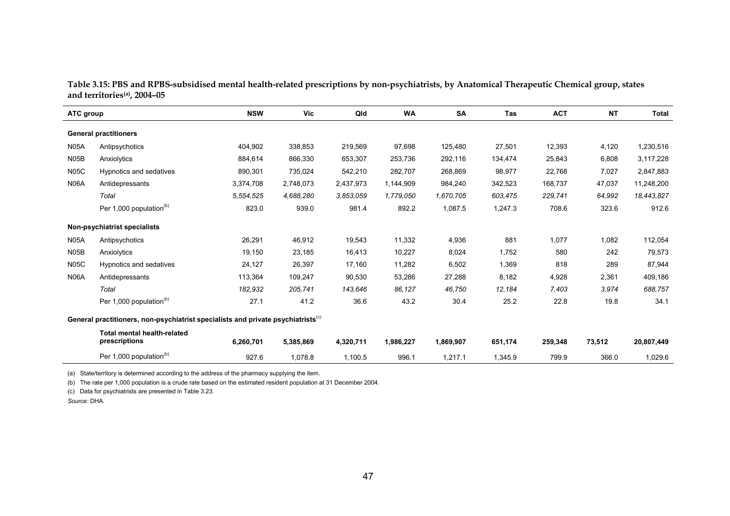| Table 3.15: PBS and RPBS-subsidised mental health-related prescriptions by non-psychiatrists, by Anatomical Therapeutic Chemical group, states |  |  |
|------------------------------------------------------------------------------------------------------------------------------------------------|--|--|
| and territories <sup>(a)</sup> , 2004–05                                                                                                       |  |  |

| ATC group         |                                                                                              | <b>NSW</b> | <b>Vic</b> | Qld       | <b>WA</b> | <b>SA</b> | Tas     | <b>ACT</b> | <b>NT</b> | <b>Total</b> |
|-------------------|----------------------------------------------------------------------------------------------|------------|------------|-----------|-----------|-----------|---------|------------|-----------|--------------|
|                   | <b>General practitioners</b>                                                                 |            |            |           |           |           |         |            |           |              |
| <b>N05A</b>       | Antipsychotics                                                                               | 404,902    | 338,853    | 219,569   | 97,698    | 125,480   | 27,501  | 12,393     | 4,120     | 1,230,516    |
| N <sub>05</sub> B | Anxiolytics                                                                                  | 884,614    | 866,330    | 653,307   | 253,736   | 292,116   | 134,474 | 25,843     | 6,808     | 3,117,228    |
| <b>N05C</b>       | Hypnotics and sedatives                                                                      | 890,301    | 735,024    | 542,210   | 282,707   | 268,869   | 98,977  | 22,768     | 7,027     | 2,847,883    |
| <b>N06A</b>       | Antidepressants                                                                              | 3,374,708  | 2,748,073  | 2,437,973 | 1,144,909 | 984,240   | 342,523 | 168,737    | 47,037    | 11,248,200   |
|                   | Total                                                                                        | 5,554,525  | 4,688,280  | 3.853.059 | 1,779,050 | 1,670,705 | 603,475 | 229,741    | 64,992    | 18,443,827   |
|                   | Per 1,000 population <sup>(b)</sup>                                                          | 823.0      | 939.0      | 981.4     | 892.2     | 1,087.5   | 1,247.3 | 708.6      | 323.6     | 912.6        |
|                   | Non-psychiatrist specialists                                                                 |            |            |           |           |           |         |            |           |              |
| <b>N05A</b>       | Antipsychotics                                                                               | 26,291     | 46,912     | 19,543    | 11,332    | 4,936     | 881     | 1.077      | 1,082     | 112,054      |
| N <sub>05</sub> B | Anxiolytics                                                                                  | 19,150     | 23,185     | 16,413    | 10,227    | 8,024     | 1,752   | 580        | 242       | 79,573       |
| <b>N05C</b>       | Hypnotics and sedatives                                                                      | 24,127     | 26,397     | 17,160    | 11,282    | 6,502     | 1,369   | 818        | 289       | 87,944       |
| <b>N06A</b>       | Antidepressants                                                                              | 113,364    | 109,247    | 90,530    | 53,286    | 27,288    | 8,182   | 4,928      | 2,361     | 409,186      |
|                   | Total                                                                                        | 182,932    | 205,741    | 143,646   | 86,127    | 46,750    | 12,184  | 7,403      | 3,974     | 688,757      |
|                   | Per 1,000 population <sup>(b)</sup>                                                          | 27.1       | 41.2       | 36.6      | 43.2      | 30.4      | 25.2    | 22.8       | 19.8      | 34.1         |
|                   | General practitioners, non-psychiatrist specialists and private psychiatrists <sup>(c)</sup> |            |            |           |           |           |         |            |           |              |
|                   | Total mental health-related<br>prescriptions                                                 | 6,260,701  | 5,385,869  | 4,320,711 | 1,986,227 | 1,869,907 | 651,174 | 259,348    | 73,512    | 20,807,449   |
|                   | Per 1,000 population <sup>(b)</sup>                                                          | 927.6      | 1,078.8    | 1,100.5   | 996.1     | 1,217.1   | 1,345.9 | 799.9      | 366.0     | 1,029.6      |

(a) State/territory is determined according to the address of the pharmacy supplying the item.

(b) The rate per 1,000 population is a crude rate based on the estimated resident population at 31 December 2004.

(c) Data for psychiatrists are presented in Table 3.23.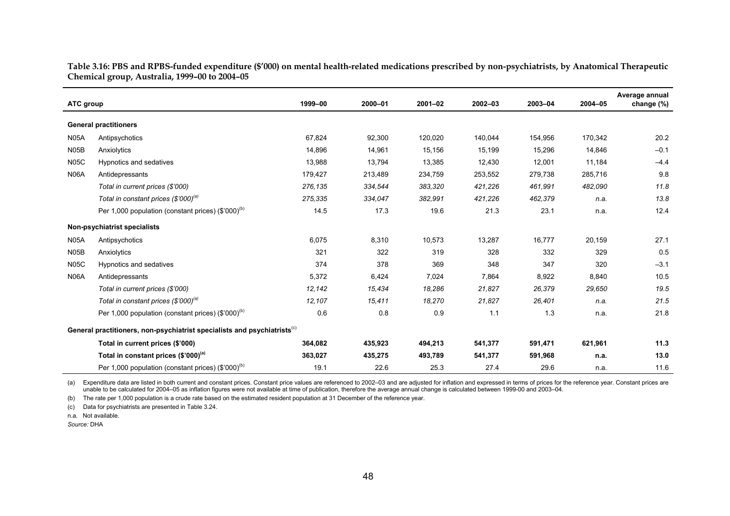**Table 3.16: PBS and RPBS-funded expenditure (\$'000) on mental health-related medications prescribed by non-psychiatrists, by Anatomical Therapeutic Chemical group, Australia, 1999–00 to 2004–05** 

| ATC group         |                                                                                      | 1999-00 | 2000-01 | $2001 - 02$ | 2002-03 | 2003-04 | 2004-05 | Average annual<br>change (%) |
|-------------------|--------------------------------------------------------------------------------------|---------|---------|-------------|---------|---------|---------|------------------------------|
|                   |                                                                                      |         |         |             |         |         |         |                              |
|                   | <b>General practitioners</b>                                                         |         |         |             |         |         |         |                              |
| <b>N05A</b>       | Antipsychotics                                                                       | 67,824  | 92,300  | 120,020     | 140,044 | 154,956 | 170,342 | 20.2                         |
| N <sub>05</sub> B | Anxiolytics                                                                          | 14,896  | 14,961  | 15,156      | 15,199  | 15,296  | 14,846  | $-0.1$                       |
| <b>N05C</b>       | Hypnotics and sedatives                                                              | 13,988  | 13,794  | 13,385      | 12,430  | 12,001  | 11,184  | $-4.4$                       |
| <b>N06A</b>       | Antidepressants                                                                      | 179,427 | 213,489 | 234,759     | 253,552 | 279,738 | 285,716 | 9.8                          |
|                   | Total in current prices (\$'000)                                                     | 276,135 | 334,544 | 383,320     | 421,226 | 461,991 | 482,090 | 11.8                         |
|                   | Total in constant prices (\$'000) <sup>(a)</sup>                                     | 275,335 | 334,047 | 382,991     | 421,226 | 462,379 | n.a.    | 13.8                         |
|                   | Per 1,000 population (constant prices) $(\$'000)$ <sup>(b)</sup>                     | 14.5    | 17.3    | 19.6        | 21.3    | 23.1    | n.a.    | 12.4                         |
|                   | Non-psychiatrist specialists                                                         |         |         |             |         |         |         |                              |
| <b>N05A</b>       | Antipsychotics                                                                       | 6,075   | 8,310   | 10,573      | 13,287  | 16,777  | 20,159  | 27.1                         |
| <b>N05B</b>       | Anxiolytics                                                                          | 321     | 322     | 319         | 328     | 332     | 329     | 0.5                          |
| <b>N05C</b>       | Hypnotics and sedatives                                                              | 374     | 378     | 369         | 348     | 347     | 320     | $-3.1$                       |
| <b>N06A</b>       | Antidepressants                                                                      | 5,372   | 6,424   | 7,024       | 7,864   | 8,922   | 8,840   | 10.5                         |
|                   | Total in current prices (\$'000)                                                     | 12,142  | 15,434  | 18,286      | 21,827  | 26,379  | 29,650  | 19.5                         |
|                   | Total in constant prices (\$'000) <sup>(a)</sup>                                     | 12,107  | 15,411  | 18,270      | 21,827  | 26,401  | n.a.    | 21.5                         |
|                   | Per 1,000 population (constant prices) $(\$'000)^{(b)}$                              | 0.6     | 0.8     | 0.9         | 1.1     | 1.3     | n.a.    | 21.8                         |
|                   | General practitioners, non-psychiatrist specialists and psychiatrists <sup>(c)</sup> |         |         |             |         |         |         |                              |
|                   | Total in current prices (\$'000)                                                     | 364,082 | 435,923 | 494,213     | 541,377 | 591,471 | 621,961 | 11.3                         |
|                   | Total in constant prices (\$'000) <sup>(a)</sup>                                     | 363,027 | 435,275 | 493,789     | 541,377 | 591,968 | n.a.    | 13.0                         |
|                   | Per 1,000 population (constant prices) $(\$'000)^{(b)}$                              | 19.1    | 22.6    | 25.3        | 27.4    | 29.6    | n.a.    | 11.6                         |

(a) Expenditure data are listed in both current and constant prices. Constant price values are referenced to 2002-03 and are adjusted for inflation and expressed in terms of prices for the reference year. Constant prices a unable to be calculated for 2004–05 as inflation figures were not available at time of publication, therefore the average annual change is calculated between 1999-00 and 2003–04.

(b) The rate per 1,000 population is a crude rate based on the estimated resident population at 31 December of the reference year.

(c) Data for psychiatrists are presented in Table 3.24.

n.a. Not available.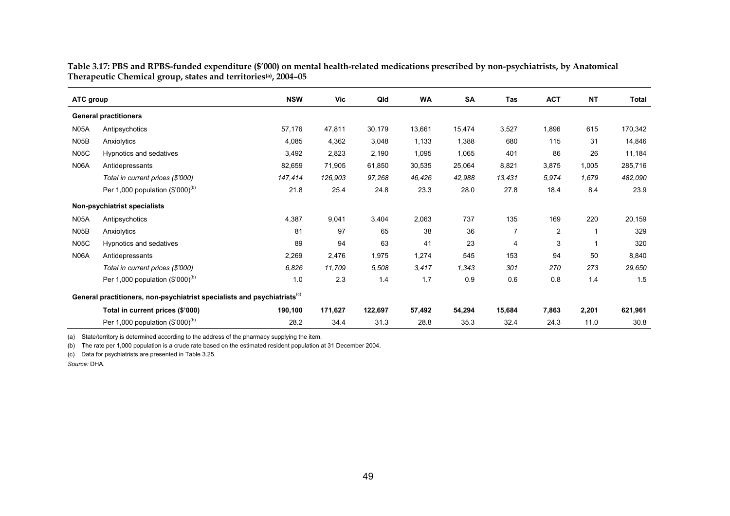**Table 3.17: PBS and RPBS-funded expenditure (\$'000) on mental health-related medications prescribed by non-psychiatrists, by Anatomical Therapeutic Chemical group, states and territories(a), 2004–05** 

| ATC group   |                                                                                      | <b>NSW</b> | Vic     | Qld     | <b>WA</b> | <b>SA</b> | Tas            | <b>ACT</b>     | <b>NT</b> | Total   |
|-------------|--------------------------------------------------------------------------------------|------------|---------|---------|-----------|-----------|----------------|----------------|-----------|---------|
|             | <b>General practitioners</b>                                                         |            |         |         |           |           |                |                |           |         |
| <b>N05A</b> | Antipsychotics                                                                       | 57,176     | 47,811  | 30,179  | 13,661    | 15,474    | 3,527          | 1,896          | 615       | 170,342 |
| <b>N05B</b> | Anxiolytics                                                                          | 4,085      | 4,362   | 3,048   | 1,133     | 1,388     | 680            | 115            | 31        | 14,846  |
| <b>N05C</b> | Hypnotics and sedatives                                                              | 3,492      | 2,823   | 2,190   | 1,095     | 1,065     | 401            | 86             | 26        | 11,184  |
| N06A        | Antidepressants                                                                      | 82,659     | 71,905  | 61,850  | 30,535    | 25,064    | 8,821          | 3,875          | 1,005     | 285,716 |
|             | Total in current prices (\$'000)                                                     | 147,414    | 126,903 | 97,268  | 46,426    | 42,988    | 13,431         | 5,974          | 1,679     | 482,090 |
|             | Per 1,000 population $(\$'000)^{(b)}$                                                | 21.8       | 25.4    | 24.8    | 23.3      | 28.0      | 27.8           | 18.4           | 8.4       | 23.9    |
|             | Non-psychiatrist specialists                                                         |            |         |         |           |           |                |                |           |         |
| <b>N05A</b> | Antipsychotics                                                                       | 4,387      | 9,041   | 3,404   | 2,063     | 737       | 135            | 169            | 220       | 20,159  |
| <b>N05B</b> | Anxiolytics                                                                          | 81         | 97      | 65      | 38        | 36        | $\overline{7}$ | $\overline{2}$ |           | 329     |
| <b>N05C</b> | Hypnotics and sedatives                                                              | 89         | 94      | 63      | 41        | 23        | 4              | 3              |           | 320     |
| <b>N06A</b> | Antidepressants                                                                      | 2,269      | 2,476   | 1,975   | 1,274     | 545       | 153            | 94             | 50        | 8,840   |
|             | Total in current prices (\$'000)                                                     | 6,826      | 11,709  | 5,508   | 3,417     | 1,343     | 301            | 270            | 273       | 29,650  |
|             | Per 1,000 population $(\$'000)^{(b)}$                                                | 1.0        | 2.3     | 1.4     | 1.7       | 0.9       | 0.6            | 0.8            | 1.4       | 1.5     |
|             | General practitioners, non-psychiatrist specialists and psychiatrists <sup>(c)</sup> |            |         |         |           |           |                |                |           |         |
|             | Total in current prices (\$'000)                                                     | 190,100    | 171,627 | 122,697 | 57,492    | 54,294    | 15,684         | 7,863          | 2,201     | 621,961 |
|             | Per 1,000 population $(\$'000)^{(b)}$                                                | 28.2       | 34.4    | 31.3    | 28.8      | 35.3      | 32.4           | 24.3           | 11.0      | 30.8    |

(a) State/territory is determined according to the address of the pharmacy supplying the item.

(b) The rate per 1,000 population is a crude rate based on the estimated resident population at 31 December 2004.

(c) Data for psychiatrists are presented in Table 3.25.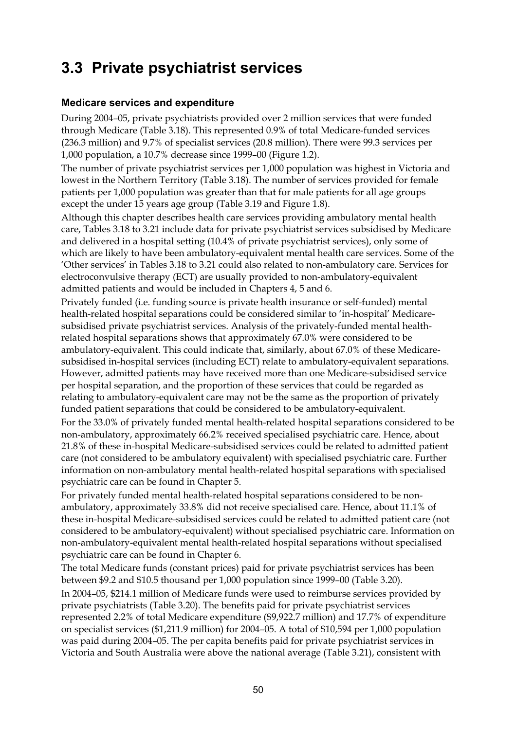## **3.3 Private psychiatrist services**

#### **Medicare services and expenditure**

During 2004–05, private psychiatrists provided over 2 million services that were funded through Medicare (Table 3.18). This represented 0.9% of total Medicare-funded services (236.3 million) and 9.7% of specialist services (20.8 million). There were 99.3 services per 1,000 population, a 10.7% decrease since 1999–00 (Figure 1.2).

The number of private psychiatrist services per 1,000 population was highest in Victoria and lowest in the Northern Territory (Table 3.18). The number of services provided for female patients per 1,000 population was greater than that for male patients for all age groups except the under 15 years age group (Table 3.19 and Figure 1.8).

Although this chapter describes health care services providing ambulatory mental health care, Tables 3.18 to 3.21 include data for private psychiatrist services subsidised by Medicare and delivered in a hospital setting (10.4% of private psychiatrist services), only some of which are likely to have been ambulatory-equivalent mental health care services. Some of the 'Other services' in Tables 3.18 to 3.21 could also related to non-ambulatory care. Services for electroconvulsive therapy (ECT) are usually provided to non-ambulatory-equivalent admitted patients and would be included in Chapters 4, 5 and 6.

Privately funded (i.e. funding source is private health insurance or self-funded) mental health-related hospital separations could be considered similar to 'in-hospital' Medicaresubsidised private psychiatrist services. Analysis of the privately-funded mental healthrelated hospital separations shows that approximately 67.0% were considered to be ambulatory-equivalent. This could indicate that, similarly, about 67.0% of these Medicaresubsidised in-hospital services (including ECT) relate to ambulatory-equivalent separations. However, admitted patients may have received more than one Medicare-subsidised service per hospital separation, and the proportion of these services that could be regarded as relating to ambulatory-equivalent care may not be the same as the proportion of privately funded patient separations that could be considered to be ambulatory-equivalent.

For the 33.0% of privately funded mental health-related hospital separations considered to be non-ambulatory, approximately 66.2% received specialised psychiatric care. Hence, about 21.8% of these in-hospital Medicare-subsidised services could be related to admitted patient care (not considered to be ambulatory equivalent) with specialised psychiatric care. Further information on non-ambulatory mental health-related hospital separations with specialised psychiatric care can be found in Chapter 5.

For privately funded mental health-related hospital separations considered to be nonambulatory, approximately 33.8% did not receive specialised care. Hence, about 11.1% of these in-hospital Medicare-subsidised services could be related to admitted patient care (not considered to be ambulatory-equivalent) without specialised psychiatric care. Information on non-ambulatory-equivalent mental health-related hospital separations without specialised psychiatric care can be found in Chapter 6.

The total Medicare funds (constant prices) paid for private psychiatrist services has been between \$9.2 and \$10.5 thousand per 1,000 population since 1999–00 (Table 3.20). In 2004–05, \$214.1 million of Medicare funds were used to reimburse services provided by private psychiatrists (Table 3.20). The benefits paid for private psychiatrist services represented 2.2% of total Medicare expenditure (\$9,922.7 million) and 17.7% of expenditure on specialist services (\$1,211.9 million) for 2004–05. A total of \$10,594 per 1,000 population was paid during 2004–05. The per capita benefits paid for private psychiatrist services in Victoria and South Australia were above the national average (Table 3.21), consistent with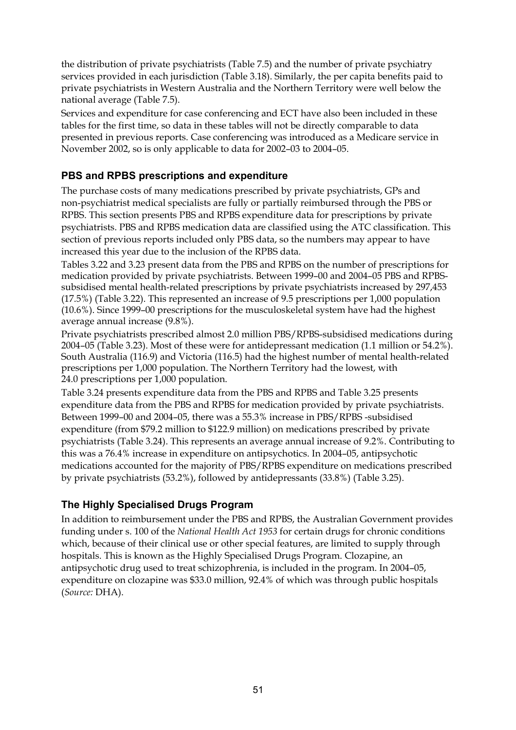the distribution of private psychiatrists (Table 7.5) and the number of private psychiatry services provided in each jurisdiction (Table 3.18). Similarly, the per capita benefits paid to private psychiatrists in Western Australia and the Northern Territory were well below the national average (Table 7.5).

Services and expenditure for case conferencing and ECT have also been included in these tables for the first time, so data in these tables will not be directly comparable to data presented in previous reports. Case conferencing was introduced as a Medicare service in November 2002, so is only applicable to data for 2002–03 to 2004–05.

### **PBS and RPBS prescriptions and expenditure**

The purchase costs of many medications prescribed by private psychiatrists, GPs and non-psychiatrist medical specialists are fully or partially reimbursed through the PBS or RPBS. This section presents PBS and RPBS expenditure data for prescriptions by private psychiatrists. PBS and RPBS medication data are classified using the ATC classification. This section of previous reports included only PBS data, so the numbers may appear to have increased this year due to the inclusion of the RPBS data.

Tables 3.22 and 3.23 present data from the PBS and RPBS on the number of prescriptions for medication provided by private psychiatrists. Between 1999–00 and 2004–05 PBS and RPBSsubsidised mental health-related prescriptions by private psychiatrists increased by 297,453 (17.5%) (Table 3.22). This represented an increase of 9.5 prescriptions per 1,000 population (10.6%). Since 1999–00 prescriptions for the musculoskeletal system have had the highest average annual increase (9.8%).

Private psychiatrists prescribed almost 2.0 million PBS/RPBS-subsidised medications during 2004–05 (Table 3.23). Most of these were for antidepressant medication (1.1 million or 54.2%). South Australia (116.9) and Victoria (116.5) had the highest number of mental health-related prescriptions per 1,000 population. The Northern Territory had the lowest, with 24.0 prescriptions per 1,000 population.

Table 3.24 presents expenditure data from the PBS and RPBS and Table 3.25 presents expenditure data from the PBS and RPBS for medication provided by private psychiatrists. Between 1999–00 and 2004–05, there was a 55.3% increase in PBS/RPBS -subsidised expenditure (from \$79.2 million to \$122.9 million) on medications prescribed by private psychiatrists (Table 3.24). This represents an average annual increase of 9.2%. Contributing to this was a 76.4% increase in expenditure on antipsychotics. In 2004–05, antipsychotic medications accounted for the majority of PBS/RPBS expenditure on medications prescribed by private psychiatrists (53.2%), followed by antidepressants (33.8%) (Table 3.25).

#### **The Highly Specialised Drugs Program**

In addition to reimbursement under the PBS and RPBS, the Australian Government provides funding under s. 100 of the *National Health Act 1953* for certain drugs for chronic conditions which, because of their clinical use or other special features, are limited to supply through hospitals. This is known as the Highly Specialised Drugs Program. Clozapine, an antipsychotic drug used to treat schizophrenia, is included in the program. In 2004–05, expenditure on clozapine was \$33.0 million, 92.4% of which was through public hospitals (*Source:* DHA).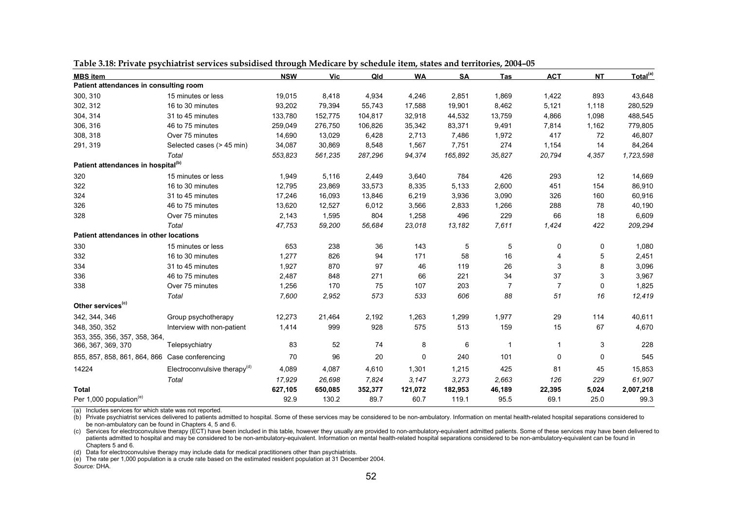| <b>MBS</b> item                                |                                 | <b>NSW</b> | Vic     | Qld     | <b>WA</b> | <b>SA</b> | Tas          | <b>ACT</b>     | <b>NT</b>   | Total <sup>(a)</sup> |
|------------------------------------------------|---------------------------------|------------|---------|---------|-----------|-----------|--------------|----------------|-------------|----------------------|
| Patient attendances in consulting room         |                                 |            |         |         |           |           |              |                |             |                      |
| 300, 310                                       | 15 minutes or less              | 19,015     | 8,418   | 4,934   | 4,246     | 2,851     | 1,869        | 1,422          | 893         | 43,648               |
| 302, 312                                       | 16 to 30 minutes                | 93,202     | 79,394  | 55,743  | 17,588    | 19,901    | 8,462        | 5,121          | 1,118       | 280,529              |
| 304, 314                                       | 31 to 45 minutes                | 133,780    | 152,775 | 104,817 | 32,918    | 44,532    | 13,759       | 4,866          | 1,098       | 488,545              |
| 306, 316                                       | 46 to 75 minutes                | 259,049    | 276,750 | 106,826 | 35,342    | 83,371    | 9,491        | 7,814          | 1,162       | 779,805              |
| 308, 318                                       | Over 75 minutes                 | 14,690     | 13,029  | 6,428   | 2,713     | 7,486     | 1,972        | 417            | 72          | 46,807               |
| 291, 319                                       | Selected cases (> 45 min)       | 34,087     | 30,869  | 8,548   | 1,567     | 7,751     | 274          | 1,154          | 14          | 84,264               |
|                                                | Total                           | 553,823    | 561,235 | 287,296 | 94,374    | 165,892   | 35,827       | 20,794         | 4,357       | 1,723,598            |
| Patient attendances in hospital <sup>(b)</sup> |                                 |            |         |         |           |           |              |                |             |                      |
| 320                                            | 15 minutes or less              | 1,949      | 5,116   | 2,449   | 3,640     | 784       | 426          | 293            | 12          | 14,669               |
| 322                                            | 16 to 30 minutes                | 12,795     | 23,869  | 33,573  | 8,335     | 5,133     | 2,600        | 451            | 154         | 86,910               |
| 324                                            | 31 to 45 minutes                | 17,246     | 16,093  | 13,846  | 6,219     | 3,936     | 3,090        | 326            | 160         | 60,916               |
| 326                                            | 46 to 75 minutes                | 13,620     | 12,527  | 6,012   | 3,566     | 2,833     | 1,266        | 288            | 78          | 40,190               |
| 328                                            | Over 75 minutes                 | 2,143      | 1,595   | 804     | 1,258     | 496       | 229          | 66             | 18          | 6,609                |
|                                                | Total                           | 47,753     | 59,200  | 56,684  | 23,018    | 13,182    | 7,611        | 1,424          | 422         | 209,294              |
| Patient attendances in other locations         |                                 |            |         |         |           |           |              |                |             |                      |
| 330                                            | 15 minutes or less              | 653        | 238     | 36      | 143       | 5         | 5            | 0              | 0           | 1,080                |
| 332                                            | 16 to 30 minutes                | 1,277      | 826     | 94      | 171       | 58        | 16           | 4              | 5           | 2,451                |
| 334                                            | 31 to 45 minutes                | 1,927      | 870     | 97      | 46        | 119       | 26           | 3              | 8           | 3,096                |
| 336                                            | 46 to 75 minutes                | 2,487      | 848     | 271     | 66        | 221       | 34           | 37             | 3           | 3,967                |
| 338                                            | Over 75 minutes                 | 1,256      | 170     | 75      | 107       | 203       | 7            | $\overline{7}$ | 0           | 1,825                |
|                                                | Total                           | 7,600      | 2,952   | 573     | 533       | 606       | 88           | 51             | 16          | 12,419               |
| Other services <sup>(c)</sup>                  |                                 |            |         |         |           |           |              |                |             |                      |
| 342, 344, 346                                  | Group psychotherapy             | 12,273     | 21,464  | 2,192   | 1,263     | 1,299     | 1,977        | 29             | 114         | 40,611               |
| 348, 350, 352                                  | Interview with non-patient      | 1,414      | 999     | 928     | 575       | 513       | 159          | 15             | 67          | 4,670                |
| 353, 355, 356, 357, 358, 364,                  |                                 |            |         |         |           |           |              |                |             |                      |
| 366, 367, 369, 370                             | Telepsychiatry                  | 83         | 52      | 74      | 8         | 6         | $\mathbf{1}$ | $\mathbf{1}$   | 3           | 228                  |
| 855, 857, 858, 861, 864, 866                   | Case conferencing               | 70         | 96      | 20      | 0         | 240       | 101          | 0              | $\mathbf 0$ | 545                  |
| 14224                                          | Electroconvulsive therapy $(d)$ | 4,089      | 4,087   | 4,610   | 1,301     | 1,215     | 425          | 81             | 45          | 15,853               |
|                                                | Total                           | 17,929     | 26,698  | 7,824   | 3,147     | 3,273     | 2,663        | 126            | 229         | 61,907               |
| <b>Total</b>                                   |                                 | 627,105    | 650,085 | 352,377 | 121,072   | 182,953   | 46,189       | 22,395         | 5,024       | 2,007,218            |
| Per 1,000 population <sup>(e)</sup>            |                                 | 92.9       | 130.2   | 89.7    | 60.7      | 119.1     | 95.5         | 69.1           | 25.0        | 99.3                 |

**Table 3.18: Private psychiatrist services subsidised through Medicare by schedule item, states and territories, 2004–05** 

(a) Includes services for which state was not reported.

(b) Private psychiatrist services delivered to patients admitted to hospital. Some of these services may be considered to be non-ambulatory. Information on mental health-related hospital separations considered to be non-ambulatory can be found in Chapters 4, 5 and 6.

(c) Services for electroconvulsive therapy (ECT) have been included in this table, however they usually are provided to non-ambulatory-equivalent admitted patients. Some of these services may have been delivered to patients admitted to hospital and may be considered to be non-ambulatory-equivalent. Information on mental health-related hospital separations considered to be non-ambulatory-equivalent can be found in Chapters 5 and 6.

(d) Data for electroconvulsive therapy may include data for medical practitioners other than psychiatrists.

(e) The rate per 1,000 population is a crude rate based on the estimated resident population at 31 December 2004. *Source:* DHA.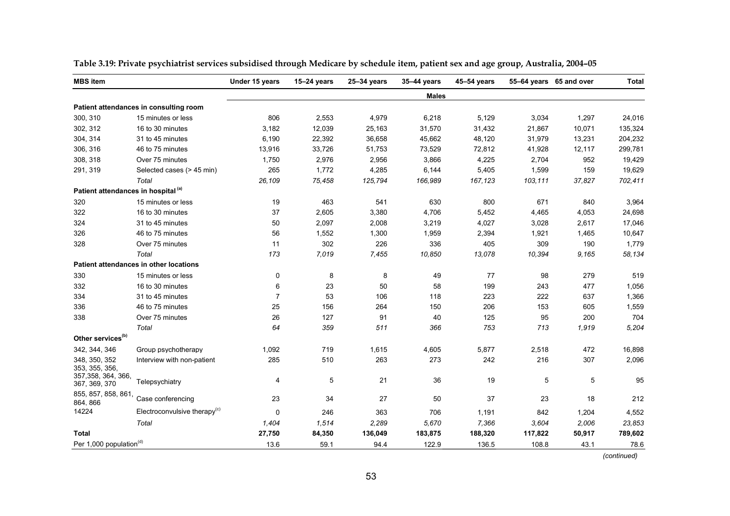| <b>MBS</b> item                                |                                        | Under 15 years | $15-24$ years | 25-34 years | 35-44 years  | 45-54 years |         | 55-64 years 65 and over | <b>Total</b> |
|------------------------------------------------|----------------------------------------|----------------|---------------|-------------|--------------|-------------|---------|-------------------------|--------------|
|                                                |                                        |                |               |             | <b>Males</b> |             |         |                         |              |
|                                                | Patient attendances in consulting room |                |               |             |              |             |         |                         |              |
| 300, 310                                       | 15 minutes or less                     | 806            | 2,553         | 4,979       | 6,218        | 5,129       | 3,034   | 1,297                   | 24,016       |
| 302, 312                                       | 16 to 30 minutes                       | 3,182          | 12,039        | 25,163      | 31,570       | 31,432      | 21,867  | 10,071                  | 135,324      |
| 304, 314                                       | 31 to 45 minutes                       | 6,190          | 22,392        | 36,658      | 45,662       | 48,120      | 31,979  | 13,231                  | 204,232      |
| 306, 316                                       | 46 to 75 minutes                       | 13,916         | 33,726        | 51,753      | 73,529       | 72,812      | 41,928  | 12,117                  | 299,781      |
| 308, 318                                       | Over 75 minutes                        | 1,750          | 2,976         | 2,956       | 3,866        | 4,225       | 2,704   | 952                     | 19,429       |
| 291, 319                                       | Selected cases (> 45 min)              | 265            | 1,772         | 4,285       | 6,144        | 5,405       | 1,599   | 159                     | 19,629       |
|                                                | Total                                  | 26,109         | 75,458        | 125,794     | 166,989      | 167,123     | 103,111 | 37,827                  | 702,411      |
| Patient attendances in hospital <sup>(a)</sup> |                                        |                |               |             |              |             |         |                         |              |
| 320                                            | 15 minutes or less                     | 19             | 463           | 541         | 630          | 800         | 671     | 840                     | 3,964        |
| 322                                            | 16 to 30 minutes                       | 37             | 2,605         | 3,380       | 4,706        | 5,452       | 4,465   | 4,053                   | 24,698       |
| 324                                            | 31 to 45 minutes                       | 50             | 2,097         | 2,008       | 3,219        | 4,027       | 3,028   | 2,617                   | 17,046       |
| 326                                            | 46 to 75 minutes                       | 56             | 1,552         | 1,300       | 1,959        | 2,394       | 1,921   | 1,465                   | 10,647       |
| 328                                            | Over 75 minutes                        | 11             | 302           | 226         | 336          | 405         | 309     | 190                     | 1,779        |
|                                                | Total                                  | 173            | 7,019         | 7,455       | 10,850       | 13,078      | 10,394  | 9.165                   | 58,134       |
|                                                | Patient attendances in other locations |                |               |             |              |             |         |                         |              |
| 330                                            | 15 minutes or less                     | 0              | 8             | 8           | 49           | 77          | 98      | 279                     | 519          |
| 332                                            | 16 to 30 minutes                       | 6              | 23            | 50          | 58           | 199         | 243     | 477                     | 1,056        |
| 334                                            | 31 to 45 minutes                       | 7              | 53            | 106         | 118          | 223         | 222     | 637                     | 1,366        |
| 336                                            | 46 to 75 minutes                       | 25             | 156           | 264         | 150          | 206         | 153     | 605                     | 1,559        |
| 338                                            | Over 75 minutes                        | 26             | 127           | 91          | 40           | 125         | 95      | 200                     | 704          |
|                                                | Total                                  | 64             | 359           | 511         | 366          | 753         | 713     | 1,919                   | 5,204        |
| Other services <sup>(b)</sup>                  |                                        |                |               |             |              |             |         |                         |              |
| 342, 344, 346                                  | Group psychotherapy                    | 1,092          | 719           | 1,615       | 4,605        | 5,877       | 2,518   | 472                     | 16,898       |
| 348, 350, 352<br>353, 355, 356,                | Interview with non-patient             | 285            | 510           | 263         | 273          | 242         | 216     | 307                     | 2,096        |
| 357, 358, 364, 366,<br>367, 369, 370           | Telepsychiatry                         | 4              | 5             | 21          | 36           | 19          | 5       | 5                       | 95           |
| 855, 857, 858, 861,<br>864, 866                | Case conferencing                      | 23             | 34            | 27          | 50           | 37          | 23      | 18                      | 212          |
| 14224                                          | Electroconvulsive therapy $(c)$        | 0              | 246           | 363         | 706          | 1,191       | 842     | 1,204                   | 4,552        |
|                                                | Total                                  | 1,404          | 1,514         | 2,289       | 5,670        | 7,366       | 3.604   | 2,006                   | 23,853       |
| Total                                          |                                        | 27,750         | 84,350        | 136,049     | 183,875      | 188,320     | 117,822 | 50,917                  | 789,602      |
| Per 1,000 population <sup>(d)</sup>            |                                        | 13.6           | 59.1          | 94.4        | 122.9        | 136.5       | 108.8   | 43.1                    | 78.6         |

**Table 3.19: Private psychiatrist services subsidised through Medicare by schedule item, patient sex and age group, Australia, 2004–05** 

 *(continued)*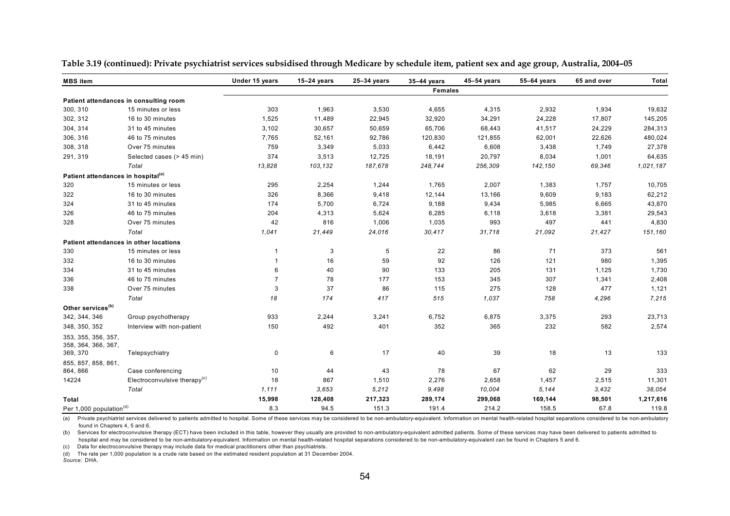| <b>MBS</b> item                                |                                          | Under 15 years | $15-24$ years | $25-34$ years | 35-44 years    | $45-54$ years | 55-64 years | 65 and over | <b>Total</b> |
|------------------------------------------------|------------------------------------------|----------------|---------------|---------------|----------------|---------------|-------------|-------------|--------------|
|                                                |                                          |                |               |               | <b>Females</b> |               |             |             |              |
|                                                | Patient attendances in consulting room   |                |               |               |                |               |             |             |              |
| 300, 310                                       | 15 minutes or less                       | 303            | 1,963         | 3,530         | 4,655          | 4,315         | 2,932       | 1,934       | 19,632       |
| 302, 312                                       | 16 to 30 minutes                         | 1,525          | 11,489        | 22,945        | 32,920         | 34,291        | 24,228      | 17,807      | 145,205      |
| 304, 314                                       | 31 to 45 minutes                         | 3,102          | 30,657        | 50,659        | 65,706         | 68,443        | 41,517      | 24,229      | 284,313      |
| 306, 316                                       | 46 to 75 minutes                         | 7,765          | 52,161        | 92,786        | 120,830        | 121,855       | 62,001      | 22,626      | 480,024      |
| 308, 318                                       | Over 75 minutes                          | 759            | 3,349         | 5,033         | 6,442          | 6,608         | 3,438       | 1,749       | 27,378       |
| 291, 319                                       | Selected cases (> 45 min)                | 374            | 3,513         | 12,725        | 18,191         | 20,797        | 8,034       | 1,001       | 64,635       |
|                                                | Total                                    | 13,828         | 103,132       | 187,678       | 248,744        | 256,309       | 142,150     | 69,346      | 1,021,187    |
| Patient attendances in hospital <sup>(a)</sup> |                                          |                |               |               |                |               |             |             |              |
| 320                                            | 15 minutes or less                       | 295            | 2,254         | 1,244         | 1,765          | 2,007         | 1,383       | 1,757       | 10,705       |
| 322                                            | 16 to 30 minutes                         | 326            | 8,366         | 9,418         | 12,144         | 13,166        | 9,609       | 9,183       | 62,212       |
| 324                                            | 31 to 45 minutes                         | 174            | 5,700         | 6,724         | 9,188          | 9,434         | 5,985       | 6,665       | 43,870       |
| 326                                            | 46 to 75 minutes                         | 204            | 4,313         | 5,624         | 6,285          | 6,118         | 3,618       | 3,381       | 29,543       |
| 328                                            | Over 75 minutes                          | 42             | 816           | 1,006         | 1,035          | 993           | 497         | 441         | 4,830        |
|                                                | Total                                    | 1,041          | 21,449        | 24,016        | 30,417         | 31,718        | 21,092      | 21,427      | 151,160      |
| Patient attendances in other locations         |                                          |                |               |               |                |               |             |             |              |
| 330                                            | 15 minutes or less                       | -1             | 3             | 5             | 22             | 86            | 71          | 373         | 561          |
| 332                                            | 16 to 30 minutes                         | $\mathbf{1}$   | 16            | 59            | 92             | 126           | 121         | 980         | 1,395        |
| 334                                            | 31 to 45 minutes                         | 6              | 40            | 90            | 133            | 205           | 131         | 1,125       | 1,730        |
| 336                                            | 46 to 75 minutes                         | $\overline{7}$ | 78            | 177           | 153            | 345           | 307         | 1,341       | 2,408        |
| 338                                            | Over 75 minutes                          | 3              | 37            | 86            | 115            | 275           | 128         | 477         | 1,121        |
|                                                | Total                                    | 18             | 174           | 417           | 515            | 1,037         | 758         | 4,296       | 7,215        |
| Other services <sup>(b)</sup>                  |                                          |                |               |               |                |               |             |             |              |
| 342, 344, 346                                  | Group psychotherapy                      | 933            | 2,244         | 3,241         | 6,752          | 6,875         | 3,375       | 293         | 23,713       |
| 348, 350, 352                                  | Interview with non-patient               | 150            | 492           | 401           | 352            | 365           | 232         | 582         | 2,574        |
| 353, 355, 356, 357,<br>358, 364, 366, 367,     |                                          |                |               |               |                |               |             |             |              |
| 369, 370                                       | Telepsychiatry                           | $\mathsf 0$    | 6             | 17            | 40             | 39            | 18          | 13          | 133          |
| 855, 857, 858, 861,<br>864, 866                | Case conferencing                        | 10             | 44            | 43            | 78             | 67            | 62          | 29          | 333          |
| 14224                                          | Electroconvulsive therapy <sup>(c)</sup> | 18             | 867           | 1,510         | 2,276          | 2,658         | 1,457       | 2,515       | 11,301       |
|                                                | Total                                    | 1,111          | 3,653         | 5,212         | 9,498          | 10,004        | 5,144       | 3,432       | 38,054       |
| Total                                          |                                          | 15,998         | 128,408       | 217,323       | 289,174        | 299,068       | 169,144     | 98,501      | 1,217,616    |
| Per 1,000 population <sup>(d)</sup>            |                                          | 8.3            | 94.5          | 151.3         | 191.4          | 214.2         | 158.5       | 67.8        | 119.8        |

**Table 3.19 (continued): Private psychiatrist services subsidised through Medicare by schedule item, patient sex and age group, Australia, 2004–05** 

(a) Private psychiatrist services delivered to patients admitted to hospital. Some of these services may be considered to be non-ambulatory-equivalent. Information on mental health-related hospital separations considered t found in Chapters 4, 5 and 6.

(b) Services for electroconvulsive therapy (ECT) have been included in this table, however they usually are provided to non-ambulatory-equivalent admitted patients. Some of these services may have been delivered to patient hospital and may be considered to be non-ambulatory-equivalent. Information on mental health-related hospital separations considered to be non-ambulatory-equivalent can be found in Chapters 5 and 6.

(c) Data for electroconvulsive therapy may include data for medical practitioners other than psychiatrists.

(d) The rate per 1,000 population is a crude rate based on the estimated resident population at 31 December 2004.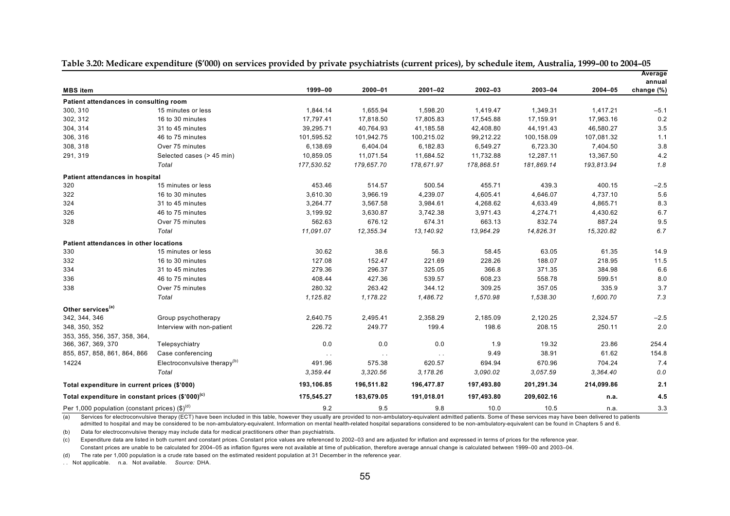|                                                                               |                                 |            |               |               |            |             |            | Average              |
|-------------------------------------------------------------------------------|---------------------------------|------------|---------------|---------------|------------|-------------|------------|----------------------|
| <b>MBS</b> item                                                               |                                 | 1999-00    | 2000-01       | $2001 - 02$   | 2002-03    | $2003 - 04$ | 2004-05    | annual<br>change (%) |
| Patient attendances in consulting room                                        |                                 |            |               |               |            |             |            |                      |
| 300, 310                                                                      | 15 minutes or less              | 1,844.14   | 1,655.94      | 1,598.20      | 1,419.47   | 1,349.31    | 1,417.21   | $-5.1$               |
| 302, 312                                                                      | 16 to 30 minutes                | 17,797.41  | 17,818.50     | 17,805.83     | 17,545.88  | 17,159.91   | 17,963.16  | 0.2                  |
| 304, 314                                                                      | 31 to 45 minutes                | 39,295.71  | 40,764.93     | 41,185.58     | 42,408.80  | 44,191.43   | 46,580.27  | 3.5                  |
| 306, 316                                                                      | 46 to 75 minutes                | 101,595.52 | 101,942.75    | 100,215.02    | 99,212.22  | 100,158.09  | 107,081.32 | 1.1                  |
| 308, 318                                                                      | Over 75 minutes                 | 6,138.69   | 6,404.04      | 6,182.83      | 6,549.27   | 6,723.30    | 7,404.50   | 3.8                  |
| 291, 319                                                                      | Selected cases (> 45 min)       | 10,859.05  | 11,071.54     | 11,684.52     | 11,732.88  | 12,287.11   | 13,367.50  | 4.2                  |
|                                                                               | Total                           | 177,530.52 | 179,657.70    | 178,671.97    | 178,868.51 | 181,869.14  | 193,813.94 | 1.8                  |
| Patient attendances in hospital                                               |                                 |            |               |               |            |             |            |                      |
| 320                                                                           | 15 minutes or less              | 453.46     | 514.57        | 500.54        | 455.71     | 439.3       | 400.15     | $-2.5$               |
| 322                                                                           | 16 to 30 minutes                | 3,610.30   | 3,966.19      | 4,239.07      | 4,605.41   | 4,646.07    | 4,737.10   | 5.6                  |
| 324                                                                           | 31 to 45 minutes                | 3,264.77   | 3,567.58      | 3,984.61      | 4,268.62   | 4,633.49    | 4,865.71   | 8.3                  |
| 326                                                                           | 46 to 75 minutes                | 3,199.92   | 3,630.87      | 3,742.38      | 3,971.43   | 4,274.71    | 4,430.62   | 6.7                  |
| 328                                                                           | Over 75 minutes                 | 562.63     | 676.12        | 674.31        | 663.13     | 832.74      | 887.24     | 9.5                  |
|                                                                               | Total                           | 11.091.07  | 12,355.34     | 13,140.92     | 13,964.29  | 14,826.31   | 15,320.82  | 6.7                  |
| <b>Patient attendances in other locations</b>                                 |                                 |            |               |               |            |             |            |                      |
| 330                                                                           | 15 minutes or less              | 30.62      | 38.6          | 56.3          | 58.45      | 63.05       | 61.35      | 14.9                 |
| 332                                                                           | 16 to 30 minutes                | 127.08     | 152.47        | 221.69        | 228.26     | 188.07      | 218.95     | 11.5                 |
| 334                                                                           | 31 to 45 minutes                | 279.36     | 296.37        | 325.05        | 366.8      | 371.35      | 384.98     | 6.6                  |
| 336                                                                           | 46 to 75 minutes                | 408.44     | 427.36        | 539.57        | 608.23     | 558.78      | 599.51     | 8.0                  |
| 338                                                                           | Over 75 minutes                 | 280.32     | 263.42        | 344.12        | 309.25     | 357.05      | 335.9      | 3.7                  |
|                                                                               | Total                           | 1,125.82   | 1,178.22      | 1,486.72      | 1,570.98   | 1,538.30    | 1,600.70   | 7.3                  |
| Other services <sup>(a)</sup>                                                 |                                 |            |               |               |            |             |            |                      |
| 342, 344, 346                                                                 | Group psychotherapy             | 2,640.75   | 2,495.41      | 2,358.29      | 2,185.09   | 2,120.25    | 2,324.57   | $-2.5$               |
| 348, 350, 352                                                                 | Interview with non-patient      | 226.72     | 249.77        | 199.4         | 198.6      | 208.15      | 250.11     | 2.0                  |
| 353, 355, 356, 357, 358, 364,                                                 |                                 |            |               |               |            |             |            |                      |
| 366, 367, 369, 370                                                            | Telepsychiatry                  | 0.0        | 0.0           | 0.0           | 1.9        | 19.32       | 23.86      | 254.4                |
| 855, 857, 858, 861, 864, 866                                                  | Case conferencing               | $\sim$     | $\sim$ $\sim$ | $\sim$ $\sim$ | 9.49       | 38.91       | 61.62      | 154.8                |
| 14224                                                                         | Electroconvulsive therapy $(b)$ | 491.96     | 575.38        | 620.57        | 694.94     | 670.96      | 704.24     | 7.4                  |
|                                                                               | Total                           | 3,359.44   | 3,320.56      | 3,178.26      | 3,090.02   | 3,057.59    | 3,364.40   | 0.0                  |
| Total expenditure in current prices (\$'000)                                  |                                 | 193,106.85 | 196,511.82    | 196,477.87    | 197,493.80 | 201,291.34  | 214,099.86 | 2.1                  |
| Total expenditure in constant prices (\$'000) <sup>(c)</sup>                  |                                 | 175,545.27 | 183,679.05    | 191,018.01    | 197,493.80 | 209,602.16  | n.a.       | 4.5                  |
| Per 1,000 population (constant prices) $(\text{$\mathfrak{s}$})^{\text{(d)}}$ |                                 | 9.2        | 9.5           | 9.8           | 10.0       | 10.5        | n.a.       | 3.3                  |

**Table 3.20: Medicare expenditure (\$'000) on services provided by private psychiatrists (current prices), by schedule item, Australia, 1999–00 to 2004–05**

(a) Services for electroconvulsive therapy (ECT) have been included in this table, however they usually are provided to non-ambulatory-equivalent admitted patients. Some of these services may have been delivered to patient admitted to hospital and may be considered to be non-ambulatory-equivalent. Information on mental health-related hospital separations considered to be non-ambulatory-equivalent can be found in Chapters 5 and 6.

(b) Data for electroconvulsive therapy may include data for medical practitioners other than psychiatrists.

(c) Expenditure data are listed in both current and constant prices. Constant price values are referenced to 2002–03 and are adjusted for inflation and expressed in terms of prices for the reference year. Constant prices are unable to be calculated for 2004–05 as inflation figures were not available at time of publication, therefore average annual change is calculated between 1999–00 and 2003–04.

(d) The rate per 1,000 population is a crude rate based on the estimated resident population at 31 December in the reference year.

. . Not applicable. n.a. Not available. *Source:* DHA.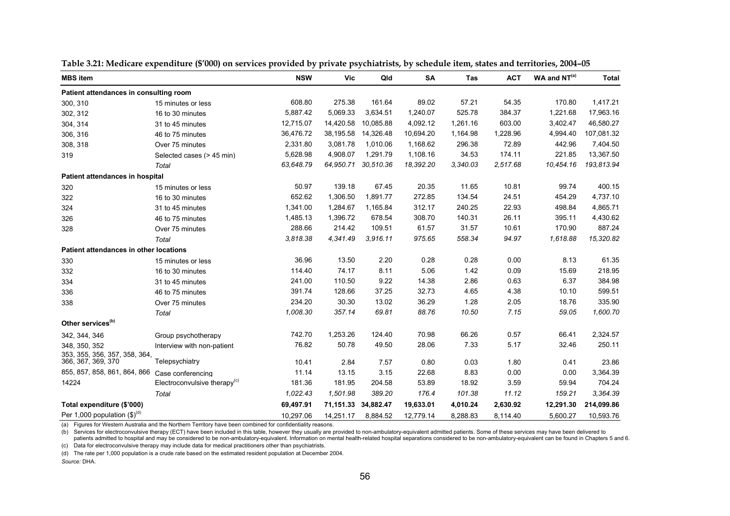| <b>MBS</b> item                                     |                                 | <b>NSW</b> | <b>Vic</b> | Qld                 | SA        | <b>Tas</b> | <b>ACT</b> | $WA$ and $NT(a)$ | <b>Total</b> |
|-----------------------------------------------------|---------------------------------|------------|------------|---------------------|-----------|------------|------------|------------------|--------------|
| Patient attendances in consulting room              |                                 |            |            |                     |           |            |            |                  |              |
| 300, 310                                            | 15 minutes or less              | 608.80     | 275.38     | 161.64              | 89.02     | 57.21      | 54.35      | 170.80           | 1,417.21     |
| 302, 312                                            | 16 to 30 minutes                | 5,887.42   | 5,069.33   | 3,634.51            | 1,240.07  | 525.78     | 384.37     | 1,221.68         | 17,963.16    |
| 304, 314                                            | 31 to 45 minutes                | 12,715.07  | 14,420.58  | 10,085.88           | 4,092.12  | 1,261.16   | 603.00     | 3,402.47         | 46,580.27    |
| 306, 316                                            | 46 to 75 minutes                | 36,476.72  | 38,195.58  | 14,326.48           | 10,694.20 | 1,164.98   | 1,228.96   | 4,994.40         | 107,081.32   |
| 308, 318                                            | Over 75 minutes                 | 2,331.80   | 3,081.78   | 1,010.06            | 1,168.62  | 296.38     | 72.89      | 442.96           | 7,404.50     |
| 319                                                 | Selected cases (> 45 min)       | 5,628.98   | 4,908.07   | 1,291.79            | 1,108.16  | 34.53      | 174.11     | 221.85           | 13,367.50    |
|                                                     | Total                           | 63.648.79  | 64,950.71  | 30,510.36           | 18,392.20 | 3,340.03   | 2,517.68   | 10,454.16        | 193,813.94   |
| Patient attendances in hospital                     |                                 |            |            |                     |           |            |            |                  |              |
| 320                                                 | 15 minutes or less              | 50.97      | 139.18     | 67.45               | 20.35     | 11.65      | 10.81      | 99.74            | 400.15       |
| 322                                                 | 16 to 30 minutes                | 652.62     | 1,306.50   | 1,891.77            | 272.85    | 134.54     | 24.51      | 454.29           | 4,737.10     |
| 324                                                 | 31 to 45 minutes                | 1,341.00   | 1,284.67   | 1,165.84            | 312.17    | 240.25     | 22.93      | 498.84           | 4,865.71     |
| 326                                                 | 46 to 75 minutes                | 1,485.13   | 1,396.72   | 678.54              | 308.70    | 140.31     | 26.11      | 395.11           | 4,430.62     |
| 328                                                 | Over 75 minutes                 | 288.66     | 214.42     | 109.51              | 61.57     | 31.57      | 10.61      | 170.90           | 887.24       |
|                                                     | Total                           | 3.818.38   | 4,341.49   | 3.916.11            | 975.65    | 558.34     | 94.97      | 1,618.88         | 15,320.82    |
| <b>Patient attendances in other locations</b>       |                                 |            |            |                     |           |            |            |                  |              |
| 330                                                 | 15 minutes or less              | 36.96      | 13.50      | 2.20                | 0.28      | 0.28       | 0.00       | 8.13             | 61.35        |
| 332                                                 | 16 to 30 minutes                | 114.40     | 74.17      | 8.11                | 5.06      | 1.42       | 0.09       | 15.69            | 218.95       |
| 334                                                 | 31 to 45 minutes                | 241.00     | 110.50     | 9.22                | 14.38     | 2.86       | 0.63       | 6.37             | 384.98       |
| 336                                                 | 46 to 75 minutes                | 391.74     | 128.66     | 37.25               | 32.73     | 4.65       | 4.38       | 10.10            | 599.51       |
| 338                                                 | Over 75 minutes                 | 234.20     | 30.30      | 13.02               | 36.29     | 1.28       | 2.05       | 18.76            | 335.90       |
|                                                     | Total                           | 1,008.30   | 357.14     | 69.81               | 88.76     | 10.50      | 7.15       | 59.05            | 1,600.70     |
| Other services <sup>(b)</sup>                       |                                 |            |            |                     |           |            |            |                  |              |
| 342, 344, 346                                       | Group psychotherapy             | 742.70     | 1,253.26   | 124.40              | 70.98     | 66.26      | 0.57       | 66.41            | 2,324.57     |
| 348, 350, 352                                       | Interview with non-patient      | 76.82      | 50.78      | 49.50               | 28.06     | 7.33       | 5.17       | 32.46            | 250.11       |
| 353, 355, 356, 357, 358, 364,<br>366, 367, 369, 370 | Telepsychiatry                  | 10.41      | 2.84       | 7.57                | 0.80      | 0.03       | 1.80       | 0.41             | 23.86        |
| 855, 857, 858, 861, 864, 866                        | Case conferencing               | 11.14      | 13.15      | 3.15                | 22.68     | 8.83       | 0.00       | 0.00             | 3,364.39     |
| 14224                                               | Electroconvulsive therapy $(c)$ | 181.36     | 181.95     | 204.58              | 53.89     | 18.92      | 3.59       | 59.94            | 704.24       |
|                                                     | Total                           | 1,022.43   | 1,501.98   | 389.20              | 176.4     | 101.38     | 11.12      | 159.21           | 3,364.39     |
| Total expenditure (\$'000)                          |                                 | 69,497.91  |            | 71,151.33 34,882.47 | 19,633.01 | 4,010.24   | 2,630.92   | 12,291.30        | 214,099.86   |
| Per 1.000 population $(S)^{(d)}$                    |                                 | 10,297.06  | 14,251.17  | 8,884.52            | 12,779.14 | 8,288.83   | 8,114.40   | 5,600.27         | 10,593.76    |

| Table 3.21: Medicare expenditure (\$'000) on services provided by private psychiatrists, by schedule item, states and territories, 2004–05 |  |  |  |  |
|--------------------------------------------------------------------------------------------------------------------------------------------|--|--|--|--|
|                                                                                                                                            |  |  |  |  |

(a) Figures for Western Australia and the Northern Territory have been combined for confidentiality reasons.

(b) Services for electroconvulsive therapy (ECT) have been included in this table, however they usually are provided to non-ambulatory-equivalent admitted patients. Some of these services may have been delivered to patients admitted to hospital and may be considered to be non-ambulatory-equivalent. Information on mental health-related hospital separations considered to be non-ambulatory-equivalent can be found in Chapters 5 and 6.

(c) Data for electroconvulsive therapy may include data for medical practitioners other than psychiatrists.

(d) The rate per 1,000 population is a crude rate based on the estimated resident population at December 2004.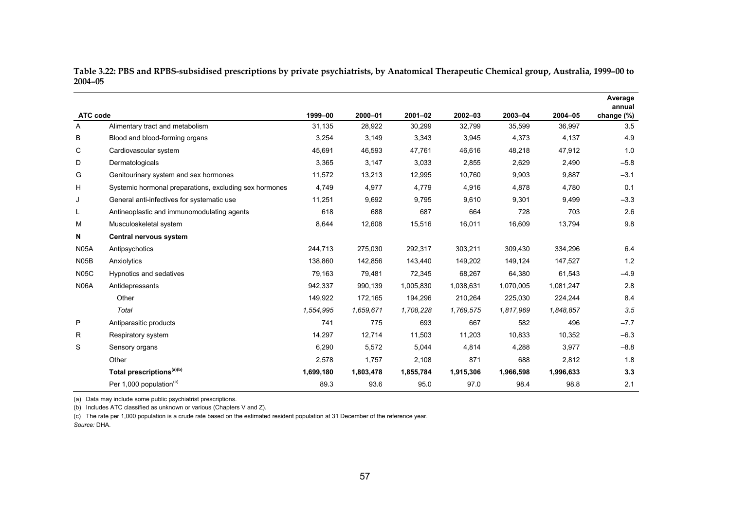| ATC code          |                                                        | 1999-00   | 2000-01   | $2001 - 02$ | $2002 - 03$ | 2003-04   | 2004-05   | Average<br>annual<br>change (%) |
|-------------------|--------------------------------------------------------|-----------|-----------|-------------|-------------|-----------|-----------|---------------------------------|
| Α                 | Alimentary tract and metabolism                        | 31,135    | 28,922    | 30,299      | 32,799      | 35,599    | 36,997    | 3.5                             |
| B                 | Blood and blood-forming organs                         | 3,254     | 3,149     | 3,343       | 3,945       | 4,373     | 4,137     | 4.9                             |
| С                 | Cardiovascular system                                  | 45,691    | 46,593    | 47,761      | 46,616      | 48,218    | 47,912    | 1.0                             |
| D                 | Dermatologicals                                        | 3,365     | 3,147     | 3,033       | 2,855       | 2,629     | 2,490     | $-5.8$                          |
| G                 | Genitourinary system and sex hormones                  | 11,572    | 13,213    | 12,995      | 10,760      | 9,903     | 9,887     | $-3.1$                          |
| H                 | Systemic hormonal preparations, excluding sex hormones | 4,749     | 4,977     | 4,779       | 4,916       | 4,878     | 4,780     | 0.1                             |
| J                 | General anti-infectives for systematic use             | 11,251    | 9,692     | 9,795       | 9,610       | 9,301     | 9,499     | $-3.3$                          |
| L                 | Antineoplastic and immunomodulating agents             | 618       | 688       | 687         | 664         | 728       | 703       | 2.6                             |
| M                 | Musculoskeletal system                                 | 8,644     | 12,608    | 15,516      | 16,011      | 16,609    | 13,794    | 9.8                             |
| N                 | Central nervous system                                 |           |           |             |             |           |           |                                 |
| <b>N05A</b>       | Antipsychotics                                         | 244,713   | 275,030   | 292,317     | 303,211     | 309,430   | 334,296   | 6.4                             |
| N <sub>05</sub> B | Anxiolytics                                            | 138,860   | 142,856   | 143,440     | 149,202     | 149,124   | 147,527   | 1.2                             |
| <b>N05C</b>       | Hypnotics and sedatives                                | 79,163    | 79,481    | 72,345      | 68,267      | 64,380    | 61,543    | $-4.9$                          |
| <b>N06A</b>       | Antidepressants                                        | 942,337   | 990,139   | 1,005,830   | 1,038,631   | 1,070,005 | 1,081,247 | 2.8                             |
|                   | Other                                                  | 149,922   | 172,165   | 194,296     | 210,264     | 225,030   | 224,244   | 8.4                             |
|                   | Total                                                  | 1,554,995 | 1,659,671 | 1,708,228   | 1,769,575   | 1,817,969 | 1,848,857 | 3.5                             |
| P                 | Antiparasitic products                                 | 741       | 775       | 693         | 667         | 582       | 496       | $-7.7$                          |
| R                 | Respiratory system                                     | 14,297    | 12,714    | 11,503      | 11,203      | 10,833    | 10,352    | $-6.3$                          |
| S                 | Sensory organs                                         | 6,290     | 5,572     | 5,044       | 4,814       | 4,288     | 3,977     | $-8.8$                          |
|                   | Other                                                  | 2,578     | 1,757     | 2,108       | 871         | 688       | 2,812     | 1.8                             |
|                   | Total prescriptions <sup>(a)(b)</sup>                  | 1,699,180 | 1,803,478 | 1,855,784   | 1,915,306   | 1,966,598 | 1,996,633 | 3.3                             |
|                   | Per 1,000 population <sup>(c)</sup>                    | 89.3      | 93.6      | 95.0        | 97.0        | 98.4      | 98.8      | 2.1                             |

**Table 3.22: PBS and RPBS-subsidised prescriptions by private psychiatrists, by Anatomical Therapeutic Chemical group, Australia, 1999–00 to 2004–05** 

(a) Data may include some public psychiatrist prescriptions.

(b) Includes ATC classified as unknown or various (Chapters V and Z).

(c) The rate per 1,000 population is a crude rate based on the estimated resident population at 31 December of the reference year.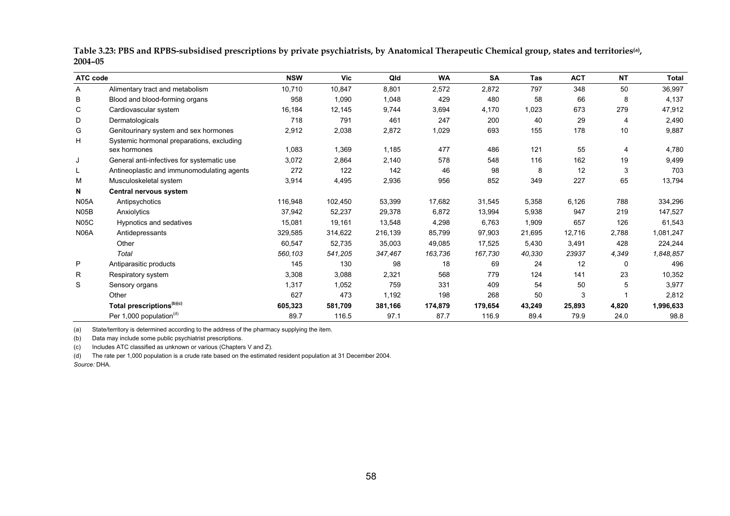| Table 3.23: PBS and RPBS-subsidised prescriptions by private psychiatrists, by Anatomical Therapeutic Chemical group, states and territories <sup>(a)</sup> , |  |
|---------------------------------------------------------------------------------------------------------------------------------------------------------------|--|
| $2004 - 05$                                                                                                                                                   |  |

| ATC code          |                                            | <b>NSW</b> | Vic     | Qld     | <b>WA</b> | <b>SA</b> | Tas    | <b>ACT</b> | <b>NT</b> | Total     |
|-------------------|--------------------------------------------|------------|---------|---------|-----------|-----------|--------|------------|-----------|-----------|
| A                 | Alimentary tract and metabolism            | 10,710     | 10,847  | 8,801   | 2,572     | 2,872     | 797    | 348        | 50        | 36,997    |
| в                 | Blood and blood-forming organs             | 958        | 1,090   | 1,048   | 429       | 480       | 58     | 66         | 8         | 4,137     |
| С                 | Cardiovascular system                      | 16,184     | 12,145  | 9,744   | 3,694     | 4,170     | 1,023  | 673        | 279       | 47,912    |
| D                 | Dermatologicals                            | 718        | 791     | 461     | 247       | 200       | 40     | 29         | 4         | 2,490     |
| G                 | Genitourinary system and sex hormones      | 2,912      | 2,038   | 2,872   | 1,029     | 693       | 155    | 178        | 10        | 9,887     |
| Н                 | Systemic hormonal preparations, excluding  |            |         |         |           |           |        |            |           |           |
|                   | sex hormones                               | 1,083      | 1,369   | 1,185   | 477       | 486       | 121    | 55         | 4         | 4,780     |
| J                 | General anti-infectives for systematic use | 3,072      | 2,864   | 2,140   | 578       | 548       | 116    | 162        | 19        | 9,499     |
| L                 | Antineoplastic and immunomodulating agents | 272        | 122     | 142     | 46        | 98        | 8      | 12         | 3         | 703       |
| M                 | Musculoskeletal system                     | 3,914      | 4,495   | 2,936   | 956       | 852       | 349    | 227        | 65        | 13,794    |
| N                 | Central nervous system                     |            |         |         |           |           |        |            |           |           |
| <b>N05A</b>       | Antipsychotics                             | 116,948    | 102,450 | 53,399  | 17,682    | 31,545    | 5,358  | 6,126      | 788       | 334,296   |
| N <sub>05</sub> B | Anxiolytics                                | 37,942     | 52,237  | 29,378  | 6,872     | 13,994    | 5,938  | 947        | 219       | 147,527   |
| <b>N05C</b>       | Hypnotics and sedatives                    | 15,081     | 19,161  | 13,548  | 4,298     | 6,763     | 1,909  | 657        | 126       | 61,543    |
| <b>N06A</b>       | Antidepressants                            | 329,585    | 314,622 | 216,139 | 85,799    | 97,903    | 21,695 | 12,716     | 2,788     | 1,081,247 |
|                   | Other                                      | 60,547     | 52,735  | 35,003  | 49,085    | 17,525    | 5,430  | 3,491      | 428       | 224,244   |
|                   | Total                                      | 560,103    | 541,205 | 347,467 | 163,736   | 167,730   | 40,330 | 23937      | 4,349     | 1,848,857 |
| P                 | Antiparasitic products                     | 145        | 130     | 98      | 18        | 69        | 24     | 12         | 0         | 496       |
| R                 | Respiratory system                         | 3,308      | 3,088   | 2,321   | 568       | 779       | 124    | 141        | 23        | 10,352    |
| S                 | Sensory organs                             | 1,317      | 1,052   | 759     | 331       | 409       | 54     | 50         | 5         | 3,977     |
|                   | Other                                      | 627        | 473     | 1,192   | 198       | 268       | 50     | 3          |           | 2,812     |
|                   | Total prescriptions <sup>(b)(c)</sup>      | 605,323    | 581,709 | 381,166 | 174,879   | 179,654   | 43,249 | 25,893     | 4,820     | 1,996,633 |
|                   | Per 1,000 population <sup>(d)</sup>        | 89.7       | 116.5   | 97.1    | 87.7      | 116.9     | 89.4   | 79.9       | 24.0      | 98.8      |

(a) State/territory is determined according to the address of the pharmacy supplying the item.

(b) Data may include some public psychiatrist prescriptions.

(c) Includes ATC classified as unknown or various (Chapters V and Z).

(d) The rate per 1,000 population is a crude rate based on the estimated resident population at 31 December 2004.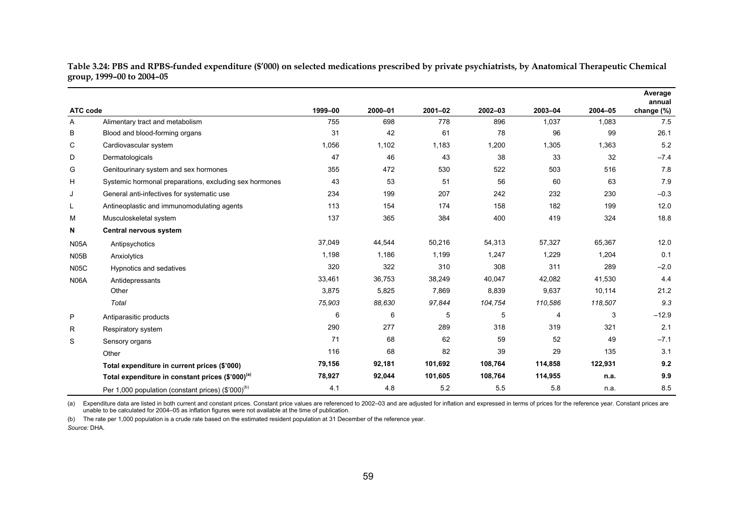| Table 3.24: PBS and RPBS-funded expenditure (\$′000) on selected medications prescribed by private psychiatrists, by Anatomical Therapeutic Chemical |  |
|------------------------------------------------------------------------------------------------------------------------------------------------------|--|
| group, 1999–00 to 2004–05                                                                                                                            |  |

|             |                                                                |         |         |         |         |         |         | Average<br>annual |
|-------------|----------------------------------------------------------------|---------|---------|---------|---------|---------|---------|-------------------|
| ATC code    |                                                                | 1999-00 | 2000-01 | 2001-02 | 2002-03 | 2003-04 | 2004-05 | change (%)        |
| A           | Alimentary tract and metabolism                                | 755     | 698     | 778     | 896     | 1,037   | 1,083   | 7.5               |
| B           | Blood and blood-forming organs                                 | 31      | 42      | 61      | 78      | 96      | 99      | 26.1              |
| C           | Cardiovascular system                                          | 1,056   | 1,102   | 1,183   | 1,200   | 1,305   | 1,363   | 5.2               |
| D           | Dermatologicals                                                | 47      | 46      | 43      | 38      | 33      | 32      | $-7.4$            |
| G           | Genitourinary system and sex hormones                          | 355     | 472     | 530     | 522     | 503     | 516     | 7.8               |
| H           | Systemic hormonal preparations, excluding sex hormones         | 43      | 53      | 51      | 56      | 60      | 63      | 7.9               |
| J           | General anti-infectives for systematic use                     | 234     | 199     | 207     | 242     | 232     | 230     | $-0.3$            |
| L           | Antineoplastic and immunomodulating agents                     | 113     | 154     | 174     | 158     | 182     | 199     | 12.0              |
| М           | Musculoskeletal system                                         | 137     | 365     | 384     | 400     | 419     | 324     | 18.8              |
| N           | Central nervous system                                         |         |         |         |         |         |         |                   |
| <b>N05A</b> | Antipsychotics                                                 | 37,049  | 44,544  | 50,216  | 54,313  | 57,327  | 65,367  | 12.0              |
| <b>N05B</b> | Anxiolytics                                                    | 1,198   | 1,186   | 1,199   | 1,247   | 1,229   | 1,204   | 0.1               |
| <b>N05C</b> | Hypnotics and sedatives                                        | 320     | 322     | 310     | 308     | 311     | 289     | $-2.0$            |
| <b>N06A</b> | Antidepressants                                                | 33,461  | 36,753  | 38,249  | 40,047  | 42,082  | 41,530  | 4.4               |
|             | Other                                                          | 3,875   | 5,825   | 7,869   | 8,839   | 9,637   | 10,114  | 21.2              |
|             | Total                                                          | 75,903  | 88,630  | 97,844  | 104,754 | 110,586 | 118,507 | 9.3               |
| P           | Antiparasitic products                                         | 6       | 6       | 5       | 5       | 4       | 3       | $-12.9$           |
| R           | Respiratory system                                             | 290     | 277     | 289     | 318     | 319     | 321     | 2.1               |
| S           | Sensory organs                                                 | 71      | 68      | 62      | 59      | 52      | 49      | $-7.1$            |
|             | Other                                                          | 116     | 68      | 82      | 39      | 29      | 135     | 3.1               |
|             | Total expenditure in current prices (\$'000)                   | 79,156  | 92,181  | 101,692 | 108,764 | 114,858 | 122,931 | 9.2               |
|             | Total expenditure in constant prices (\$'000) <sup>(a)</sup>   | 78,927  | 92,044  | 101,605 | 108,764 | 114,955 | n.a.    | 9.9               |
|             | Per 1,000 population (constant prices) (\$'000) <sup>(b)</sup> | 4.1     | 4.8     | 5.2     | 5.5     | 5.8     | n.a.    | 8.5               |

(a) Expenditure data are listed in both current and constant prices. Constant price values are referenced to 2002-03 and are adjusted for inflation and expressed in terms of prices for the reference year. Constant prices a unable to be calculated for 2004–05 as inflation figures were not available at the time of publication.

(b) The rate per 1,000 population is a crude rate based on the estimated resident population at 31 December of the reference year.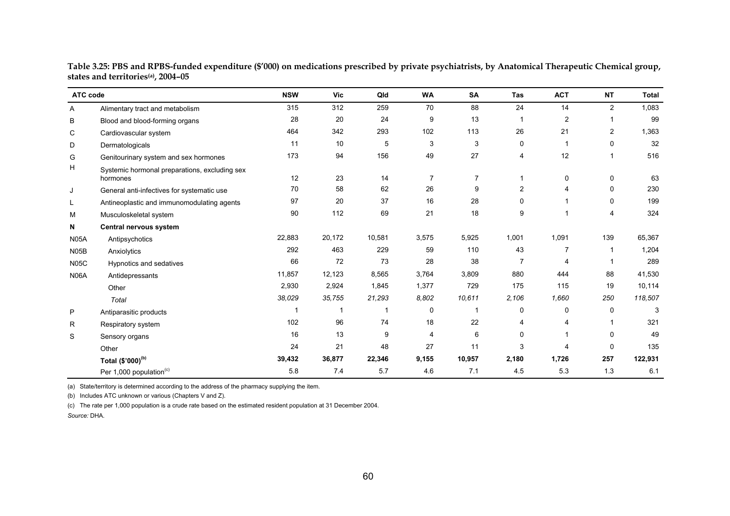| ATC code    |                                                           | <b>NSW</b> | <b>Vic</b> | Qld    | <b>WA</b>               | <b>SA</b>      | <b>Tas</b>     | <b>ACT</b>     | NT             | <b>Total</b> |
|-------------|-----------------------------------------------------------|------------|------------|--------|-------------------------|----------------|----------------|----------------|----------------|--------------|
| A           | Alimentary tract and metabolism                           | 315        | 312        | 259    | 70                      | 88             | 24             | 14             | $\overline{2}$ | 1,083        |
| B           | Blood and blood-forming organs                            | 28         | 20         | 24     | 9                       | 13             |                | $\overline{2}$ |                | 99           |
| C           | Cardiovascular system                                     | 464        | 342        | 293    | 102                     | 113            | 26             | 21             | $\overline{2}$ | 1,363        |
| D           | Dermatologicals                                           | 11         | 10         | 5      | 3                       | 3              | 0              | 1              | 0              | 32           |
| G           | Genitourinary system and sex hormones                     | 173        | 94         | 156    | 49                      | 27             | 4              | 12             |                | 516          |
| н           | Systemic hormonal preparations, excluding sex<br>hormones | 12         | 23         | 14     | $\overline{7}$          | $\overline{7}$ |                | 0              | 0              | 63           |
| J           | General anti-infectives for systematic use                | 70         | 58         | 62     | 26                      | 9              | $\overline{2}$ | 4              | 0              | 230          |
| L           | Antineoplastic and immunomodulating agents                | 97         | 20         | 37     | 16                      | 28             | 0              |                | 0              | 199          |
| M           | Musculoskeletal system                                    | 90         | 112        | 69     | 21                      | 18             | 9              |                | 4              | 324          |
| N           | Central nervous system                                    |            |            |        |                         |                |                |                |                |              |
| <b>N05A</b> | Antipsychotics                                            | 22,883     | 20,172     | 10,581 | 3,575                   | 5,925          | 1,001          | 1,091          | 139            | 65,367       |
| N05B        | Anxiolytics                                               | 292        | 463        | 229    | 59                      | 110            | 43             | 7              | -1             | 1,204        |
| <b>N05C</b> | Hypnotics and sedatives                                   | 66         | 72         | 73     | 28                      | 38             | $\overline{7}$ | 4              |                | 289          |
| <b>N06A</b> | Antidepressants                                           | 11,857     | 12,123     | 8,565  | 3,764                   | 3,809          | 880            | 444            | 88             | 41,530       |
|             | Other                                                     | 2,930      | 2,924      | 1,845  | 1,377                   | 729            | 175            | 115            | 19             | 10,114       |
|             | Total                                                     | 38,029     | 35,755     | 21,293 | 8,802                   | 10,611         | 2,106          | 1,660          | 250            | 118,507      |
| P           | Antiparasitic products                                    |            | 1          | 1      | 0                       | 1              | 0              | 0              | 0              | 3            |
| R           | Respiratory system                                        | 102        | 96         | 74     | 18                      | 22             | 4              | 4              |                | 321          |
| S           | Sensory organs                                            | 16         | 13         | 9      | $\overline{\mathbf{4}}$ | 6              | 0              |                | 0              | 49           |
|             | Other                                                     | 24         | 21         | 48     | 27                      | 11             | 3              | 4              | 0              | 135          |
|             | Total (\$'000) <sup>(b)</sup>                             | 39,432     | 36,877     | 22,346 | 9,155                   | 10,957         | 2,180          | 1,726          | 257            | 122,931      |
|             | Per 1,000 population <sup>(c)</sup>                       | 5.8        | 7.4        | 5.7    | 4.6                     | 7.1            | 4.5            | 5.3            | 1.3            | 6.1          |

**Table 3.25: PBS and RPBS-funded expenditure (\$'000) on medications prescribed by private psychiatrists, by Anatomical Therapeutic Chemical group, states and territories(a), 2004–05** 

(a) State/territory is determined according to the address of the pharmacy supplying the item.

(b) Includes ATC unknown or various (Chapters V and Z).

(c) The rate per 1,000 population is a crude rate based on the estimated resident population at 31 December 2004.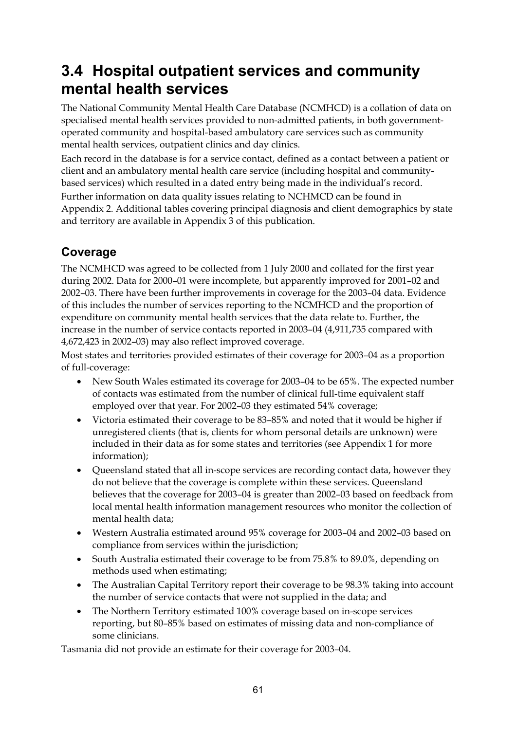## **3.4 Hospital outpatient services and community mental health services**

The National Community Mental Health Care Database (NCMHCD) is a collation of data on specialised mental health services provided to non-admitted patients, in both governmentoperated community and hospital-based ambulatory care services such as community mental health services, outpatient clinics and day clinics.

Each record in the database is for a service contact, defined as a contact between a patient or client and an ambulatory mental health care service (including hospital and communitybased services) which resulted in a dated entry being made in the individual's record.

Further information on data quality issues relating to NCHMCD can be found in Appendix 2. Additional tables covering principal diagnosis and client demographics by state and territory are available in Appendix 3 of this publication.

### **Coverage**

The NCMHCD was agreed to be collected from 1 July 2000 and collated for the first year during 2002. Data for 2000–01 were incomplete, but apparently improved for 2001–02 and 2002–03. There have been further improvements in coverage for the 2003–04 data. Evidence of this includes the number of services reporting to the NCMHCD and the proportion of expenditure on community mental health services that the data relate to. Further, the increase in the number of service contacts reported in 2003–04 (4,911,735 compared with 4,672,423 in 2002–03) may also reflect improved coverage.

Most states and territories provided estimates of their coverage for 2003–04 as a proportion of full-coverage:

- New South Wales estimated its coverage for 2003–04 to be 65%. The expected number of contacts was estimated from the number of clinical full-time equivalent staff employed over that year. For 2002–03 they estimated 54% coverage;
- Victoria estimated their coverage to be 83–85% and noted that it would be higher if unregistered clients (that is, clients for whom personal details are unknown) were included in their data as for some states and territories (see Appendix 1 for more information);
- Queensland stated that all in-scope services are recording contact data, however they do not believe that the coverage is complete within these services. Queensland believes that the coverage for 2003–04 is greater than 2002–03 based on feedback from local mental health information management resources who monitor the collection of mental health data;
- Western Australia estimated around 95% coverage for 2003–04 and 2002–03 based on compliance from services within the jurisdiction;
- South Australia estimated their coverage to be from 75.8% to 89.0%, depending on methods used when estimating;
- The Australian Capital Territory report their coverage to be 98.3% taking into account the number of service contacts that were not supplied in the data; and
- The Northern Territory estimated 100% coverage based on in-scope services reporting, but 80–85% based on estimates of missing data and non-compliance of some clinicians.

Tasmania did not provide an estimate for their coverage for 2003–04.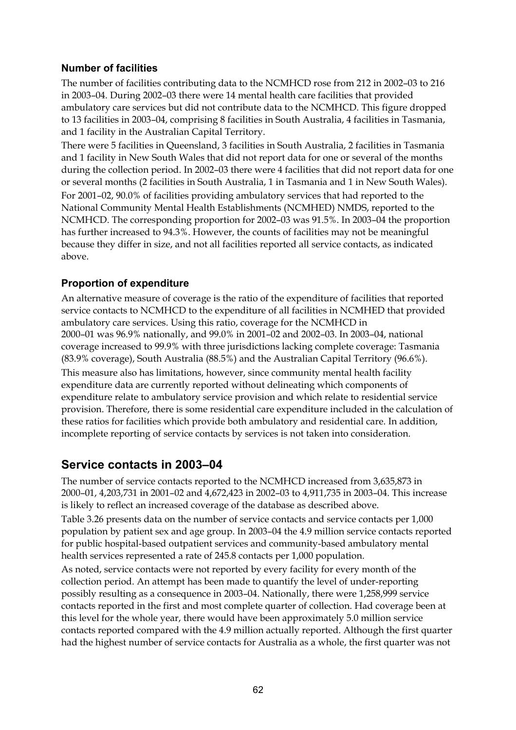#### **Number of facilities**

The number of facilities contributing data to the NCMHCD rose from 212 in 2002–03 to 216 in 2003–04. During 2002–03 there were 14 mental health care facilities that provided ambulatory care services but did not contribute data to the NCMHCD. This figure dropped to 13 facilities in 2003–04, comprising 8 facilities in South Australia, 4 facilities in Tasmania, and 1 facility in the Australian Capital Territory.

There were 5 facilities in Queensland, 3 facilities in South Australia, 2 facilities in Tasmania and 1 facility in New South Wales that did not report data for one or several of the months during the collection period. In 2002–03 there were 4 facilities that did not report data for one or several months (2 facilities in South Australia, 1 in Tasmania and 1 in New South Wales). For 2001–02, 90.0% of facilities providing ambulatory services that had reported to the National Community Mental Health Establishments (NCMHED) NMDS, reported to the NCMHCD. The corresponding proportion for 2002–03 was 91.5%. In 2003–04 the proportion has further increased to 94.3%. However, the counts of facilities may not be meaningful because they differ in size, and not all facilities reported all service contacts, as indicated above.

#### **Proportion of expenditure**

An alternative measure of coverage is the ratio of the expenditure of facilities that reported service contacts to NCMHCD to the expenditure of all facilities in NCMHED that provided ambulatory care services. Using this ratio, coverage for the NCMHCD in 2000–01 was 96.9% nationally, and 99.0% in 2001–02 and 2002–03. In 2003–04, national coverage increased to 99.9% with three jurisdictions lacking complete coverage: Tasmania (83.9% coverage), South Australia (88.5%) and the Australian Capital Territory (96.6%). This measure also has limitations, however, since community mental health facility expenditure data are currently reported without delineating which components of expenditure relate to ambulatory service provision and which relate to residential service provision. Therefore, there is some residential care expenditure included in the calculation of these ratios for facilities which provide both ambulatory and residential care. In addition, incomplete reporting of service contacts by services is not taken into consideration.

### **Service contacts in 2003–04**

The number of service contacts reported to the NCMHCD increased from 3,635,873 in 2000–01, 4,203,731 in 2001–02 and 4,672,423 in 2002–03 to 4,911,735 in 2003–04. This increase is likely to reflect an increased coverage of the database as described above.

Table 3.26 presents data on the number of service contacts and service contacts per 1,000 population by patient sex and age group. In 2003–04 the 4.9 million service contacts reported for public hospital-based outpatient services and community-based ambulatory mental health services represented a rate of 245.8 contacts per 1,000 population.

As noted, service contacts were not reported by every facility for every month of the collection period. An attempt has been made to quantify the level of under-reporting possibly resulting as a consequence in 2003–04. Nationally, there were 1,258,999 service contacts reported in the first and most complete quarter of collection. Had coverage been at this level for the whole year, there would have been approximately 5.0 million service contacts reported compared with the 4.9 million actually reported. Although the first quarter had the highest number of service contacts for Australia as a whole, the first quarter was not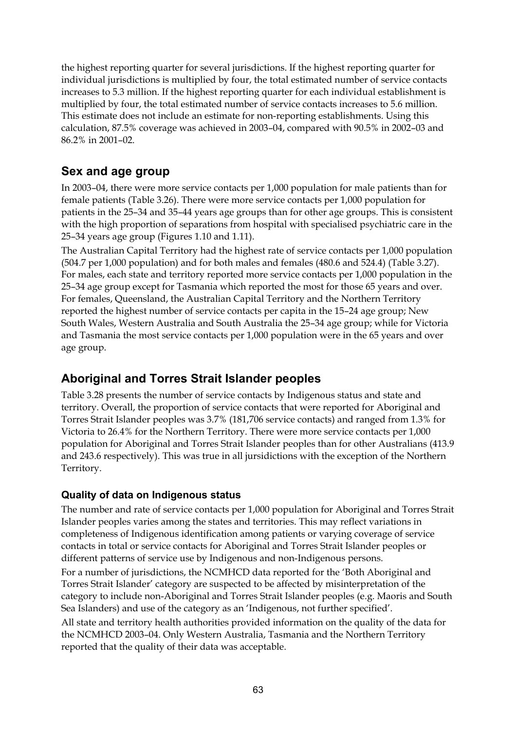the highest reporting quarter for several jurisdictions. If the highest reporting quarter for individual jurisdictions is multiplied by four, the total estimated number of service contacts increases to 5.3 million. If the highest reporting quarter for each individual establishment is multiplied by four, the total estimated number of service contacts increases to 5.6 million. This estimate does not include an estimate for non-reporting establishments. Using this calculation, 87.5% coverage was achieved in 2003–04, compared with 90.5% in 2002–03 and 86.2% in 2001–02.

### **Sex and age group**

In 2003–04, there were more service contacts per 1,000 population for male patients than for female patients (Table 3.26). There were more service contacts per 1,000 population for patients in the 25–34 and 35–44 years age groups than for other age groups. This is consistent with the high proportion of separations from hospital with specialised psychiatric care in the 25–34 years age group (Figures 1.10 and 1.11).

The Australian Capital Territory had the highest rate of service contacts per 1,000 population (504.7 per 1,000 population) and for both males and females (480.6 and 524.4) (Table 3.27). For males, each state and territory reported more service contacts per 1,000 population in the 25–34 age group except for Tasmania which reported the most for those 65 years and over. For females, Queensland, the Australian Capital Territory and the Northern Territory reported the highest number of service contacts per capita in the 15–24 age group; New South Wales, Western Australia and South Australia the 25–34 age group; while for Victoria and Tasmania the most service contacts per 1,000 population were in the 65 years and over age group.

### **Aboriginal and Torres Strait Islander peoples**

Table 3.28 presents the number of service contacts by Indigenous status and state and territory. Overall, the proportion of service contacts that were reported for Aboriginal and Torres Strait Islander peoples was 3.7% (181,706 service contacts) and ranged from 1.3% for Victoria to 26.4% for the Northern Territory. There were more service contacts per 1,000 population for Aboriginal and Torres Strait Islander peoples than for other Australians (413.9 and 243.6 respectively). This was true in all jursidictions with the exception of the Northern Territory.

### **Quality of data on Indigenous status**

The number and rate of service contacts per 1,000 population for Aboriginal and Torres Strait Islander peoples varies among the states and territories. This may reflect variations in completeness of Indigenous identification among patients or varying coverage of service contacts in total or service contacts for Aboriginal and Torres Strait Islander peoples or different patterns of service use by Indigenous and non-Indigenous persons. For a number of jurisdictions, the NCMHCD data reported for the 'Both Aboriginal and Torres Strait Islander' category are suspected to be affected by misinterpretation of the category to include non-Aboriginal and Torres Strait Islander peoples (e.g. Maoris and South Sea Islanders) and use of the category as an 'Indigenous, not further specified'. All state and territory health authorities provided information on the quality of the data for the NCMHCD 2003–04. Only Western Australia, Tasmania and the Northern Territory reported that the quality of their data was acceptable.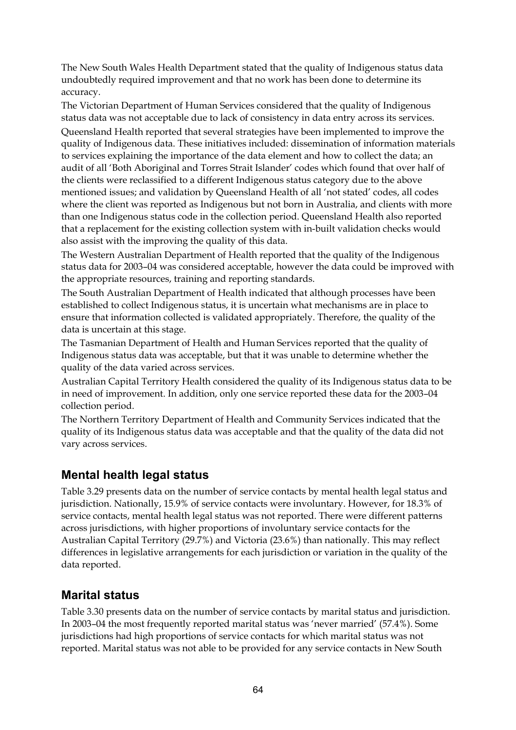The New South Wales Health Department stated that the quality of Indigenous status data undoubtedly required improvement and that no work has been done to determine its accuracy.

The Victorian Department of Human Services considered that the quality of Indigenous status data was not acceptable due to lack of consistency in data entry across its services. Queensland Health reported that several strategies have been implemented to improve the quality of Indigenous data. These initiatives included: dissemination of information materials to services explaining the importance of the data element and how to collect the data; an audit of all 'Both Aboriginal and Torres Strait Islander' codes which found that over half of the clients were reclassified to a different Indigenous status category due to the above mentioned issues; and validation by Queensland Health of all 'not stated' codes, all codes where the client was reported as Indigenous but not born in Australia, and clients with more than one Indigenous status code in the collection period. Queensland Health also reported that a replacement for the existing collection system with in-built validation checks would also assist with the improving the quality of this data.

The Western Australian Department of Health reported that the quality of the Indigenous status data for 2003–04 was considered acceptable, however the data could be improved with the appropriate resources, training and reporting standards.

The South Australian Department of Health indicated that although processes have been established to collect Indigenous status, it is uncertain what mechanisms are in place to ensure that information collected is validated appropriately. Therefore, the quality of the data is uncertain at this stage.

The Tasmanian Department of Health and Human Services reported that the quality of Indigenous status data was acceptable, but that it was unable to determine whether the quality of the data varied across services.

Australian Capital Territory Health considered the quality of its Indigenous status data to be in need of improvement. In addition, only one service reported these data for the 2003–04 collection period.

The Northern Territory Department of Health and Community Services indicated that the quality of its Indigenous status data was acceptable and that the quality of the data did not vary across services.

### **Mental health legal status**

Table 3.29 presents data on the number of service contacts by mental health legal status and jurisdiction. Nationally, 15.9% of service contacts were involuntary. However, for 18.3% of service contacts, mental health legal status was not reported. There were different patterns across jurisdictions, with higher proportions of involuntary service contacts for the Australian Capital Territory (29.7%) and Victoria (23.6%) than nationally. This may reflect differences in legislative arrangements for each jurisdiction or variation in the quality of the data reported.

### **Marital status**

Table 3.30 presents data on the number of service contacts by marital status and jurisdiction. In 2003–04 the most frequently reported marital status was 'never married' (57.4%). Some jurisdictions had high proportions of service contacts for which marital status was not reported. Marital status was not able to be provided for any service contacts in New South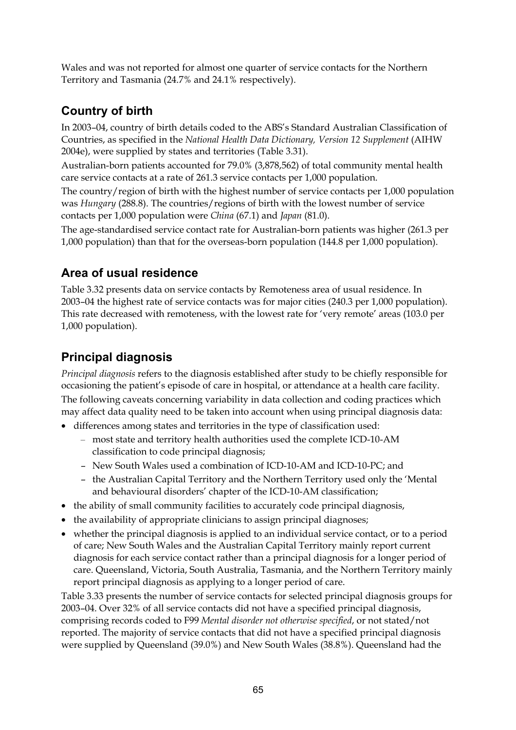Wales and was not reported for almost one quarter of service contacts for the Northern Territory and Tasmania (24.7% and 24.1% respectively).

### **Country of birth**

In 2003–04, country of birth details coded to the ABS's Standard Australian Classification of Countries, as specified in the *National Health Data Dictionary, Version 12 Supplement* (AIHW 2004e), were supplied by states and territories (Table 3.31).

Australian-born patients accounted for 79.0% (3,878,562) of total community mental health care service contacts at a rate of 261.3 service contacts per 1,000 population.

The country/region of birth with the highest number of service contacts per 1,000 population was *Hungary* (288.8). The countries/regions of birth with the lowest number of service contacts per 1,000 population were *China* (67.1) and *Japan* (81.0).

The age-standardised service contact rate for Australian-born patients was higher (261.3 per 1,000 population) than that for the overseas-born population (144.8 per 1,000 population).

### **Area of usual residence**

Table 3.32 presents data on service contacts by Remoteness area of usual residence. In 2003–04 the highest rate of service contacts was for major cities (240.3 per 1,000 population). This rate decreased with remoteness, with the lowest rate for 'very remote' areas (103.0 per 1,000 population).

### **Principal diagnosis**

*Principal diagnosis* refers to the diagnosis established after study to be chiefly responsible for occasioning the patient's episode of care in hospital, or attendance at a health care facility. The following caveats concerning variability in data collection and coding practices which may affect data quality need to be taken into account when using principal diagnosis data:

- differences among states and territories in the type of classification used:
	- most state and territory health authorities used the complete ICD-10-AM classification to code principal diagnosis;
	- New South Wales used a combination of ICD-10-AM and ICD-10-PC; and
	- the Australian Capital Territory and the Northern Territory used only the 'Mental and behavioural disorders' chapter of the ICD-10-AM classification;
- the ability of small community facilities to accurately code principal diagnosis,
- the availability of appropriate clinicians to assign principal diagnoses;
- whether the principal diagnosis is applied to an individual service contact, or to a period of care; New South Wales and the Australian Capital Territory mainly report current diagnosis for each service contact rather than a principal diagnosis for a longer period of care. Queensland, Victoria, South Australia, Tasmania, and the Northern Territory mainly report principal diagnosis as applying to a longer period of care.

Table 3.33 presents the number of service contacts for selected principal diagnosis groups for 2003–04. Over 32% of all service contacts did not have a specified principal diagnosis, comprising records coded to F99 *Mental disorder not otherwise specified*, or not stated/not reported. The majority of service contacts that did not have a specified principal diagnosis were supplied by Queensland (39.0%) and New South Wales (38.8%). Queensland had the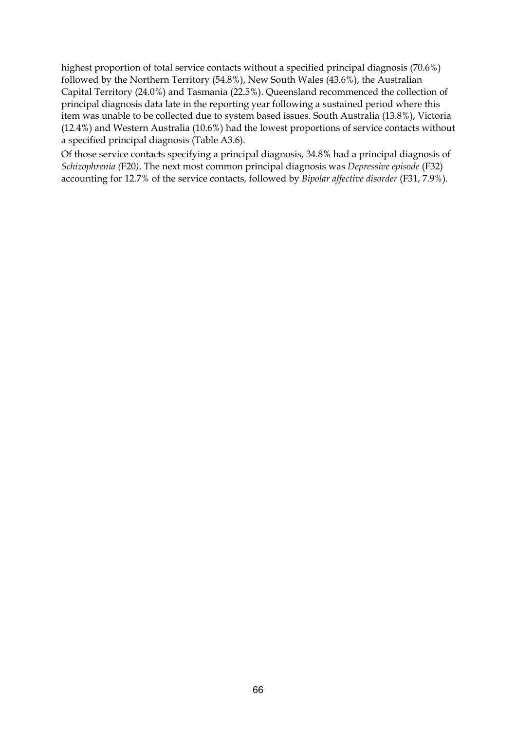highest proportion of total service contacts without a specified principal diagnosis (70.6%) followed by the Northern Territory (54.8%), New South Wales (43.6%), the Australian Capital Territory (24.0%) and Tasmania (22.5%). Queensland recommenced the collection of principal diagnosis data late in the reporting year following a sustained period where this item was unable to be collected due to system based issues. South Australia (13.8%), Victoria (12.4%) and Western Australia (10.6%) had the lowest proportions of service contacts without a specified principal diagnosis (Table A3.6).

Of those service contacts specifying a principal diagnosis, 34.8% had a principal diagnosis of *Schizophrenia (*F20*)*. The next most common principal diagnosis was *Depressive episode* (F32) accounting for 12.7% of the service contacts, followed by *Bipolar affective disorder* (F31, 7.9%).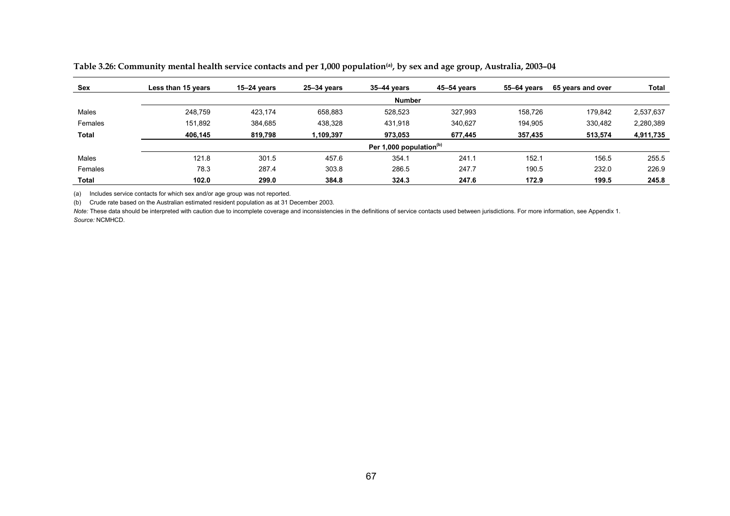| Sex     | Less than 15 years | $15 - 24$ years | $25 - 34$ years | 35-44 vears                | 45-54 years | 55–64 vears | 65 years and over | Total     |
|---------|--------------------|-----------------|-----------------|----------------------------|-------------|-------------|-------------------|-----------|
|         |                    |                 |                 | <b>Number</b>              |             |             |                   |           |
| Males   | 248.759            | 423.174         | 658,883         | 528,523                    | 327,993     | 158.726     | 179.842           | 2,537,637 |
| Females | 151,892            | 384,685         | 438,328         | 431,918                    | 340,627     | 194,905     | 330,482           | 2,280,389 |
| Total   | 406.145            | 819,798         | 1,109,397       | 973,053                    | 677,445     | 357,435     | 513,574           | 4,911,735 |
|         |                    |                 |                 | Per 1,000 population $(b)$ |             |             |                   |           |
| Males   | 121.8              | 301.5           | 457.6           | 354.1                      | 241.1       | 152.1       | 156.5             | 255.5     |
| Females | 78.3               | 287.4           | 303.8           | 286.5                      | 247.7       | 190.5       | 232.0             | 226.9     |
| Total   | 102.0              | 299.0           | 384.8           | 324.3                      | 247.6       | 172.9       | 199.5             | 245.8     |

**Table 3.26: Community mental health service contacts and per 1,000 population(a), by sex and age group, Australia, 2003–04** 

(a) Includes service contacts for which sex and/or age group was not reported.

(b) Crude rate based on the Australian estimated resident population as at 31 December 2003.

Note: These data should be interpreted with caution due to incomplete coverage and inconsistencies in the definitions of service contacts used between jurisdictions. For more information, see Appendix 1. *Source:* NCMHCD.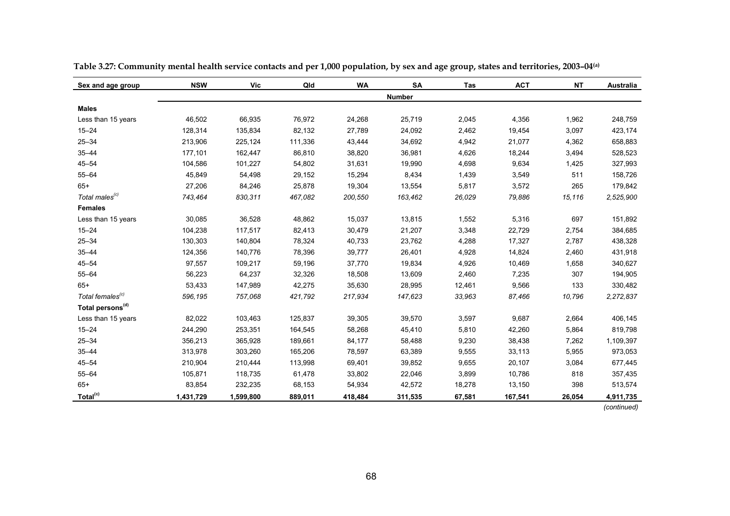| Sex and age group            | <b>NSW</b> | Vic       | Qld     | <b>WA</b> | <b>SA</b>     | Tas    | <b>ACT</b> | <b>NT</b> | Australia   |
|------------------------------|------------|-----------|---------|-----------|---------------|--------|------------|-----------|-------------|
|                              |            |           |         |           | <b>Number</b> |        |            |           |             |
| <b>Males</b>                 |            |           |         |           |               |        |            |           |             |
| Less than 15 years           | 46,502     | 66,935    | 76,972  | 24,268    | 25,719        | 2,045  | 4,356      | 1,962     | 248,759     |
| $15 - 24$                    | 128,314    | 135,834   | 82,132  | 27,789    | 24,092        | 2,462  | 19,454     | 3.097     | 423,174     |
| $25 - 34$                    | 213,906    | 225,124   | 111,336 | 43,444    | 34,692        | 4,942  | 21,077     | 4,362     | 658,883     |
| $35 - 44$                    | 177,101    | 162,447   | 86,810  | 38,820    | 36,981        | 4,626  | 18,244     | 3,494     | 528,523     |
| $45 - 54$                    | 104,586    | 101,227   | 54,802  | 31,631    | 19,990        | 4,698  | 9,634      | 1,425     | 327,993     |
| $55 - 64$                    | 45,849     | 54,498    | 29,152  | 15,294    | 8,434         | 1,439  | 3,549      | 511       | 158,726     |
| $65+$                        | 27,206     | 84,246    | 25,878  | 19,304    | 13,554        | 5,817  | 3,572      | 265       | 179,842     |
| Total males <sup>(c)</sup>   | 743,464    | 830,311   | 467,082 | 200,550   | 163,462       | 26,029 | 79,886     | 15,116    | 2,525,900   |
| <b>Females</b>               |            |           |         |           |               |        |            |           |             |
| Less than 15 years           | 30,085     | 36,528    | 48,862  | 15,037    | 13,815        | 1,552  | 5,316      | 697       | 151,892     |
| $15 - 24$                    | 104,238    | 117,517   | 82,413  | 30,479    | 21,207        | 3,348  | 22,729     | 2,754     | 384,685     |
| $25 - 34$                    | 130,303    | 140,804   | 78,324  | 40,733    | 23,762        | 4,288  | 17,327     | 2,787     | 438,328     |
| $35 - 44$                    | 124,356    | 140,776   | 78,396  | 39,777    | 26,401        | 4,928  | 14,824     | 2,460     | 431,918     |
| $45 - 54$                    | 97,557     | 109,217   | 59,196  | 37,770    | 19,834        | 4,926  | 10,469     | 1,658     | 340,627     |
| $55 - 64$                    | 56,223     | 64,237    | 32,326  | 18,508    | 13,609        | 2,460  | 7,235      | 307       | 194,905     |
| $65+$                        | 53,433     | 147,989   | 42,275  | 35,630    | 28,995        | 12,461 | 9,566      | 133       | 330,482     |
| Total females <sup>(c)</sup> | 596,195    | 757,068   | 421,792 | 217,934   | 147,623       | 33,963 | 87,466     | 10,796    | 2,272,837   |
| Total persons <sup>(d)</sup> |            |           |         |           |               |        |            |           |             |
| Less than 15 years           | 82,022     | 103,463   | 125,837 | 39,305    | 39,570        | 3,597  | 9,687      | 2,664     | 406,145     |
| $15 - 24$                    | 244,290    | 253,351   | 164,545 | 58,268    | 45,410        | 5,810  | 42,260     | 5,864     | 819,798     |
| $25 - 34$                    | 356,213    | 365,928   | 189,661 | 84,177    | 58,488        | 9,230  | 38,438     | 7,262     | 1,109,397   |
| $35 - 44$                    | 313,978    | 303,260   | 165,206 | 78,597    | 63,389        | 9,555  | 33,113     | 5,955     | 973,053     |
| $45 - 54$                    | 210,904    | 210,444   | 113,998 | 69,401    | 39,852        | 9,655  | 20,107     | 3,084     | 677,445     |
| $55 - 64$                    | 105,871    | 118,735   | 61,478  | 33,802    | 22,046        | 3,899  | 10,786     | 818       | 357,435     |
| $65+$                        | 83,854     | 232,235   | 68,153  | 54,934    | 42,572        | 18,278 | 13,150     | 398       | 513,574     |
| Total <sup>(c)</sup>         | 1,431,729  | 1,599,800 | 889,011 | 418,484   | 311,535       | 67,581 | 167,541    | 26,054    | 4,911,735   |
|                              |            |           |         |           |               |        |            |           | (continued) |

**Table 3.27: Community mental health service contacts and per 1,000 population, by sex and age group, states and territories, 2003–04(a)**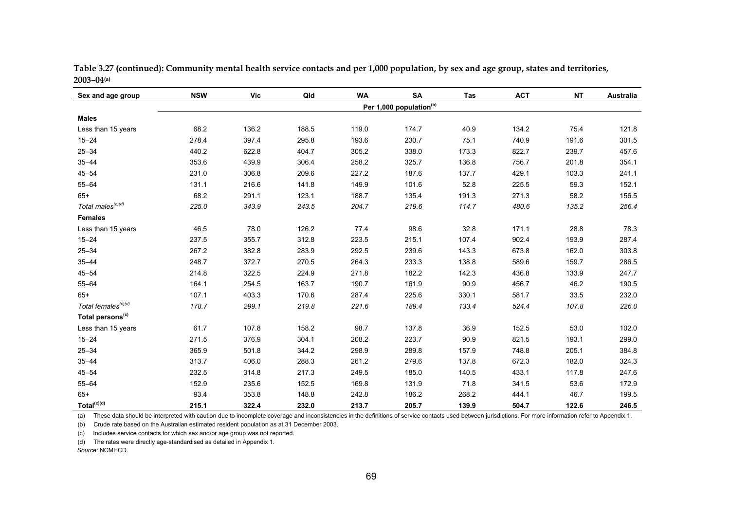| Sex and age group               | <b>NSW</b> | Vic   | Qld   | WA    | <b>SA</b>                           | Tas   | <b>ACT</b> | <b>NT</b> | Australia |
|---------------------------------|------------|-------|-------|-------|-------------------------------------|-------|------------|-----------|-----------|
|                                 |            |       |       |       | Per 1,000 population <sup>(b)</sup> |       |            |           |           |
| <b>Males</b>                    |            |       |       |       |                                     |       |            |           |           |
| Less than 15 years              | 68.2       | 136.2 | 188.5 | 119.0 | 174.7                               | 40.9  | 134.2      | 75.4      | 121.8     |
| $15 - 24$                       | 278.4      | 397.4 | 295.8 | 193.6 | 230.7                               | 75.1  | 740.9      | 191.6     | 301.5     |
| $25 - 34$                       | 440.2      | 622.8 | 404.7 | 305.2 | 338.0                               | 173.3 | 822.7      | 239.7     | 457.6     |
| $35 - 44$                       | 353.6      | 439.9 | 306.4 | 258.2 | 325.7                               | 136.8 | 756.7      | 201.8     | 354.1     |
| $45 - 54$                       | 231.0      | 306.8 | 209.6 | 227.2 | 187.6                               | 137.7 | 429.1      | 103.3     | 241.1     |
| $55 - 64$                       | 131.1      | 216.6 | 141.8 | 149.9 | 101.6                               | 52.8  | 225.5      | 59.3      | 152.1     |
| $65+$                           | 68.2       | 291.1 | 123.1 | 188.7 | 135.4                               | 191.3 | 271.3      | 58.2      | 156.5     |
| Total males <sup>(c)(d)</sup>   | 225.0      | 343.9 | 243.5 | 204.7 | 219.6                               | 114.7 | 480.6      | 135.2     | 256.4     |
| <b>Females</b>                  |            |       |       |       |                                     |       |            |           |           |
| Less than 15 years              | 46.5       | 78.0  | 126.2 | 77.4  | 98.6                                | 32.8  | 171.1      | 28.8      | 78.3      |
| $15 - 24$                       | 237.5      | 355.7 | 312.8 | 223.5 | 215.1                               | 107.4 | 902.4      | 193.9     | 287.4     |
| $25 - 34$                       | 267.2      | 382.8 | 283.9 | 292.5 | 239.6                               | 143.3 | 673.8      | 162.0     | 303.8     |
| $35 - 44$                       | 248.7      | 372.7 | 270.5 | 264.3 | 233.3                               | 138.8 | 589.6      | 159.7     | 286.5     |
| $45 - 54$                       | 214.8      | 322.5 | 224.9 | 271.8 | 182.2                               | 142.3 | 436.8      | 133.9     | 247.7     |
| $55 - 64$                       | 164.1      | 254.5 | 163.7 | 190.7 | 161.9                               | 90.9  | 456.7      | 46.2      | 190.5     |
| $65+$                           | 107.1      | 403.3 | 170.6 | 287.4 | 225.6                               | 330.1 | 581.7      | 33.5      | 232.0     |
| Total females <sup>(c)(d)</sup> | 178.7      | 299.1 | 219.8 | 221.6 | 189.4                               | 133.4 | 524.4      | 107.8     | 226.0     |
| Total persons <sup>(c)</sup>    |            |       |       |       |                                     |       |            |           |           |
| Less than 15 years              | 61.7       | 107.8 | 158.2 | 98.7  | 137.8                               | 36.9  | 152.5      | 53.0      | 102.0     |
| $15 - 24$                       | 271.5      | 376.9 | 304.1 | 208.2 | 223.7                               | 90.9  | 821.5      | 193.1     | 299.0     |
| $25 - 34$                       | 365.9      | 501.8 | 344.2 | 298.9 | 289.8                               | 157.9 | 748.8      | 205.1     | 384.8     |
| $35 - 44$                       | 313.7      | 406.0 | 288.3 | 261.2 | 279.6                               | 137.8 | 672.3      | 182.0     | 324.3     |
| $45 - 54$                       | 232.5      | 314.8 | 217.3 | 249.5 | 185.0                               | 140.5 | 433.1      | 117.8     | 247.6     |
| $55 - 64$                       | 152.9      | 235.6 | 152.5 | 169.8 | 131.9                               | 71.8  | 341.5      | 53.6      | 172.9     |
| $65+$                           | 93.4       | 353.8 | 148.8 | 242.8 | 186.2                               | 268.2 | 444.1      | 46.7      | 199.5     |
| Total <sup>(c)(d)</sup>         | 215.1      | 322.4 | 232.0 | 213.7 | 205.7                               | 139.9 | 504.7      | 122.6     | 246.5     |

**Table 3.27 (continued): Community mental health service contacts and per 1,000 population, by sex and age group, states and territories, 2003–04(a)**

(a) These data should be interpreted with caution due to incomplete coverage and inconsistencies in the definitions of service contacts used between jurisdictions. For more information refer to Appendix 1.

(b) Crude rate based on the Australian estimated resident population as at 31 December 2003.

(c) Includes service contacts for which sex and/or age group was not reported.

(d) The rates were directly age-standardised as detailed in Appendix 1.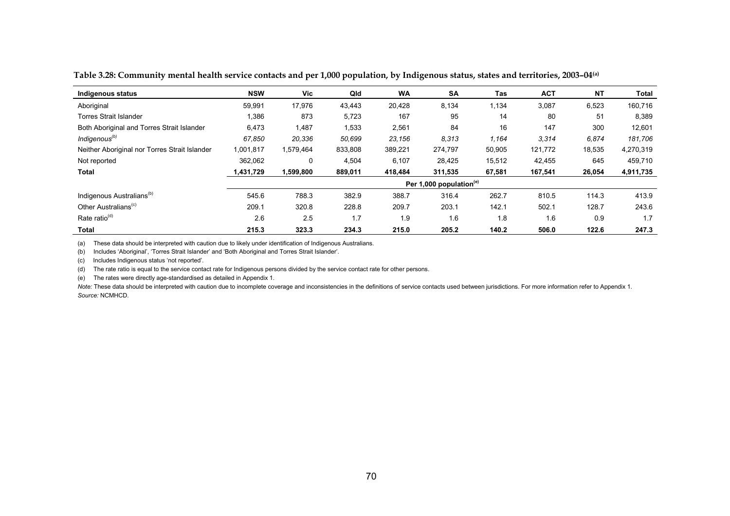| Indigenous status                             | <b>NSW</b> | <b>Vic</b> | Qld     | <b>WA</b> | <b>SA</b>                           | Tas    | <b>ACT</b> | <b>NT</b> | Total     |
|-----------------------------------------------|------------|------------|---------|-----------|-------------------------------------|--------|------------|-----------|-----------|
| Aboriginal                                    | 59,991     | 17,976     | 43,443  | 20,428    | 8,134                               | 1,134  | 3,087      | 6,523     | 160,716   |
| <b>Torres Strait Islander</b>                 | 1,386      | 873        | 5,723   | 167       | 95                                  | 14     | 80         | 51        | 8,389     |
| Both Aboriginal and Torres Strait Islander    | 6,473      | 1,487      | 1,533   | 2,561     | 84                                  | 16     | 147        | 300       | 12,601    |
| Indigenous <sup>(b)</sup>                     | 67,850     | 20,336     | 50,699  | 23,156    | 8.313                               | 1,164  | 3,314      | 6,874     | 181,706   |
| Neither Aboriginal nor Torres Strait Islander | 1,001,817  | 1,579,464  | 833,808 | 389,221   | 274,797                             | 50,905 | 121,772    | 18,535    | 4,270,319 |
| Not reported                                  | 362.062    | 0          | 4,504   | 6.107     | 28.425                              | 15,512 | 42,455     | 645       | 459.710   |
| Total                                         | 1,431,729  | 1,599,800  | 889,011 | 418,484   | 311,535                             | 67,581 | 167,541    | 26,054    | 4,911,735 |
|                                               |            |            |         |           | Per 1,000 population <sup>(e)</sup> |        |            |           |           |
| Indigenous Australians <sup>(b)</sup>         | 545.6      | 788.3      | 382.9   | 388.7     | 316.4                               | 262.7  | 810.5      | 114.3     | 413.9     |
| Other Australians <sup>(c)</sup>              | 209.1      | 320.8      | 228.8   | 209.7     | 203.1                               | 142.1  | 502.1      | 128.7     | 243.6     |
| Rate ratio <sup>(d)</sup>                     | 2.6        | 2.5        | 1.7     | 1.9       | 1.6                                 | 1.8    | 1.6        | 0.9       | 1.7       |
| Total                                         | 215.3      | 323.3      | 234.3   | 215.0     | 205.2                               | 140.2  | 506.0      | 122.6     | 247.3     |

**Table 3.28: Community mental health service contacts and per 1,000 population, by Indigenous status, states and territories, 2003–04(a)**

(a) These data should be interpreted with caution due to likely under identification of Indigenous Australians.

(b) Includes 'Aboriginal', 'Torres Strait Islander' and 'Both Aboriginal and Torres Strait Islander'.

(c) Includes Indigenous status 'not reported'.

(d) The rate ratio is equal to the service contact rate for Indigenous persons divided by the service contact rate for other persons.

(e) The rates were directly age-standardised as detailed in Appendix 1.

*Note:* These data should be interpreted with caution due to incomplete coverage and inconsistencies in the definitions of service contacts used between jurisdictions. For more information refer to Appendix 1. *Source:* NCMHCD.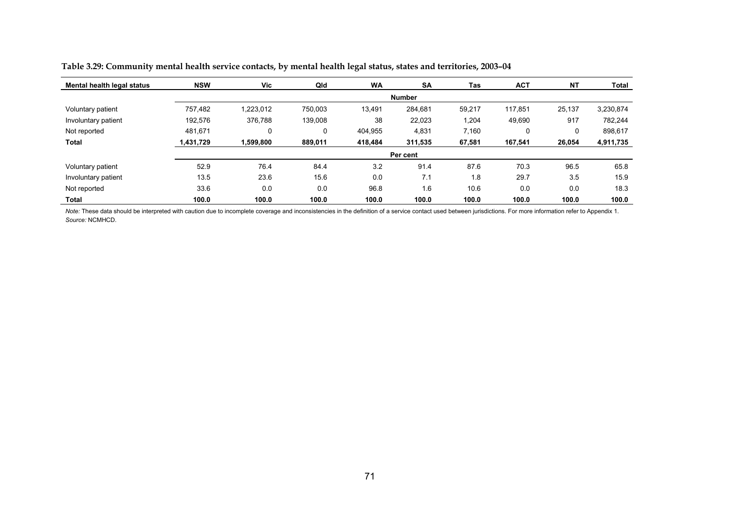| Mental health legal status | <b>NSW</b> | Vic       | Qld     | <b>WA</b> | <b>SA</b>     | Tas    | <b>ACT</b> | <b>NT</b> | Total     |
|----------------------------|------------|-----------|---------|-----------|---------------|--------|------------|-----------|-----------|
|                            |            |           |         |           | <b>Number</b> |        |            |           |           |
| Voluntary patient          | 757,482    | 1,223,012 | 750.003 | 13,491    | 284.681       | 59,217 | 117,851    | 25,137    | 3,230,874 |
| Involuntary patient        | 192,576    | 376,788   | 139,008 | 38        | 22,023        | 1,204  | 49,690     | 917       | 782.244   |
| Not reported               | 481.671    | 0         | 0       | 404.955   | 4,831         | 7.160  | 0          | 0         | 898,617   |
| Total                      | 1,431,729  | 1,599,800 | 889,011 | 418,484   | 311,535       | 67,581 | 167,541    | 26,054    | 4,911,735 |
|                            |            |           |         |           | Per cent      |        |            |           |           |
| Voluntary patient          | 52.9       | 76.4      | 84.4    | 3.2       | 91.4          | 87.6   | 70.3       | 96.5      | 65.8      |
| Involuntary patient        | 13.5       | 23.6      | 15.6    | 0.0       | 7.1           | 1.8    | 29.7       | 3.5       | 15.9      |
| Not reported               | 33.6       | 0.0       | 0.0     | 96.8      | 1.6           | 10.6   | 0.0        | 0.0       | 18.3      |
| Total                      | 100.0      | 100.0     | 100.0   | 100.0     | 100.0         | 100.0  | 100.0      | 100.0     | 100.0     |

**Table 3.29: Community mental health service contacts, by mental health legal status, states and territories, 2003–04** 

*Note:* These data should be interpreted with caution due to incomplete coverage and inconsistencies in the definition of a service contact used between jurisdictions. For more information refer to Appendix 1. *Source:* NCMHCD.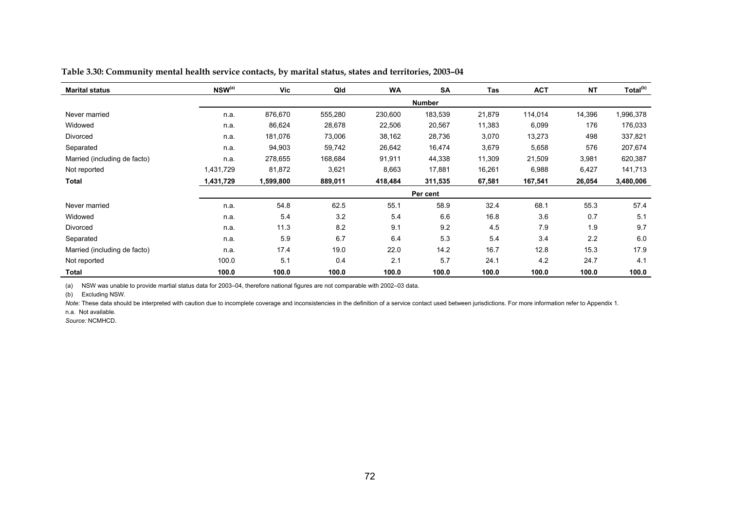| <b>Marital status</b>        | $NSW^{(a)}$ | Vic       | Qld     | <b>WA</b> | <b>SA</b>     | Tas    | <b>ACT</b> | <b>NT</b> | Total <sup>(b)</sup> |
|------------------------------|-------------|-----------|---------|-----------|---------------|--------|------------|-----------|----------------------|
|                              |             |           |         |           | <b>Number</b> |        |            |           |                      |
| Never married                | n.a.        | 876,670   | 555,280 | 230,600   | 183,539       | 21,879 | 114,014    | 14,396    | 1,996,378            |
| Widowed                      | n.a.        | 86,624    | 28,678  | 22,506    | 20,567        | 11,383 | 6,099      | 176       | 176,033              |
| Divorced                     | n.a.        | 181,076   | 73,006  | 38,162    | 28,736        | 3,070  | 13,273     | 498       | 337,821              |
| Separated                    | n.a.        | 94,903    | 59,742  | 26,642    | 16,474        | 3,679  | 5,658      | 576       | 207,674              |
| Married (including de facto) | n.a.        | 278,655   | 168,684 | 91,911    | 44,338        | 11,309 | 21,509     | 3,981     | 620,387              |
| Not reported                 | 1,431,729   | 81,872    | 3,621   | 8,663     | 17,881        | 16,261 | 6,988      | 6,427     | 141,713              |
| Total                        | 1,431,729   | 1,599,800 | 889,011 | 418,484   | 311,535       | 67,581 | 167,541    | 26,054    | 3,480,006            |
|                              |             |           |         |           | Per cent      |        |            |           |                      |
| Never married                | n.a.        | 54.8      | 62.5    | 55.1      | 58.9          | 32.4   | 68.1       | 55.3      | 57.4                 |
| Widowed                      | n.a.        | 5.4       | 3.2     | 5.4       | 6.6           | 16.8   | 3.6        | 0.7       | 5.1                  |
| Divorced                     | n.a.        | 11.3      | 8.2     | 9.1       | 9.2           | 4.5    | 7.9        | 1.9       | 9.7                  |
| Separated                    | n.a.        | 5.9       | 6.7     | 6.4       | 5.3           | 5.4    | 3.4        | 2.2       | 6.0                  |
| Married (including de facto) | n.a.        | 17.4      | 19.0    | 22.0      | 14.2          | 16.7   | 12.8       | 15.3      | 17.9                 |
| Not reported                 | 100.0       | 5.1       | 0.4     | 2.1       | 5.7           | 24.1   | 4.2        | 24.7      | 4.1                  |
| <b>Total</b>                 | 100.0       | 100.0     | 100.0   | 100.0     | 100.0         | 100.0  | 100.0      | 100.0     | 100.0                |

**Table 3.30: Community mental health service contacts, by marital status, states and territories, 2003–04** 

(a) NSW was unable to provide martial status data for 2003–04, therefore national figures are not comparable with 2002–03 data.

(b) Excluding NSW.

Note: These data should be interpreted with caution due to incomplete coverage and inconsistencies in the definition of a service contact used between jurisdictions. For more information refer to Appendix 1.

n.a. Not available.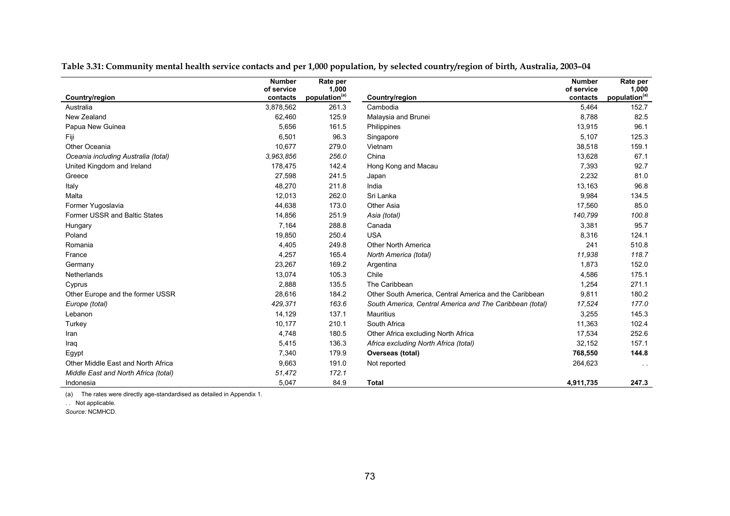|                                      | <b>Number</b> | Rate per                  |                                                          | <b>Number</b> | Rate per                  |
|--------------------------------------|---------------|---------------------------|----------------------------------------------------------|---------------|---------------------------|
|                                      | of service    | 1,000                     |                                                          | of service    | 1,000                     |
| Country/region                       | contacts      | population <sup>(a)</sup> | Country/region                                           | contacts      | population <sup>(a)</sup> |
| Australia                            | 3,878,562     | 261.3                     | Cambodia                                                 | 5,464         | 152.7                     |
| New Zealand                          | 62,460        | 125.9                     | Malaysia and Brunei                                      | 8,788         | 82.5                      |
| Papua New Guinea                     | 5,656         | 161.5                     | Philippines                                              | 13,915        | 96.1                      |
| Fiji                                 | 6,501         | 96.3                      | Singapore                                                | 5,107         | 125.3                     |
| Other Oceania                        | 10,677        | 279.0                     | Vietnam                                                  | 38,518        | 159.1                     |
| Oceania including Australia (total)  | 3.963.856     | 256.0                     | China                                                    | 13,628        | 67.1                      |
| United Kingdom and Ireland           | 178,475       | 142.4                     | Hong Kong and Macau                                      | 7,393         | 92.7                      |
| Greece                               | 27,598        | 241.5                     | Japan                                                    | 2,232         | 81.0                      |
| Italy                                | 48,270        | 211.8                     | India                                                    | 13,163        | 96.8                      |
| Malta                                | 12,013        | 262.0                     | Sri Lanka                                                | 9,984         | 134.5                     |
| Former Yugoslavia                    | 44,638        | 173.0                     | <b>Other Asia</b>                                        | 17,560        | 85.0                      |
| Former USSR and Baltic States        | 14,856        | 251.9                     | Asia (total)                                             | 140,799       | 100.8                     |
| Hungary                              | 7,164         | 288.8                     | Canada                                                   | 3,381         | 95.7                      |
| Poland                               | 19,850        | 250.4                     | <b>USA</b>                                               | 8,316         | 124.1                     |
| Romania                              | 4,405         | 249.8                     | <b>Other North America</b>                               | 241           | 510.8                     |
| France                               | 4,257         | 165.4                     | North America (total)                                    | 11,938        | 118.7                     |
| Germany                              | 23,267        | 169.2                     | Argentina                                                | 1,873         | 152.0                     |
| Netherlands                          | 13,074        | 105.3                     | Chile                                                    | 4,586         | 175.1                     |
| Cyprus                               | 2,888         | 135.5                     | The Caribbean                                            | 1,254         | 271.1                     |
| Other Europe and the former USSR     | 28,616        | 184.2                     | Other South America, Central America and the Caribbean   | 9,811         | 180.2                     |
| Europe (total)                       | 429,371       | 163.6                     | South America, Central America and The Caribbean (total) | 17,524        | 177.0                     |
| Lebanon                              | 14,129        | 137.1                     | <b>Mauritius</b>                                         | 3,255         | 145.3                     |
| Turkey                               | 10.177        | 210.1                     | South Africa                                             | 11.363        | 102.4                     |
| Iran                                 | 4,748         | 180.5                     | Other Africa excluding North Africa                      | 17,534        | 252.6                     |
| Iraq                                 | 5,415         | 136.3                     | Africa excluding North Africa (total)                    | 32,152        | 157.1                     |
| Egypt                                | 7,340         | 179.9                     | Overseas (total)                                         | 768,550       | 144.8                     |
| Other Middle East and North Africa   | 9,663         | 191.0                     | Not reported                                             | 264,623       | $\sim$ $\sim$             |
| Middle East and North Africa (total) | 51,472        | 172.1                     |                                                          |               |                           |
| Indonesia                            | 5,047         | 84.9                      | <b>Total</b>                                             | 4,911,735     | 247.3                     |

**Table 3.31: Community mental health service contacts and per 1,000 population, by selected country/region of birth, Australia, 2003–04** 

(a) The rates were directly age-standardised as detailed in Appendix 1.

. . Not applicable.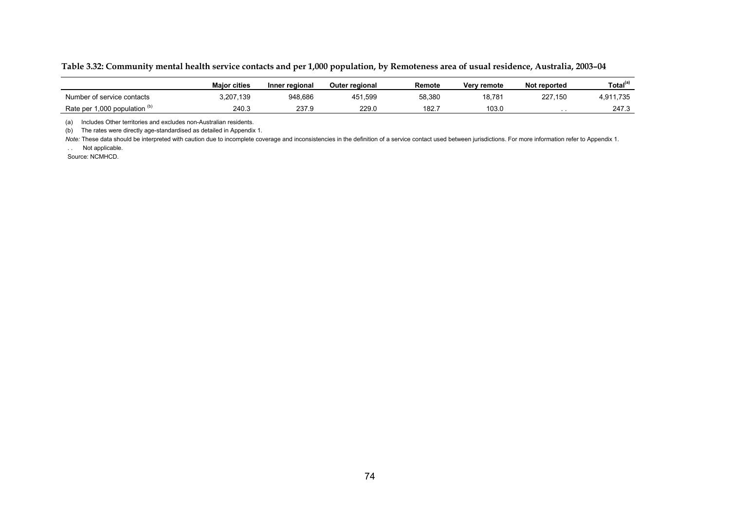|  |  |  |  |  | Table 3.32: Community mental health service contacts and per 1,000 population, by Remoteness area of usual residence, Australia, 2003–04 |
|--|--|--|--|--|------------------------------------------------------------------------------------------------------------------------------------------|
|--|--|--|--|--|------------------------------------------------------------------------------------------------------------------------------------------|

|                                          | <b>Maior cities</b> | Inner regional | <b>Outer regional</b> | Remote | Very remote | Not reported | Total <sup>(a)</sup>  |
|------------------------------------------|---------------------|----------------|-----------------------|--------|-------------|--------------|-----------------------|
| Number of service contacts               | 3,207,139           | 948,686        | 451,599               | 58,380 | 18,781      | 227,150      | 11,735<br>4 911<br>۰. |
| Rate per 1,000 population $\mathfrak{p}$ | 240.3               | 237.9          | 229.0                 | 182.7  | 103.0       | . .          | 247.3                 |

(a) Includes Other territories and excludes non-Australian residents.

(b) The rates were directly age-standardised as detailed in Appendix 1.

Note: These data should be interpreted with caution due to incomplete coverage and inconsistencies in the definition of a service contact used between jurisdictions. For more information refer to Appendix 1.

. . Not applicable.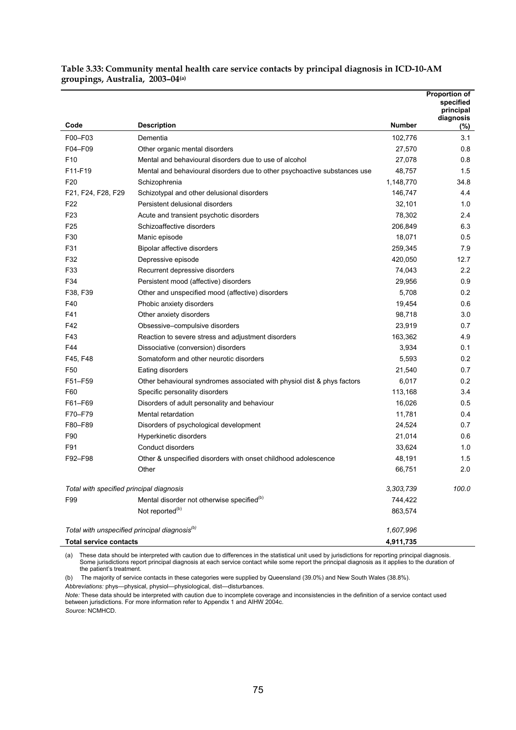**Table 3.33: Community mental health care service contacts by principal diagnosis in ICD-10-AM groupings, Australia, 2003–04(a)** 

|                                                           |                                                                           |               | <b>Proportion of</b><br>specified<br>principal<br>diagnosis |
|-----------------------------------------------------------|---------------------------------------------------------------------------|---------------|-------------------------------------------------------------|
| Code                                                      | <b>Description</b>                                                        | <b>Number</b> | $(\%)$                                                      |
| F00-F03                                                   | Dementia                                                                  | 102,776       | 3.1                                                         |
| F04-F09                                                   | Other organic mental disorders                                            | 27,570        | 0.8                                                         |
| F10                                                       | Mental and behavioural disorders due to use of alcohol                    | 27,078        | 0.8                                                         |
| F11-F19                                                   | Mental and behavioural disorders due to other psychoactive substances use | 48,757        | 1.5                                                         |
| F <sub>20</sub>                                           | Schizophrenia                                                             | 1,148,770     | 34.8                                                        |
| F21, F24, F28, F29                                        | Schizotypal and other delusional disorders                                | 146,747       | 4.4                                                         |
| F <sub>22</sub>                                           | Persistent delusional disorders                                           | 32,101        | 1.0                                                         |
| F <sub>23</sub>                                           | Acute and transient psychotic disorders                                   | 78,302        | 2.4                                                         |
| F <sub>25</sub>                                           | Schizoaffective disorders                                                 | 206,849       | 6.3                                                         |
| F30                                                       | Manic episode                                                             | 18,071        | 0.5                                                         |
| F31                                                       | Bipolar affective disorders                                               | 259,345       | 7.9                                                         |
| F32                                                       | Depressive episode                                                        | 420,050       | 12.7                                                        |
| F33                                                       | Recurrent depressive disorders                                            | 74,043        | 2.2                                                         |
| F34                                                       | Persistent mood (affective) disorders                                     | 29,956        | 0.9                                                         |
| F38, F39                                                  | Other and unspecified mood (affective) disorders                          | 5,708         | 0.2                                                         |
| F40                                                       | Phobic anxiety disorders                                                  | 19,454        | 0.6                                                         |
| F41                                                       | Other anxiety disorders                                                   | 98,718        | 3.0                                                         |
| F42                                                       | Obsessive-compulsive disorders                                            | 23,919        | 0.7                                                         |
| F43                                                       | Reaction to severe stress and adjustment disorders                        | 163,362       | 4.9                                                         |
| F44                                                       | Dissociative (conversion) disorders                                       | 3,934         | 0.1                                                         |
| F45, F48                                                  | Somatoform and other neurotic disorders                                   | 5,593         | 0.2                                                         |
| F50                                                       | Eating disorders                                                          | 21,540        | 0.7                                                         |
| F51-F59                                                   | Other behavioural syndromes associated with physiol dist & phys factors   | 6,017         | 0.2                                                         |
| F60                                                       | Specific personality disorders                                            | 113,168       | 3.4                                                         |
| F61-F69                                                   | Disorders of adult personality and behaviour                              | 16,026        | 0.5                                                         |
| F70-F79                                                   | Mental retardation                                                        | 11,781        | 0.4                                                         |
| F80-F89                                                   | Disorders of psychological development                                    | 24,524        | 0.7                                                         |
| F90                                                       | Hyperkinetic disorders                                                    | 21,014        | 0.6                                                         |
| F91                                                       | Conduct disorders                                                         | 33,624        | 1.0                                                         |
| F92-F98                                                   | Other & unspecified disorders with onset childhood adolescence            | 48,191        | 1.5                                                         |
|                                                           | Other                                                                     | 66,751        | 2.0                                                         |
| Total with specified principal diagnosis                  |                                                                           | 3,303,739     | 100.0                                                       |
| F99                                                       | Mental disorder not otherwise specified <sup>(b)</sup>                    | 744,422       |                                                             |
|                                                           | Not reported <sup>(b)</sup>                                               | 863,574       |                                                             |
| Total with unspecified principal diagnosis <sup>(b)</sup> |                                                                           | 1,607,996     |                                                             |
| <b>Total service contacts</b>                             |                                                                           | 4,911,735     |                                                             |

(a) These data should be interpreted with caution due to differences in the statistical unit used by jurisdictions for reporting principal diagnosis. Some jurisdictions report principal diagnosis at each service contact while some report the principal diagnosis as it applies to the duration of the patient's treatment.

(b) The majority of service contacts in these categories were supplied by Queensland (39.0%) and New South Wales (38.8%). *Abbreviations:* phys—physical, physiol—physiological, dist—disturbances.

*Note:* These data should be interpreted with caution due to incomplete coverage and inconsistencies in the definition of a service contact used between jurisdictions. For more information refer to Appendix 1 and AIHW 2004c.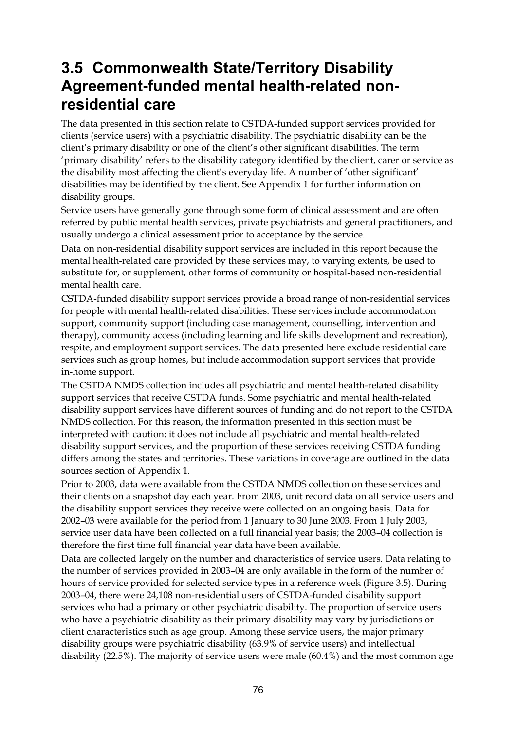## **3.5 Commonwealth State/Territory Disability Agreement-funded mental health-related nonresidential care**

The data presented in this section relate to CSTDA-funded support services provided for clients (service users) with a psychiatric disability. The psychiatric disability can be the client's primary disability or one of the client's other significant disabilities. The term 'primary disability' refers to the disability category identified by the client, carer or service as the disability most affecting the client's everyday life. A number of 'other significant' disabilities may be identified by the client. See Appendix 1 for further information on disability groups.

Service users have generally gone through some form of clinical assessment and are often referred by public mental health services, private psychiatrists and general practitioners, and usually undergo a clinical assessment prior to acceptance by the service.

Data on non-residential disability support services are included in this report because the mental health-related care provided by these services may, to varying extents, be used to substitute for, or supplement, other forms of community or hospital-based non-residential mental health care.

CSTDA-funded disability support services provide a broad range of non-residential services for people with mental health-related disabilities. These services include accommodation support, community support (including case management, counselling, intervention and therapy), community access (including learning and life skills development and recreation), respite, and employment support services. The data presented here exclude residential care services such as group homes, but include accommodation support services that provide in-home support.

The CSTDA NMDS collection includes all psychiatric and mental health-related disability support services that receive CSTDA funds. Some psychiatric and mental health-related disability support services have different sources of funding and do not report to the CSTDA NMDS collection. For this reason, the information presented in this section must be interpreted with caution: it does not include all psychiatric and mental health-related disability support services, and the proportion of these services receiving CSTDA funding differs among the states and territories. These variations in coverage are outlined in the data sources section of Appendix 1.

Prior to 2003, data were available from the CSTDA NMDS collection on these services and their clients on a snapshot day each year. From 2003, unit record data on all service users and the disability support services they receive were collected on an ongoing basis. Data for 2002–03 were available for the period from 1 January to 30 June 2003. From 1 July 2003, service user data have been collected on a full financial year basis; the 2003–04 collection is therefore the first time full financial year data have been available.

Data are collected largely on the number and characteristics of service users. Data relating to the number of services provided in 2003–04 are only available in the form of the number of hours of service provided for selected service types in a reference week (Figure 3.5). During 2003–04, there were 24,108 non-residential users of CSTDA-funded disability support services who had a primary or other psychiatric disability. The proportion of service users who have a psychiatric disability as their primary disability may vary by jurisdictions or client characteristics such as age group. Among these service users, the major primary disability groups were psychiatric disability (63.9% of service users) and intellectual disability (22.5%). The majority of service users were male (60.4%) and the most common age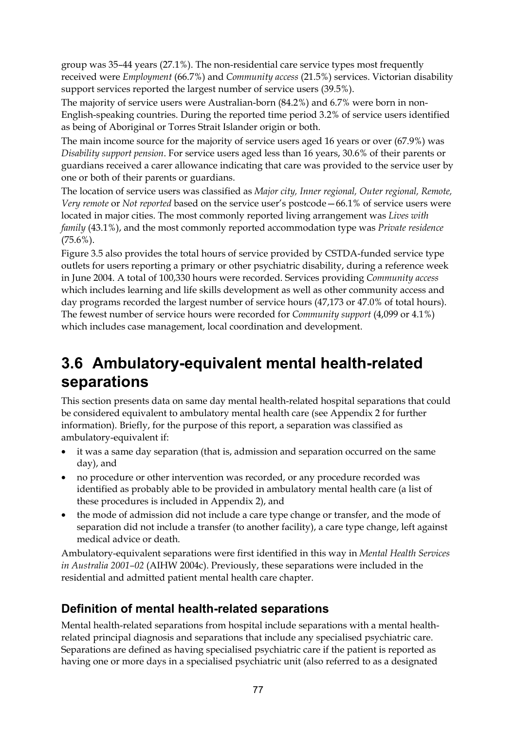group was 35–44 years (27.1%). The non-residential care service types most frequently received were *Employment* (66.7%) and *Community access* (21.5%) services. Victorian disability support services reported the largest number of service users (39.5%).

The majority of service users were Australian-born (84.2%) and 6.7% were born in non-English-speaking countries. During the reported time period 3.2% of service users identified as being of Aboriginal or Torres Strait Islander origin or both.

The main income source for the majority of service users aged 16 years or over (67.9%) was *Disability support pension*. For service users aged less than 16 years, 30.6% of their parents or guardians received a carer allowance indicating that care was provided to the service user by one or both of their parents or guardians.

The location of service users was classified as *Major city, Inner regional, Outer regional, Remote, Very remote* or *Not reported* based on the service user's postcode—66.1% of service users were located in major cities. The most commonly reported living arrangement was *Lives with family* (43.1%), and the most commonly reported accommodation type was *Private residence* (75.6%).

Figure 3.5 also provides the total hours of service provided by CSTDA-funded service type outlets for users reporting a primary or other psychiatric disability, during a reference week in June 2004. A total of 100,330 hours were recorded. Services providing *Community access* which includes learning and life skills development as well as other community access and day programs recorded the largest number of service hours (47,173 or 47.0% of total hours). The fewest number of service hours were recorded for *Community support* (4,099 or 4.1%) which includes case management, local coordination and development.

## **3.6 Ambulatory-equivalent mental health-related separations**

This section presents data on same day mental health-related hospital separations that could be considered equivalent to ambulatory mental health care (see Appendix 2 for further information). Briefly, for the purpose of this report, a separation was classified as ambulatory-equivalent if:

- it was a same day separation (that is, admission and separation occurred on the same day), and
- no procedure or other intervention was recorded, or any procedure recorded was identified as probably able to be provided in ambulatory mental health care (a list of these procedures is included in Appendix 2), and
- the mode of admission did not include a care type change or transfer, and the mode of separation did not include a transfer (to another facility), a care type change, left against medical advice or death.

Ambulatory-equivalent separations were first identified in this way in *Mental Health Services in Australia 2001–02* (AIHW 2004c). Previously, these separations were included in the residential and admitted patient mental health care chapter.

### **Definition of mental health-related separations**

Mental health-related separations from hospital include separations with a mental healthrelated principal diagnosis and separations that include any specialised psychiatric care. Separations are defined as having specialised psychiatric care if the patient is reported as having one or more days in a specialised psychiatric unit (also referred to as a designated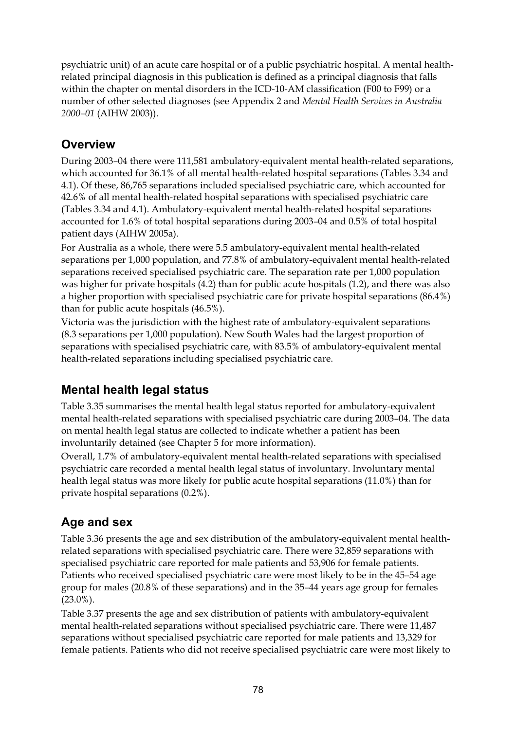psychiatric unit) of an acute care hospital or of a public psychiatric hospital. A mental healthrelated principal diagnosis in this publication is defined as a principal diagnosis that falls within the chapter on mental disorders in the ICD-10-AM classification (F00 to F99) or a number of other selected diagnoses (see Appendix 2 and *Mental Health Services in Australia 2000–01* (AIHW 2003)).

### **Overview**

During 2003–04 there were 111,581 ambulatory-equivalent mental health-related separations, which accounted for 36.1% of all mental health-related hospital separations (Tables 3.34 and 4.1). Of these, 86,765 separations included specialised psychiatric care, which accounted for 42.6% of all mental health-related hospital separations with specialised psychiatric care (Tables 3.34 and 4.1). Ambulatory-equivalent mental health-related hospital separations accounted for 1.6% of total hospital separations during 2003–04 and 0.5% of total hospital patient days (AIHW 2005a).

For Australia as a whole, there were 5.5 ambulatory-equivalent mental health-related separations per 1,000 population, and 77.8% of ambulatory-equivalent mental health-related separations received specialised psychiatric care. The separation rate per 1,000 population was higher for private hospitals (4.2) than for public acute hospitals (1.2), and there was also a higher proportion with specialised psychiatric care for private hospital separations (86.4%) than for public acute hospitals (46.5%).

Victoria was the jurisdiction with the highest rate of ambulatory-equivalent separations (8.3 separations per 1,000 population). New South Wales had the largest proportion of separations with specialised psychiatric care, with 83.5% of ambulatory-equivalent mental health-related separations including specialised psychiatric care.

### **Mental health legal status**

Table 3.35 summarises the mental health legal status reported for ambulatory-equivalent mental health-related separations with specialised psychiatric care during 2003–04. The data on mental health legal status are collected to indicate whether a patient has been involuntarily detained (see Chapter 5 for more information).

Overall, 1.7% of ambulatory-equivalent mental health-related separations with specialised psychiatric care recorded a mental health legal status of involuntary. Involuntary mental health legal status was more likely for public acute hospital separations (11.0%) than for private hospital separations (0.2%).

### **Age and sex**

Table 3.36 presents the age and sex distribution of the ambulatory-equivalent mental healthrelated separations with specialised psychiatric care. There were 32,859 separations with specialised psychiatric care reported for male patients and 53,906 for female patients. Patients who received specialised psychiatric care were most likely to be in the 45–54 age group for males (20.8% of these separations) and in the 35–44 years age group for females (23.0%).

Table 3.37 presents the age and sex distribution of patients with ambulatory-equivalent mental health-related separations without specialised psychiatric care. There were 11,487 separations without specialised psychiatric care reported for male patients and 13,329 for female patients. Patients who did not receive specialised psychiatric care were most likely to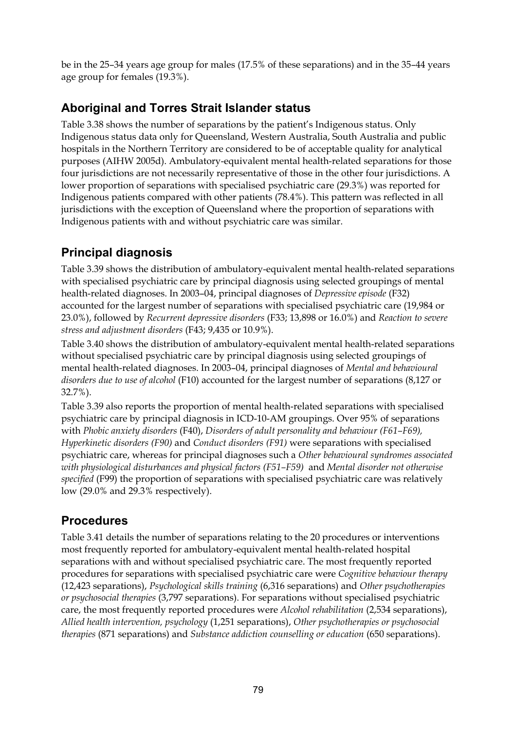be in the 25–34 years age group for males (17.5% of these separations) and in the 35–44 years age group for females (19.3%).

### **Aboriginal and Torres Strait Islander status**

Table 3.38 shows the number of separations by the patient's Indigenous status. Only Indigenous status data only for Queensland, Western Australia, South Australia and public hospitals in the Northern Territory are considered to be of acceptable quality for analytical purposes (AIHW 2005d). Ambulatory-equivalent mental health-related separations for those four jurisdictions are not necessarily representative of those in the other four jurisdictions. A lower proportion of separations with specialised psychiatric care (29.3%) was reported for Indigenous patients compared with other patients (78.4%). This pattern was reflected in all jurisdictions with the exception of Queensland where the proportion of separations with Indigenous patients with and without psychiatric care was similar.

### **Principal diagnosis**

Table 3.39 shows the distribution of ambulatory-equivalent mental health-related separations with specialised psychiatric care by principal diagnosis using selected groupings of mental health-related diagnoses. In 2003–04, principal diagnoses of *Depressive episode* (F32) accounted for the largest number of separations with specialised psychiatric care (19,984 or 23.0%), followed by *Recurrent depressive disorders* (F33; 13,898 or 16.0%) and *Reaction to severe stress and adjustment disorders* (F43; 9,435 or 10.9%).

Table 3.40 shows the distribution of ambulatory-equivalent mental health-related separations without specialised psychiatric care by principal diagnosis using selected groupings of mental health-related diagnoses. In 2003–04, principal diagnoses of *Mental and behavioural disorders due to use of alcohol* (F10) accounted for the largest number of separations (8,127 or 32.7%).

Table 3.39 also reports the proportion of mental health-related separations with specialised psychiatric care by principal diagnosis in ICD-10-AM groupings. Over 95% of separations with *Phobic anxiety disorders* (F40), *Disorders of adult personality and behaviour (F61–F69), Hyperkinetic disorders (F90)* and *Conduct disorders (F91)* were separations with specialised psychiatric care, whereas for principal diagnoses such a *Other behavioural syndromes associated with physiological disturbances and physical factors (F51–F59)* and *Mental disorder not otherwise specified* (F99) the proportion of separations with specialised psychiatric care was relatively low (29.0% and 29.3% respectively).

### **Procedures**

Table 3.41 details the number of separations relating to the 20 procedures or interventions most frequently reported for ambulatory-equivalent mental health-related hospital separations with and without specialised psychiatric care. The most frequently reported procedures for separations with specialised psychiatric care were *Cognitive behaviour therapy* (12,423 separations), *Psychological skills training* (6,316 separations) and *Other psychotherapies or psychosocial therapies* (3,797 separations). For separations without specialised psychiatric care, the most frequently reported procedures were *Alcohol rehabilitation* (2,534 separations), *Allied health intervention, psychology* (1,251 separations), *Other psychotherapies or psychosocial therapies* (871 separations) and *Substance addiction counselling or education* (650 separations).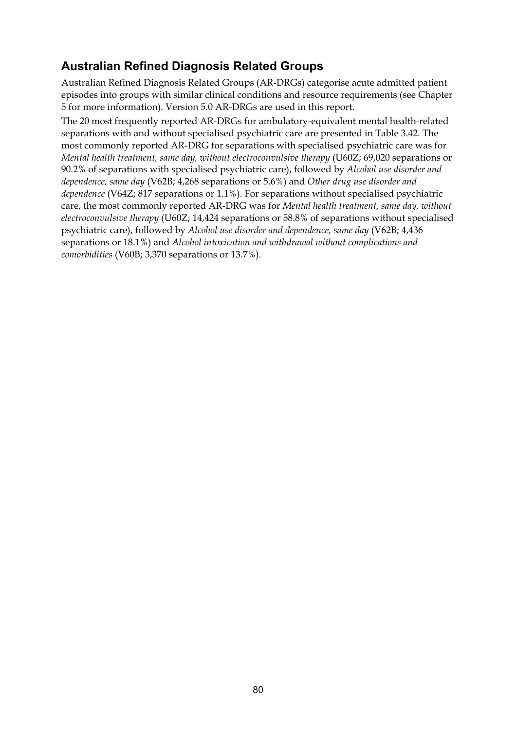### **Australian Refined Diagnosis Related Groups**

Australian Refined Diagnosis Related Groups (AR-DRGs) categorise acute admitted patient episodes into groups with similar clinical conditions and resource requirements (see Chapter 5 for more information). Version 5.0 AR-DRGs are used in this report.

The 20 most frequently reported AR-DRGs for ambulatory-equivalent mental health-related separations with and without specialised psychiatric care are presented in Table 3.42. The most commonly reported AR-DRG for separations with specialised psychiatric care was for *Mental health treatment, same day, without electroconvulsive therapy* (U60Z; 69,020 separations or 90.2% of separations with specialised psychiatric care), followed by *Alcohol use disorder and dependence, same day* (V62B; 4,268 separations or 5.6%) and *Other drug use disorder and dependence* (V64Z; 817 separations or 1.1%). For separations without specialised psychiatric care, the most commonly reported AR-DRG was for *Mental health treatment, same day, without electroconvulsive therapy* (U60Z; 14,424 separations or 58.8% of separations without specialised psychiatric care), followed by *Alcohol use disorder and dependence, same day* (V62B; 4,436 separations or 18.1%) and *Alcohol intoxication and withdrawal without complications and comorbidities* (V60B; 3,370 separations or 13.7%).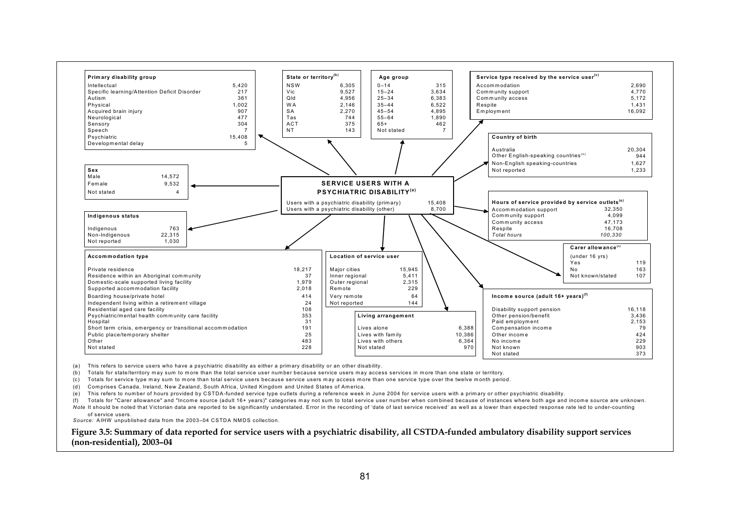

(a) This refers to service users who have a psychiatric disability as either a primary disability or an other disability.

(b) Totals for state/territory may sum to more than the total service user number because service users may access services in more than one state or territory.

(c) Totals for service type may sum to more than total service users because service users may access more than one service type over the twelve month period.

(d) Comprises Canada, Ireland, New Zealand, South Africa, United Kingdom and United States of America.

(e) This refers to number of hours provided by CSTDA-funded service type outlets during a reference week in June 2004 for service users with a primary or other psychiatric disability.

(f) Totals for "Carer allowance" and "Income source (adult 16+ years)" categories may not sum to total service user number when combined because of instances where both age and income source are unknown. Note: It should be noted that Victorian data are reported to be significantly understated. Error in the recording of 'date of last service received' as well as a lower than expected response rate led to under-counting

of service users.

*Source:* AIHW unpublished data from the 2003–04 CSTDA NMDS collection.

**Figure 3.5: Summary of data reported for service users with a psychiatric disability, all CSTDA-funded ambulatory disability support services (non-residential), 2003–04**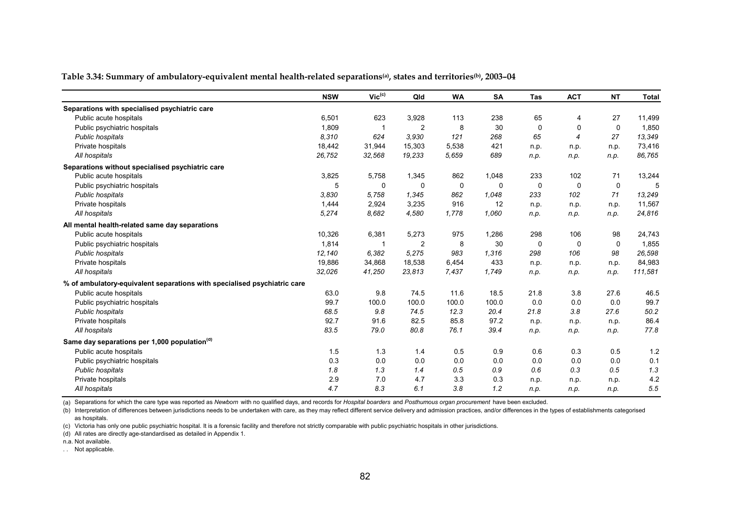|  |  | Table 3.34: Summary of ambulatory-equivalent mental health-related separations(a), states and territories(b), 2003–04 |
|--|--|-----------------------------------------------------------------------------------------------------------------------|
|  |  |                                                                                                                       |

|                                                                          | <b>NSW</b> | $\mathsf{Vic}^{\mathsf{(c)}}$ | Qld            | <b>WA</b> | <b>SA</b> | <b>Tas</b>  | <b>ACT</b>  | <b>NT</b>   | <b>Total</b> |
|--------------------------------------------------------------------------|------------|-------------------------------|----------------|-----------|-----------|-------------|-------------|-------------|--------------|
| Separations with specialised psychiatric care                            |            |                               |                |           |           |             |             |             |              |
| Public acute hospitals                                                   | 6,501      | 623                           | 3,928          | 113       | 238       | 65          | 4           | 27          | 11,499       |
| Public psychiatric hospitals                                             | 1,809      | -1                            | $\overline{2}$ | 8         | 30        | $\mathbf 0$ | 0           | $\mathbf 0$ | 1,850        |
| Public hospitals                                                         | 8,310      | 624                           | 3.930          | 121       | 268       | 65          | 4           | 27          | 13,349       |
| Private hospitals                                                        | 18,442     | 31,944                        | 15,303         | 5,538     | 421       | n.p.        | n.p.        | n.p.        | 73,416       |
| All hospitals                                                            | 26,752     | 32,568                        | 19,233         | 5,659     | 689       | n.p.        | n.p.        | n.p.        | 86,765       |
| Separations without specialised psychiatric care                         |            |                               |                |           |           |             |             |             |              |
| Public acute hospitals                                                   | 3,825      | 5,758                         | 1,345          | 862       | 1,048     | 233         | 102         | 71          | 13,244       |
| Public psychiatric hospitals                                             | 5          | 0                             | 0              | 0         | 0         | 0           | $\mathbf 0$ | 0           | 5            |
| Public hospitals                                                         | 3,830      | 5,758                         | 1,345          | 862       | 1,048     | 233         | 102         | 71          | 13,249       |
| Private hospitals                                                        | 1,444      | 2,924                         | 3,235          | 916       | 12        | n.p.        | n.p.        | n.p.        | 11,567       |
| All hospitals                                                            | 5,274      | 8,682                         | 4,580          | 1,778     | 1,060     | n.p.        | n.p.        | n.p.        | 24,816       |
| All mental health-related same day separations                           |            |                               |                |           |           |             |             |             |              |
| Public acute hospitals                                                   | 10,326     | 6,381                         | 5,273          | 975       | 1,286     | 298         | 106         | 98          | 24,743       |
| Public psychiatric hospitals                                             | 1,814      |                               | 2              | 8         | 30        | 0           | 0           | $\Omega$    | 1,855        |
| Public hospitals                                                         | 12,140     | 6,382                         | 5,275          | 983       | 1,316     | 298         | 106         | 98          | 26,598       |
| Private hospitals                                                        | 19,886     | 34,868                        | 18,538         | 6,454     | 433       | n.p.        | n.p.        | n.p.        | 84,983       |
| All hospitals                                                            | 32,026     | 41,250                        | 23,813         | 7,437     | 1,749     | n.p.        | n.p.        | n.p.        | 111,581      |
| % of ambulatory-equivalent separations with specialised psychiatric care |            |                               |                |           |           |             |             |             |              |
| Public acute hospitals                                                   | 63.0       | 9.8                           | 74.5           | 11.6      | 18.5      | 21.8        | 3.8         | 27.6        | 46.5         |
| Public psychiatric hospitals                                             | 99.7       | 100.0                         | 100.0          | 100.0     | 100.0     | 0.0         | 0.0         | 0.0         | 99.7         |
| Public hospitals                                                         | 68.5       | 9.8                           | 74.5           | 12.3      | 20.4      | 21.8        | 3.8         | 27.6        | 50.2         |
| Private hospitals                                                        | 92.7       | 91.6                          | 82.5           | 85.8      | 97.2      | n.p.        | n.p.        | n.p.        | 86.4         |
| All hospitals                                                            | 83.5       | 79.0                          | 80.8           | 76.1      | 39.4      | n.p.        | n.p.        | n.p.        | 77.8         |
| Same day separations per 1,000 population <sup>(d)</sup>                 |            |                               |                |           |           |             |             |             |              |
| Public acute hospitals                                                   | 1.5        | 1.3                           | 1.4            | 0.5       | 0.9       | 0.6         | 0.3         | 0.5         | 1.2          |
| Public psychiatric hospitals                                             | 0.3        | 0.0                           | 0.0            | 0.0       | 0.0       | 0.0         | 0.0         | 0.0         | 0.1          |
| Public hospitals                                                         | 1.8        | 1.3                           | 1.4            | 0.5       | 0.9       | 0.6         | 0.3         | 0.5         | 1.3          |
| Private hospitals                                                        | 2.9        | 7.0                           | 4.7            | 3.3       | 0.3       | n.p.        | n.p.        | n.p.        | 4.2          |
| All hospitals                                                            | 4.7        | 8.3                           | 6.1            | 3.8       | 1.2       | n.p.        | n.p.        | n.p.        | 5.5          |

(a) Separations for which the care type was reported as *Newborn* with no qualified days, and records for *Hospital boarders* and *Posthumous organ procurement* have been excluded.

(b) Interpretation of differences between jurisdictions needs to be undertaken with care, as they may reflect different service delivery and admission practices, and/or differences in the types of establishments categorise as hospitals.

(c) Victoria has only one public psychiatric hospital. It is a forensic facility and therefore not strictly comparable with public psychiatric hospitals in other jurisdictions.

(d) All rates are directly age-standardised as detailed in Appendix 1.

n.a. Not available.

. . Not applicable.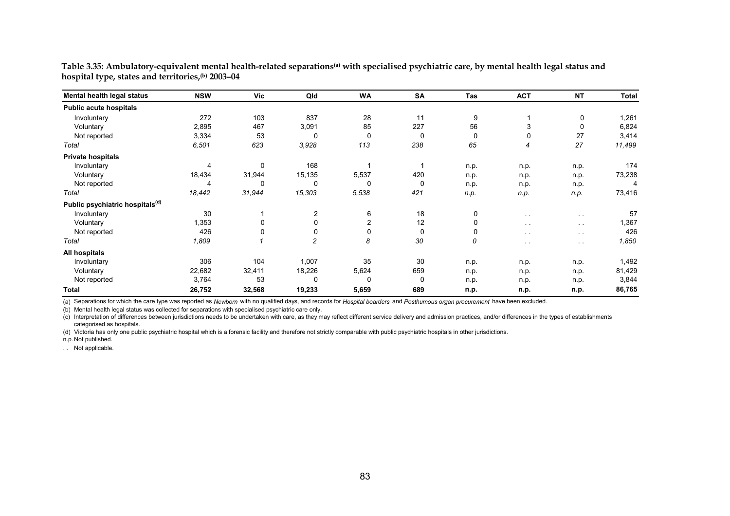| Mental health legal status                  | <b>NSW</b> | Vic    | Qld         | <b>WA</b> | <b>SA</b> | <b>Tas</b> | <b>ACT</b>    | <b>NT</b>     | Total  |
|---------------------------------------------|------------|--------|-------------|-----------|-----------|------------|---------------|---------------|--------|
| <b>Public acute hospitals</b>               |            |        |             |           |           |            |               |               |        |
| Involuntary                                 | 272        | 103    | 837         | 28        | 11        | 9          |               | 0             | 1,261  |
| Voluntary                                   | 2,895      | 467    | 3,091       | 85        | 227       | 56         | 3             | 0             | 6,824  |
| Not reported                                | 3,334      | 53     | $\mathbf 0$ | 0         | 0         | 0          | 0             | 27            | 3,414  |
| Total                                       | 6,501      | 623    | 3,928       | 113       | 238       | 65         | 4             | 27            | 11,499 |
| <b>Private hospitals</b>                    |            |        |             |           |           |            |               |               |        |
| Involuntary                                 | 4          | 0      | 168         |           |           | n.p.       | n.p.          | n.p.          | 174    |
| Voluntary                                   | 18,434     | 31,944 | 15,135      | 5,537     | 420       | n.p.       | n.p.          | n.p.          | 73,238 |
| Not reported                                | 4          | 0      | 0           | 0         | 0         | n.p.       | n.p.          | n.p.          | 4      |
| Total                                       | 18,442     | 31,944 | 15,303      | 5,538     | 421       | n.p.       | n.p.          | n.p.          | 73,416 |
| Public psychiatric hospitals <sup>(d)</sup> |            |        |             |           |           |            |               |               |        |
| Involuntary                                 | 30         |        | 2           | 6         | 18        | 0          | $\sim$ $\sim$ | $\sim$ $\sim$ | 57     |
| Voluntary                                   | 1,353      |        | 0           |           | 12        |            | $\sim$ $\sim$ | $\sim$ $\sim$ | 1,367  |
| Not reported                                | 426        |        | $\mathbf 0$ |           | 0         |            | $\sim$ $\sim$ | $\sim$ $\sim$ | 426    |
| Total                                       | 1,809      |        | 2           | 8         | 30        | 0          | $\sim$ $\sim$ | $\sim 100$    | 1,850  |
| All hospitals                               |            |        |             |           |           |            |               |               |        |
| Involuntary                                 | 306        | 104    | 1,007       | 35        | 30        | n.p.       | n.p.          | n.p.          | 1,492  |
| Voluntary                                   | 22,682     | 32,411 | 18,226      | 5,624     | 659       | n.p.       | n.p.          | n.p.          | 81,429 |
| Not reported                                | 3,764      | 53     | $\mathbf 0$ | 0         | 0         | n.p.       | n.p.          | n.p.          | 3,844  |
| Total                                       | 26,752     | 32,568 | 19,233      | 5,659     | 689       | n.p.       | n.p.          | n.p.          | 86,765 |

Table 3.35: Ambulatory-equivalent mental health-related separations<sup>(a)</sup> with specialised psychiatric care, by mental health legal status and **hospital type, states and territories,(b) 2003–04** 

(a) Separations for which the care type was reported as *Newborn* with no qualified days, and records for *Hospital boarders* and *Posthumous organ procurement* have been excluded.

(b) Mental health legal status was collected for separations with specialised psychiatric care only.

(c) Interpretation of differences between jurisdictions needs to be undertaken with care, as they may reflect different service delivery and admission practices, and/or differences in the types of establishments categorised as hospitals.

(d) Victoria has only one public psychiatric hospital which is a forensic facility and therefore not strictly comparable with public psychiatric hospitals in other jurisdictions.

n.p. Not published.

. . Not applicable.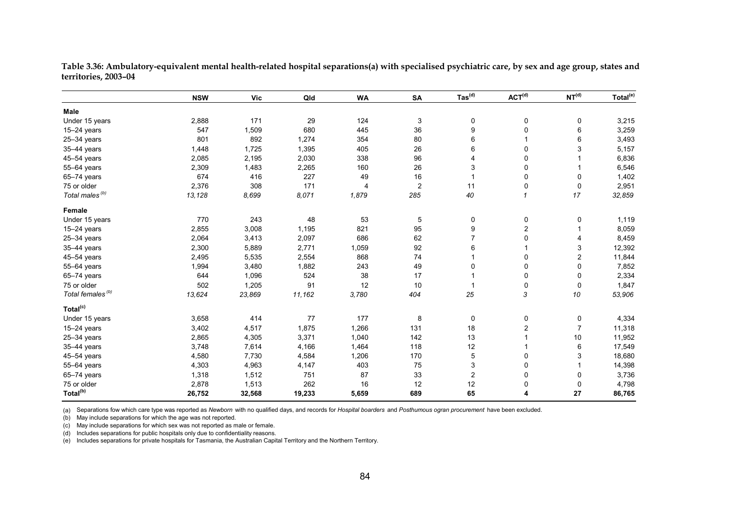|                              | <b>NSW</b> | <b>Vic</b> | Qld    | <b>WA</b> | SA             | $\mathsf{ Tas}^{(\sf d)}$ | ACT <sup>(d)</sup>      | NT <sup>(d)</sup> | Total <sup>(e)</sup> |
|------------------------------|------------|------------|--------|-----------|----------------|---------------------------|-------------------------|-------------------|----------------------|
| Male                         |            |            |        |           |                |                           |                         |                   |                      |
| Under 15 years               | 2,888      | 171        | 29     | 124       | 3              | 0                         | 0                       | 0                 | 3,215                |
| 15-24 years                  | 547        | 1,509      | 680    | 445       | 36             | 9                         | 0                       | 6                 | 3,259                |
| $25 - 34$ years              | 801        | 892        | 1,274  | 354       | 80             | 6                         |                         | 6                 | 3,493                |
| 35-44 years                  | 1,448      | 1,725      | 1,395  | 405       | 26             | 6                         | 0                       | 3                 | 5,157                |
| 45-54 years                  | 2,085      | 2,195      | 2,030  | 338       | 96             | 4                         | 0                       |                   | 6,836                |
| 55-64 years                  | 2,309      | 1,483      | 2,265  | 160       | 26             | 3                         | 0                       |                   | 6,546                |
| 65-74 years                  | 674        | 416        | 227    | 49        | 16             |                           | 0                       | 0                 | 1,402                |
| 75 or older                  | 2,376      | 308        | 171    | 4         | $\overline{c}$ | 11                        | 0                       | 0                 | 2,951                |
| Total males <sup>(b)</sup>   | 13,128     | 8,699      | 8,071  | 1,879     | 285            | 40                        | $\mathbf{1}$            | 17                | 32,859               |
| Female                       |            |            |        |           |                |                           |                         |                   |                      |
| Under 15 years               | 770        | 243        | 48     | 53        | 5              | 0                         | 0                       | 0                 | 1,119                |
| 15-24 years                  | 2,855      | 3,008      | 1,195  | 821       | 95             | 9                         | $\overline{\mathbf{c}}$ |                   | 8,059                |
| $25 - 34$ years              | 2,064      | 3,413      | 2,097  | 686       | 62             |                           | 0                       | 4                 | 8,459                |
| 35-44 years                  | 2,300      | 5,889      | 2,771  | 1,059     | 92             | 6                         |                         | 3                 | 12,392               |
| 45-54 years                  | 2,495      | 5,535      | 2,554  | 868       | 74             |                           | 0                       | $\overline{c}$    | 11,844               |
| 55-64 years                  | 1,994      | 3,480      | 1,882  | 243       | 49             | 0                         | 0                       | 0                 | 7,852                |
| 65-74 years                  | 644        | 1,096      | 524    | 38        | 17             |                           | $\mathbf 0$             | 0                 | 2,334                |
| 75 or older                  | 502        | 1,205      | 91     | 12        | 10             |                           | $\pmb{0}$               | 0                 | 1,847                |
| Total females <sup>(b)</sup> | 13,624     | 23,869     | 11,162 | 3,780     | 404            | 25                        | 3                       | 10                | 53,906               |
| Total <sup>(c)</sup>         |            |            |        |           |                |                           |                         |                   |                      |
| Under 15 years               | 3,658      | 414        | 77     | 177       | 8              | 0                         | 0                       | 0                 | 4,334                |
| $15 - 24$ years              | 3,402      | 4,517      | 1,875  | 1,266     | 131            | 18                        | $\overline{c}$          | $\overline{7}$    | 11,318               |
| $25 - 34$ years              | 2,865      | 4,305      | 3,371  | 1,040     | 142            | 13                        |                         | 10                | 11,952               |
| 35-44 years                  | 3,748      | 7,614      | 4,166  | 1,464     | 118            | 12                        |                         | 6                 | 17,549               |
| 45-54 years                  | 4,580      | 7,730      | 4,584  | 1,206     | 170            | 5                         | 0                       | 3                 | 18,680               |
| 55-64 years                  | 4,303      | 4,963      | 4,147  | 403       | 75             | 3                         | 0                       |                   | 14,398               |
| $65 - 74$ years              | 1,318      | 1,512      | 751    | 87        | 33             | 2                         | 0                       | 0                 | 3,736                |
| 75 or older                  | 2,878      | 1,513      | 262    | 16        | 12             | 12                        | 0                       | 0                 | 4,798                |
| Total <sup>(b)</sup>         | 26,752     | 32,568     | 19,233 | 5,659     | 689            | 65                        | 4                       | 27                | 86,765               |

**Table 3.36: Ambulatory-equivalent mental health-related hospital separations(a) with specialised psychiatric care, by sex and age group, states and territories, 2003–04** 

(a) Separations fow which care type was reported as *Newborn* with no qualified days, and records for *Hospital boarders* and *Posthumous ogran procurement* have been excluded.

(b) May include separations for which the age was not reported.

(c) May include separations for which sex was not reported as male or female.

(d) Includes separations for public hospitals only due to confidentiality reasons.

(e) Includes separations for private hospitals for Tasmania, the Australian Capital Territory and the Northern Territory.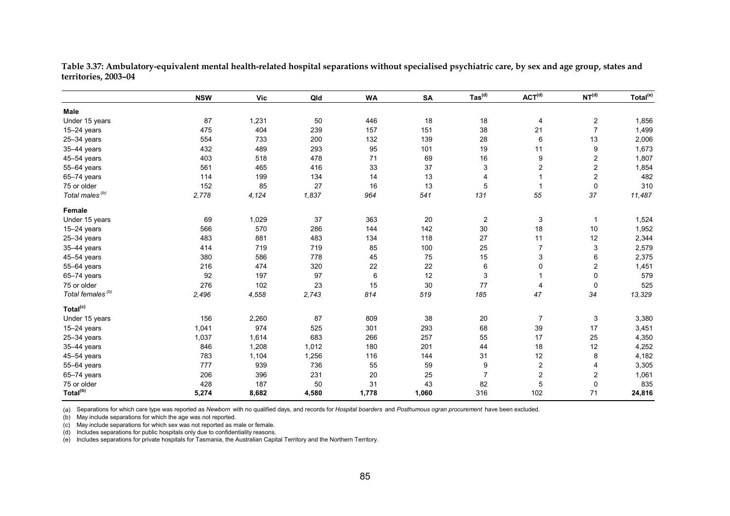|                              | <b>NSW</b> | <b>Vic</b> | Qld   | <b>WA</b> | SA     | $\mathsf{ Tas}^{\mathsf{(d)}}$ | ACT <sup>(d)</sup>        | NT <sup>(d)</sup>       | Total <sup>(e)</sup> |
|------------------------------|------------|------------|-------|-----------|--------|--------------------------------|---------------------------|-------------------------|----------------------|
| Male                         |            |            |       |           |        |                                |                           |                         |                      |
| Under 15 years               | 87         | 1,231      | 50    | 446       | 18     | 18                             | 4                         | 2                       | 1,856                |
| $15-24$ years                | 475        | 404        | 239   | 157       | 151    | 38                             | 21                        | $\overline{7}$          | 1,499                |
| $25 - 34$ years              | 554        | 733        | 200   | 132       | 139    | 28                             | $\,6$                     | 13                      | 2,006                |
| 35-44 years                  | 432        | 489        | 293   | 95        | 101    | 19                             | 11                        | 9                       | 1,673                |
| 45-54 years                  | 403        | 518        | 478   | 71        | 69     | 16                             | 9                         | $\overline{\mathbf{c}}$ | 1,807                |
| 55-64 years                  | 561        | 465        | 416   | 33        | 37     | $\sqrt{3}$                     | $\boldsymbol{2}$          | $\boldsymbol{2}$        | 1,854                |
| 65-74 years                  | 114        | 199        | 134   | 14        | 13     | 4                              | $\overline{1}$            | $\overline{c}$          | 482                  |
| 75 or older                  | 152        | 85         | 27    | 16        | 13     | 5                              | $\mathbf{1}$              | 0                       | 310                  |
| Total males <sup>(b)</sup>   | 2,778      | 4,124      | 1,837 | 964       | 541    | 131                            | 55                        | 37                      | 11,487               |
| Female                       |            |            |       |           |        |                                |                           |                         |                      |
| Under 15 years               | 69         | 1,029      | 37    | 363       | $20\,$ | $\boldsymbol{2}$               | $\ensuremath{\mathsf{3}}$ | $\mathbf{1}$            | 1,524                |
| 15-24 years                  | 566        | 570        | 286   | 144       | 142    | 30                             | 18                        | $10$                    | 1,952                |
| $25 - 34$ years              | 483        | 881        | 483   | 134       | 118    | 27                             | 11                        | 12                      | 2,344                |
| 35-44 years                  | 414        | 719        | 719   | 85        | 100    | 25                             | $\overline{7}$            | 3                       | 2,579                |
| 45-54 years                  | 380        | 586        | 778   | 45        | 75     | 15                             | 3                         | 6                       | 2,375                |
| 55-64 years                  | 216        | 474        | 320   | 22        | 22     | 6                              | $\pmb{0}$                 | 2                       | 1,451                |
| 65-74 years                  | 92         | 197        | 97    | 6         | 12     | $\sqrt{3}$                     | $\mathbf{1}$              | 0                       | 579                  |
| 75 or older                  | 276        | 102        | 23    | 15        | 30     | 77                             | $\overline{4}$            | $\mathbf 0$             | 525                  |
| Total females <sup>(b)</sup> | 2,496      | 4,558      | 2,743 | 814       | 519    | 185                            | 47                        | 34                      | 13,329               |
| Total <sup>(c)</sup>         |            |            |       |           |        |                                |                           |                         |                      |
| Under 15 years               | 156        | 2,260      | 87    | 809       | 38     | 20                             | $\overline{7}$            | 3                       | 3,380                |
| $15-24$ years                | 1,041      | 974        | 525   | 301       | 293    | 68                             | 39                        | 17                      | 3,451                |
| $25 - 34$ years              | 1,037      | 1,614      | 683   | 266       | 257    | 55                             | 17                        | 25                      | 4,350                |
| 35-44 years                  | 846        | 1,208      | 1,012 | 180       | 201    | 44                             | 18                        | 12                      | 4,252                |
| 45-54 years                  | 783        | 1,104      | 1,256 | 116       | 144    | 31                             | 12                        | 8                       | 4,182                |
| 55-64 years                  | 777        | 939        | 736   | 55        | 59     | 9                              | $\boldsymbol{2}$          | 4                       | 3,305                |
| 65-74 years                  | 206        | 396        | 231   | 20        | 25     | $\overline{7}$                 | $\boldsymbol{2}$          | $\overline{c}$          | 1,061                |
| 75 or older                  | 428        | 187        | 50    | 31        | 43     | 82                             | $\overline{5}$            | 0                       | 835                  |
| Total <sup>(b)</sup>         | 5,274      | 8,682      | 4,580 | 1,778     | 1,060  | 316                            | 102                       | 71                      | 24,816               |

**Table 3.37: Ambulatory-equivalent mental health-related hospital separations without specialised psychiatric care, by sex and age group, states and territories, 2003–04** 

(a) Separations for which care type was reported as *Newborn* with no qualified days, and records for *Hospital boarders* and *Posthumous ogran procurement* have been excluded.

(b) May include separations for which the age was not reported.

(c) May include separations for which sex was not reported as male or female.

(d) Includes separations for public hospitals only due to confidentiality reasons.

(e) Includes separations for private hospitals for Tasmania, the Australian Capital Territory and the Northern Territory.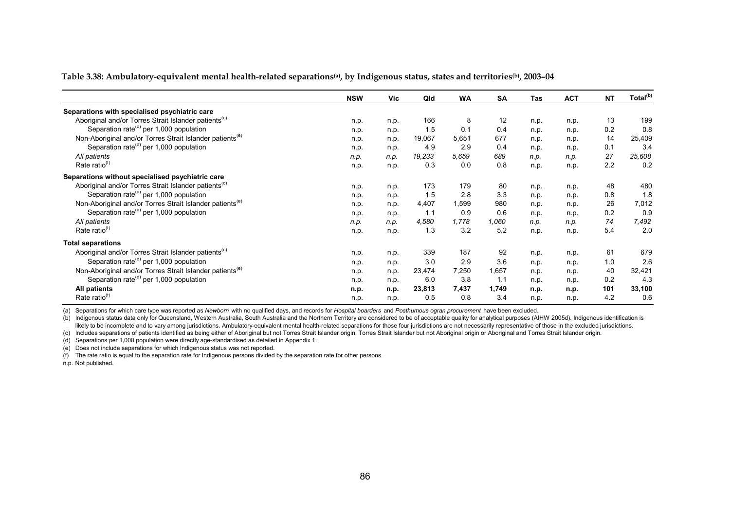| Table 3.38: Ambulatory-equivalent mental health-related separations@a), by Indigenous status, states and territories®, 2003–04 |  |  |
|--------------------------------------------------------------------------------------------------------------------------------|--|--|
|                                                                                                                                |  |  |

|                                                                      | <b>NSW</b> | Vic  | Qld    | <b>WA</b> | <b>SA</b> | Tas  | <b>ACT</b> | <b>NT</b> | Total <sup>(b)</sup> |
|----------------------------------------------------------------------|------------|------|--------|-----------|-----------|------|------------|-----------|----------------------|
| Separations with specialised psychiatric care                        |            |      |        |           |           |      |            |           |                      |
| Aboriginal and/or Torres Strait Islander patients <sup>(C)</sup>     | n.p.       | n.p. | 166    | 8         | 12        | n.p. | n.p.       | 13        | 199                  |
| Separation rate <sup>(d)</sup> per 1,000 population                  | n.p.       | n.p. | 1.5    | 0.1       | 0.4       | n.p. | n.p.       | 0.2       | 0.8                  |
| Non-Aboriginal and/or Torres Strait Islander patients <sup>(e)</sup> | n.p.       | n.p. | 19,067 | 5,651     | 677       | n.p. | n.p.       | 14        | 25,409               |
| Separation rate <sup>(d)</sup> per 1,000 population                  | n.p.       | n.p. | 4.9    | 2.9       | 0.4       | n.p. | n.p.       | 0.1       | 3.4                  |
| All patients                                                         | n.p.       | n.p. | 19,233 | 5,659     | 689       | n.p. | n.p.       | 27        | 25,608               |
| Rate ratio $(1)$                                                     | n.p.       | n.p. | 0.3    | 0.0       | 0.8       | n.p. | n.p.       | 2.2       | 0.2                  |
| Separations without specialised psychiatric care                     |            |      |        |           |           |      |            |           |                      |
| Aboriginal and/or Torres Strait Islander patients <sup>(c)</sup>     | n.p.       | n.p. | 173    | 179       | 80        | n.p. | n.p.       | 48        | 480                  |
| Separation rate <sup>(d)</sup> per 1,000 population                  | n.p.       | n.p. | 1.5    | 2.8       | 3.3       | n.p. | n.p.       | 0.8       | 1.8                  |
| Non-Aboriginal and/or Torres Strait Islander patients <sup>(e)</sup> | n.p.       | n.p. | 4,407  | 1,599     | 980       | n.p. | n.p.       | 26        | 7,012                |
| Separation rate <sup>(d)</sup> per 1,000 population                  | n.p.       | n.p. | 1.1    | 0.9       | 0.6       | n.p. | n.p.       | 0.2       | 0.9                  |
| All patients                                                         | n.p.       | n.p. | 4,580  | 1,778     | 1,060     | n.p. | n.p.       | 74        | 7,492                |
| Rate ratio <sup>(1)</sup>                                            | n.p.       | n.p. | 1.3    | 3.2       | 5.2       | n.p. | n.p.       | 5.4       | 2.0                  |
| <b>Total separations</b>                                             |            |      |        |           |           |      |            |           |                      |
| Aboriginal and/or Torres Strait Islander patients <sup>(C)</sup>     | n.p.       | n.p. | 339    | 187       | 92        | n.p. | n.p.       | 61        | 679                  |
| Separation rate <sup>(d)</sup> per 1,000 population                  | n.p.       | n.p. | 3.0    | 2.9       | 3.6       | n.p. | n.p.       | 1.0       | 2.6                  |
| Non-Aboriginal and/or Torres Strait Islander patients <sup>(e)</sup> | n.p.       | n.p. | 23,474 | 7,250     | 1,657     | n.p. | n.p.       | 40        | 32,421               |
| Separation rate <sup>(d)</sup> per 1,000 population                  | n.p.       | n.p. | 6.0    | 3.8       | 1.1       | n.p. | n.p.       | 0.2       | 4.3                  |
| All patients                                                         | n.p.       | n.p. | 23,813 | 7,437     | 1,749     | n.p. | n.p.       | 101       | 33,100               |
| Rate ratio <sup>(t)</sup>                                            | n.p.       | n.p. | 0.5    | 0.8       | 3.4       | n.p. | n.p.       | 4.2       | 0.6                  |

(a) Separations for which care type was reported as *Newborn* with no qualified days, and records for *Hospital boarders* and *Posthumous ogran procurement* have been excluded.

(b) Indigenous status data only for Queensland, Western Australia, South Australia and the Northern Territory are considered to be of acceptable quality for analytical purposes (AIHW 2005d). Indigenous identification is likely to be incomplete and to vary among jurisdictions. Ambulatory-equivalent mental health-related separations for those four jurisdictions are not necessarily representative of those in the excluded jurisdictions.

(c) Includes separations of patients identified as being either of Aboriginal but not Torres Strait Islander origin, Torres Strait Islander but not Aboriginal origin or Aboriginal and Torres Strait Islander origin.

(d) Separations per 1,000 population were directly age-standardised as detailed in Appendix 1.

(e) Does not include separations for which Indigenous status was not reported.

(f) The rate ratio is equal to the separation rate for Indigenous persons divided by the separation rate for other persons.

n.p. Not published.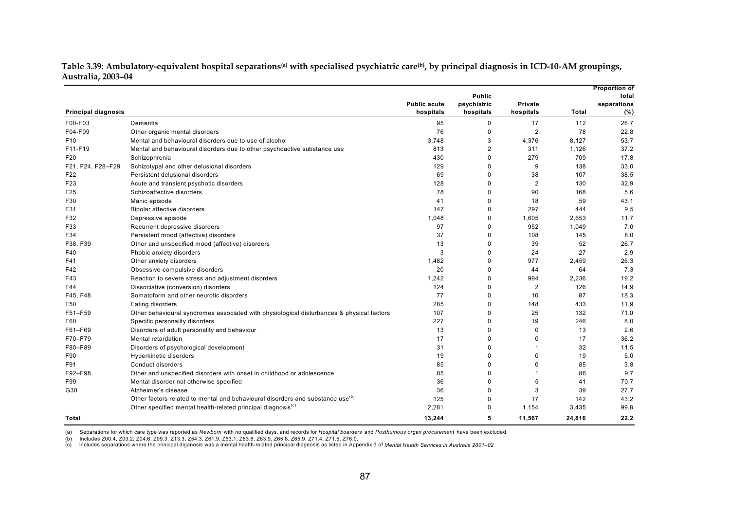| Table 3.39: Ambulatory-equivalent hospital separations@a) with specialised psychiatric care®), by principal diagnosis in ICD-10-AM groupings, |  |
|-----------------------------------------------------------------------------------------------------------------------------------------------|--|
| Australia, 2003–04                                                                                                                            |  |

|                            |                                                                                            |                     |                |                |              | <b>Proportion of</b> |
|----------------------------|--------------------------------------------------------------------------------------------|---------------------|----------------|----------------|--------------|----------------------|
|                            |                                                                                            |                     | <b>Public</b>  |                |              | total                |
|                            |                                                                                            | <b>Public acute</b> | psychiatric    | <b>Private</b> |              | separations          |
| <b>Principal diagnosis</b> |                                                                                            | hospitals           | hospitals      | hospitals      | <b>Total</b> | (%)                  |
| F00-F03                    | Dementia                                                                                   | 95                  | 0              | 17             | 112          | 26.7                 |
| F04-F09                    | Other organic mental disorders                                                             | 76                  | $\mathbf 0$    | $\overline{2}$ | 78           | 22.8                 |
| F <sub>10</sub>            | Mental and behavioural disorders due to use of alcohol                                     | 3.748               | 3              | 4,376          | 8,127        | 53.7                 |
| F11-F19                    | Mental and behavioural disorders due to other psychoactive substance use                   | 813                 | $\overline{c}$ | 311            | 1,126        | 37.2                 |
| F <sub>20</sub>            | Schizophrenia                                                                              | 430                 | $\mathbf 0$    | 279            | 709          | 17.8                 |
| F21, F24, F28-F29          | Schizotypal and other delusional disorders                                                 | 129                 | 0              | 9              | 138          | 33.0                 |
| F22                        | Persistent delusional disorders                                                            | 69                  | 0              | 38             | 107          | 38.5                 |
| F23                        | Acute and transient psychotic disorders                                                    | 128                 | $\mathbf 0$    | $\overline{2}$ | 130          | 32.9                 |
| F <sub>25</sub>            | Schizoaffective disorders                                                                  | 78                  | 0              | 90             | 168          | 5.6                  |
| F30                        | Manic episode                                                                              | 41                  | $\mathbf 0$    | 18             | 59           | 43.1                 |
| F31                        | Bipolar affective disorders                                                                | 147                 | $\mathbf 0$    | 297            | 444          | 9.5                  |
| F32                        | Depressive episode                                                                         | 1,048               | 0              | 1,605          | 2,653        | 11.7                 |
| F33                        | Recurrent depressive disorders                                                             | 97                  | $\Omega$       | 952            | 1,049        | 7.0                  |
| F34                        | Persistent mood (affective) disorders                                                      | 37                  | 0              | 108            | 145          | 8.0                  |
| F38, F39                   | Other and unspecified mood (affective) disorders                                           | 13                  | 0              | 39             | 52           | 26.7                 |
| F40                        | Phobic anxiety disorders                                                                   | 3                   | $\mathbf 0$    | 24             | 27           | 2.9                  |
| F41                        | Other anxiety disorders                                                                    | 1,482               | 0              | 977            | 2,459        | 26.3                 |
| F42                        | Obsessive-compulsive disorders                                                             | 20                  | $\mathbf 0$    | 44             | 64           | 7.3                  |
| F43                        | Reaction to severe stress and adjustment disorders                                         | 1,242               | 0              | 994            | 2,236        | 19.2                 |
| F44                        | Dissociative (conversion) disorders                                                        | 124                 | $\mathbf 0$    | $\overline{2}$ | 126          | 14.9                 |
| F45, F48                   | Somatoform and other neurotic disorders                                                    | 77                  | $\Omega$       | 10             | 87           | 18.3                 |
| F50                        | Eating disorders                                                                           | 285                 | 0              | 148            | 433          | 11.9                 |
| F51-F59                    | Other behavioural syndromes associated with physiological disturbances & physical factors  | 107                 | $\mathbf 0$    | 25             | 132          | 71.0                 |
| F60                        | Specific personality disorders                                                             | 227                 | $\mathbf 0$    | 19             | 246          | 8.0                  |
| F61-F69                    | Disorders of adult personality and behaviour                                               | 13                  | $\mathbf 0$    | $\mathbf 0$    | 13           | 2.6                  |
| F70-F79                    | Mental retardation                                                                         | 17                  | $\mathbf 0$    | 0              | 17           | 36.2                 |
| F80-F89                    | Disorders of psychological development                                                     | 31                  | $\mathbf 0$    | $\mathbf{1}$   | 32           | 11.5                 |
| F90                        | Hyperkinetic disorders                                                                     | 19                  | 0              | 0              | 19           | 5.0                  |
| F91                        | Conduct disorders                                                                          | 85                  | $\Omega$       | $\Omega$       | 85           | 3.8                  |
| F92-F98                    | Other and unspecified disorders with onset in childhood or adolescence                     | 85                  | $\Omega$       | $\mathbf 1$    | 86           | 9.7                  |
| F99                        | Mental disorder not otherwise specified                                                    | 36                  | 0              | 5              | 41           | 70.7                 |
| G30                        | Alzheimer's disease                                                                        | 36                  | $\mathbf 0$    | 3              | 39           | 27.7                 |
|                            | Other factors related to mental and behavioural disorders and substance use <sup>(b)</sup> | 125                 | $\mathbf 0$    | 17             | 142          | 43.2                 |
|                            | Other specified mental health-related principal diagnosis <sup>(c)</sup>                   | 2,281               | $\mathbf 0$    | 1,154          | 3,435        | 99.8                 |
| Total                      |                                                                                            | 13,244              | 5              | 11,567         | 24,816       | 22.2                 |

(a) Separations for which care type was reported as *Newborn* with no qualified days, and records for *Hospital boarders* and *Posthumous organ procurement* have been excluded.

(b) Includes Z00.4, Z03.2, Z04.6, Z09.3, Z13.3, Z54.3, Z61.9, Z63.1, Z63.8, Z63.9, Z65.8, Z65.9, Z71.4, Z71.5, Z76.0.

(c) Includes separations where the principal diganosis was a mental health-related principal diagnosis as listed in Appendix 3 of *Mental Health Services in Australia 2001–02* .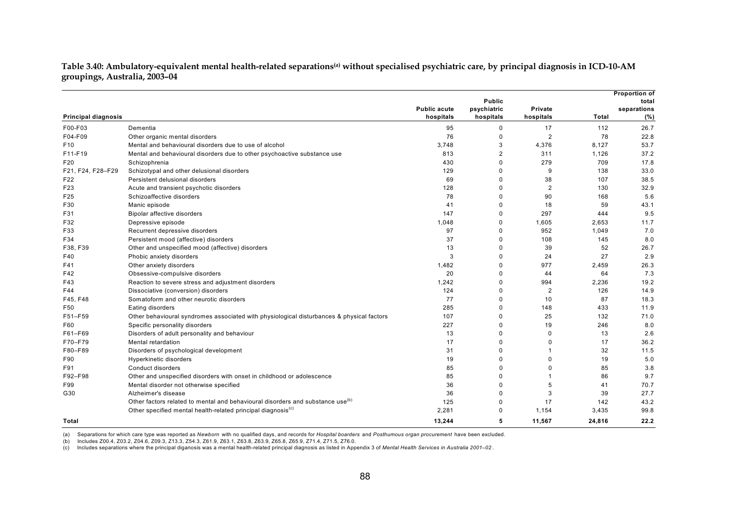Table 3.40: Ambulatory-equivalent mental health-related separations<sup>(a)</sup> without specialised psychiatric care, by principal diagnosis in ICD-10-AM **groupings, Australia, 2003–04** 

|                            |                                                                                            |                     |                |                |        | <b>Proportion of</b> |
|----------------------------|--------------------------------------------------------------------------------------------|---------------------|----------------|----------------|--------|----------------------|
|                            |                                                                                            |                     | <b>Public</b>  |                |        | total                |
|                            |                                                                                            | <b>Public acute</b> | psychiatric    | <b>Private</b> |        | separations          |
| <b>Principal diagnosis</b> |                                                                                            | hospitals           | hospitals      | hospitals      | Total  | (%)                  |
| F00-F03                    | Dementia                                                                                   | 95                  | $\mathbf 0$    | 17             | 112    | 26.7                 |
| F04-F09                    | Other organic mental disorders                                                             | 76                  | $\Omega$       | $\overline{2}$ | 78     | 22.8                 |
| F <sub>10</sub>            | Mental and behavioural disorders due to use of alcohol                                     | 3,748               | 3              | 4,376          | 8,127  | 53.7                 |
| F11-F19                    | Mental and behavioural disorders due to other psychoactive substance use                   | 813                 | $\overline{2}$ | 311            | 1,126  | 37.2                 |
| F20                        | Schizophrenia                                                                              | 430                 | $\Omega$       | 279            | 709    | 17.8                 |
| F21, F24, F28-F29          | Schizotypal and other delusional disorders                                                 | 129                 | $\Omega$       | 9              | 138    | 33.0                 |
| F <sub>22</sub>            | Persistent delusional disorders                                                            | 69                  | $\Omega$       | 38             | 107    | 38.5                 |
| F23                        | Acute and transient psychotic disorders                                                    | 128                 | $\Omega$       | $\overline{2}$ | 130    | 32.9                 |
| F <sub>25</sub>            | Schizoaffective disorders                                                                  | 78                  | $\Omega$       | 90             | 168    | 5.6                  |
| F30                        | Manic episode                                                                              | 41                  | $\Omega$       | 18             | 59     | 43.1                 |
| F31                        | Bipolar affective disorders                                                                | 147                 | $\Omega$       | 297            | 444    | 9.5                  |
| F32                        | Depressive episode                                                                         | 1.048               | $\Omega$       | 1,605          | 2,653  | 11.7                 |
| F33                        | Recurrent depressive disorders                                                             | 97                  | $\Omega$       | 952            | 1,049  | 7.0                  |
| F34                        | Persistent mood (affective) disorders                                                      | 37                  | $\Omega$       | 108            | 145    | 8.0                  |
| F38, F39                   | Other and unspecified mood (affective) disorders                                           | 13                  | $\Omega$       | 39             | 52     | 26.7                 |
| F40                        | Phobic anxiety disorders                                                                   | 3                   | $\Omega$       | 24             | 27     | 2.9                  |
| F41                        | Other anxiety disorders                                                                    | 1,482               | 0              | 977            | 2,459  | 26.3                 |
| F42                        | Obsessive-compulsive disorders                                                             | 20                  | $\Omega$       | 44             | 64     | 7.3                  |
| F43                        | Reaction to severe stress and adjustment disorders                                         | 1,242               | $\Omega$       | 994            | 2,236  | 19.2                 |
| F44                        | Dissociative (conversion) disorders                                                        | 124                 | $\Omega$       | $\overline{2}$ | 126    | 14.9                 |
| F45, F48                   | Somatoform and other neurotic disorders                                                    | 77                  | $\Omega$       | 10             | 87     | 18.3                 |
| F50                        | Eating disorders                                                                           | 285                 | $\Omega$       | 148            | 433    | 11.9                 |
| F51-F59                    | Other behavioural syndromes associated with physiological disturbances & physical factors  | 107                 | $\Omega$       | 25             | 132    | 71.0                 |
| F60                        | Specific personality disorders                                                             | 227                 | $\Omega$       | 19             | 246    | 8.0                  |
| F61-F69                    | Disorders of adult personality and behaviour                                               | 13                  | $\Omega$       | $\Omega$       | 13     | 2.6                  |
| F70-F79                    | Mental retardation                                                                         | 17                  | $\Omega$       | 0              | 17     | 36.2                 |
| F80-F89                    | Disorders of psychological development                                                     | 31                  | $\Omega$       | 1              | 32     | 11.5                 |
| F90                        | Hyperkinetic disorders                                                                     | 19                  | $\Omega$       | 0              | 19     | 5.0                  |
| F91                        | Conduct disorders                                                                          | 85                  | $\Omega$       | $\Omega$       | 85     | 3.8                  |
| F92-F98                    | Other and unspecified disorders with onset in childhood or adolescence                     | 85                  | $\Omega$       | 1              | 86     | 9.7                  |
| F99                        | Mental disorder not otherwise specified                                                    | 36                  | $\Omega$       | 5              | 41     | 70.7                 |
| G30                        | Alzheimer's disease                                                                        | 36                  | $\Omega$       | 3              | 39     | 27.7                 |
|                            | Other factors related to mental and behavioural disorders and substance use <sup>(b)</sup> | 125                 | $\Omega$       | 17             | 142    | 43.2                 |
|                            | Other specified mental health-related principal diagnosis <sup>(c)</sup>                   | 2,281               | $\Omega$       | 1,154          | 3,435  | 99.8                 |
| Total                      |                                                                                            | 13,244              | 5              | 11,567         | 24,816 | 22.2                 |

(a) Separations for which care type was reported as *Newborn* with no qualified days, and records for *Hospital boarders* and *Posthumous organ procurement* have been excluded.

(b) Includes Z00.4, Z03.2, Z04.6, Z09.3, Z13.3, Z54.3, Z61.9, Z63.1, Z63.8, Z63.9, Z65.8, Z65.9, Z71.4, Z71.5, Z76.0.

(c) Includes separations where the principal diganosis was a mental health-related principal diagnosis as listed in Appendix 3 of *Mental Health Services in Australia 2001–02* .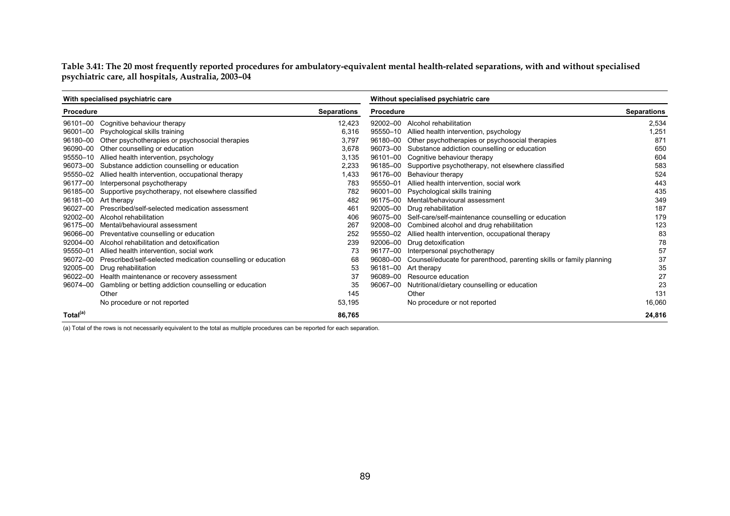**Table 3.41: The 20 most frequently reported procedures for ambulatory-equivalent mental health-related separations, with and without specialised psychiatric care, all hospitals, Australia, 2003–04** 

|                      | With specialised psychiatric care                            |                    |                  | Without specialised psychiatric care                                |                    |  |  |  |
|----------------------|--------------------------------------------------------------|--------------------|------------------|---------------------------------------------------------------------|--------------------|--|--|--|
| Procedure            |                                                              | <b>Separations</b> | <b>Procedure</b> |                                                                     | <b>Separations</b> |  |  |  |
| 96101-00             | Cognitive behaviour therapy                                  | 12,423             | 92002-00         | Alcohol rehabilitation                                              | 2,534              |  |  |  |
| 96001-00             | Psychological skills training                                | 6,316              |                  | 95550-10 Allied health intervention, psychology                     | 1,251              |  |  |  |
| 96180-00             | Other psychotherapies or psychosocial therapies              | 3,797              |                  | 96180-00 Other psychotherapies or psychosocial therapies            | 871                |  |  |  |
| 96090-00             | Other counselling or education                               | 3,678              |                  | 96073-00 Substance addiction counselling or education               | 650                |  |  |  |
| 95550-10             | Allied health intervention, psychology                       | 3,135              |                  | 96101-00 Cognitive behaviour therapy                                | 604                |  |  |  |
| 96073-00             | Substance addiction counselling or education                 | 2,233              |                  | 96185-00 Supportive psychotherapy, not elsewhere classified         | 583                |  |  |  |
| 95550-02             | Allied health intervention, occupational therapy             | 1,433              | 96176-00         | Behaviour therapy                                                   | 524                |  |  |  |
| 96177-00             | Interpersonal psychotherapy                                  | 783                | 95550-01         | Allied health intervention, social work                             | 443                |  |  |  |
| 96185-00             | Supportive psychotherapy, not elsewhere classified           | 782                | 96001-00         | Psychological skills training                                       | 435                |  |  |  |
| 96181-00             | Art therapy                                                  | 482                | 96175-00         | Mental/behavioural assessment                                       | 349                |  |  |  |
| 96027-00             | Prescribed/self-selected medication assessment               | 461                |                  | 92005-00 Drug rehabilitation                                        | 187                |  |  |  |
| 92002-00             | Alcohol rehabilitation                                       | 406                |                  | 96075-00 Self-care/self-maintenance counselling or education        | 179                |  |  |  |
| 96175-00             | Mental/behavioural assessment                                | 267                |                  | 92008-00 Combined alcohol and drug rehabilitation                   | 123                |  |  |  |
| 96066-00             | Preventative counselling or education                        | 252                | 95550-02         | Allied health intervention, occupational therapy                    | 83                 |  |  |  |
| 92004-00             | Alcohol rehabilitation and detoxification                    | 239                | 92006-00         | Drug detoxification                                                 | 78                 |  |  |  |
| 95550-01             | Allied health intervention, social work                      | 73                 | 96177-00         | Interpersonal psychotherapy                                         | 57                 |  |  |  |
| 96072-00             | Prescribed/self-selected medication counselling or education | 68                 | 96080-00         | Counsel/educate for parenthood, parenting skills or family planning | 37                 |  |  |  |
| 92005-00             | Drug rehabilitation                                          | 53                 | 96181-00         | Art therapy                                                         | 35                 |  |  |  |
| 96022-00             | Health maintenance or recovery assessment                    | 37                 | 96089-00         | Resource education                                                  | 27                 |  |  |  |
| 96074-00             | Gambling or betting addiction counselling or education       | 35                 | 96067-00         | Nutritional/dietary counselling or education                        | 23                 |  |  |  |
|                      | Other                                                        | 145                |                  | Other                                                               | 131                |  |  |  |
|                      | No procedure or not reported                                 | 53,195             |                  | No procedure or not reported                                        | 16,060             |  |  |  |
| Total <sup>(a)</sup> |                                                              | 86,765             |                  |                                                                     | 24,816             |  |  |  |

(a) Total of the rows is not necessarily equivalent to the total as multiple procedures can be reported for each separation.